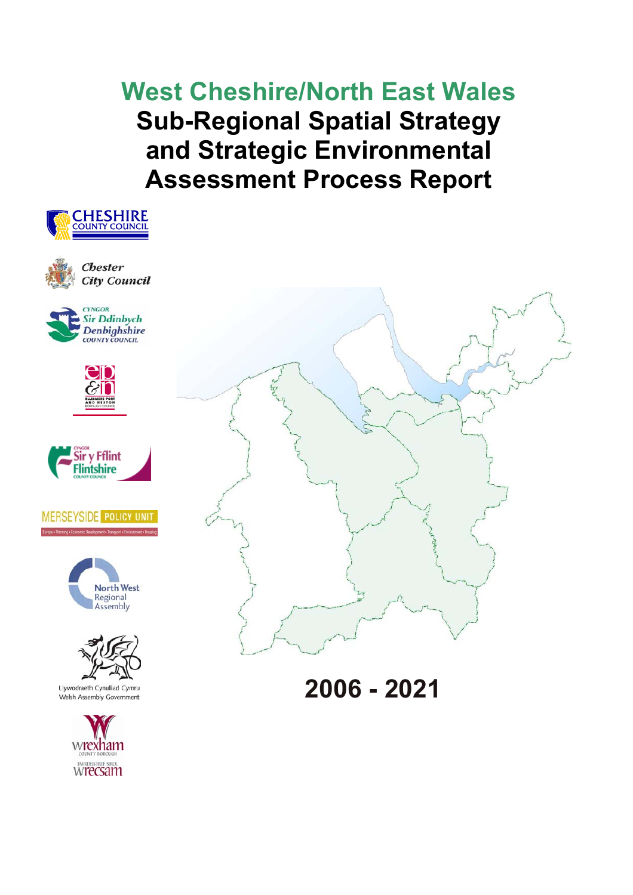**West Cheshire/North East Wales Sub-Regional Spatial Strategy and Strategic Environmental Assessment Process Report** 

















Llywodraeth Cynulliad Cymru Welsh Assembly Government





**2006 - 2021**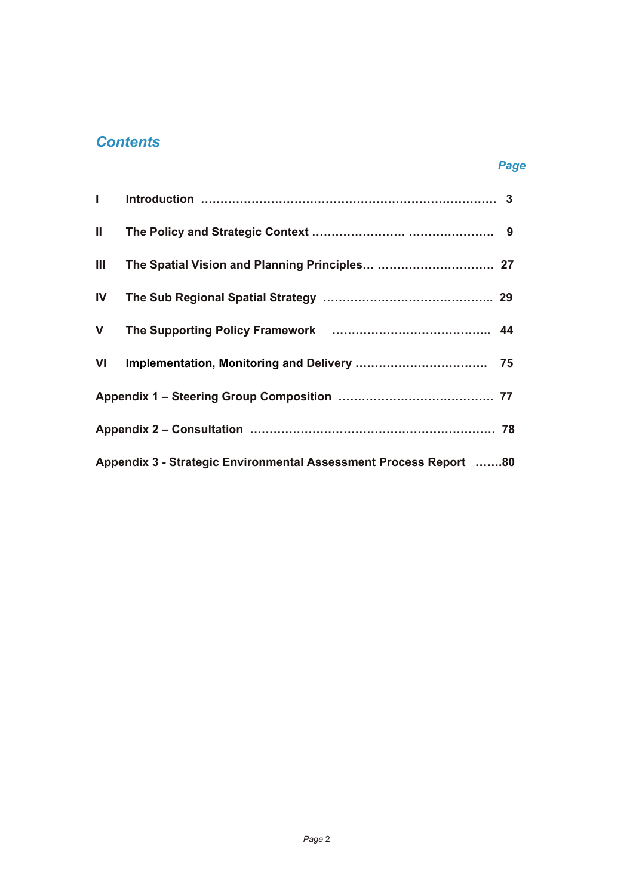# *Contents*

## *Page*

| $\mathbf{I}$ and $\mathbf{I}$ |                                                                   |  |
|-------------------------------|-------------------------------------------------------------------|--|
| $\mathbf{II}$                 |                                                                   |  |
| Ш                             |                                                                   |  |
| IV                            |                                                                   |  |
| $\mathbf V$                   |                                                                   |  |
| VI                            |                                                                   |  |
|                               |                                                                   |  |
|                               |                                                                   |  |
|                               | Appendix 3 - Strategic Environmental Assessment Process Report 80 |  |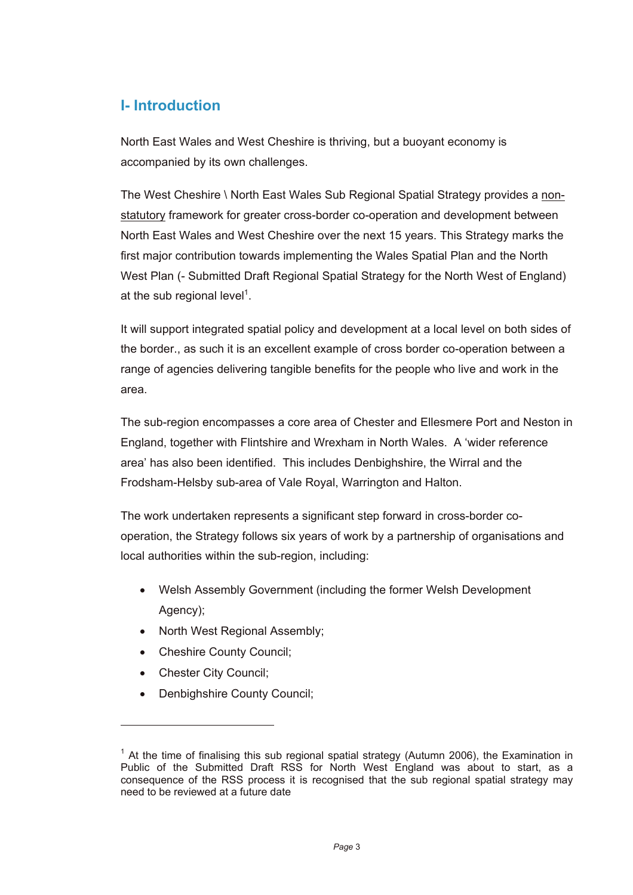# **I- Introduction**

North East Wales and West Cheshire is thriving, but a buoyant economy is accompanied by its own challenges.

The West Cheshire \ North East Wales Sub Regional Spatial Strategy provides a nonstatutory framework for greater cross-border co-operation and development between North East Wales and West Cheshire over the next 15 years. This Strategy marks the first major contribution towards implementing the Wales Spatial Plan and the North West Plan (- Submitted Draft Regional Spatial Strategy for the North West of England) at the sub regional level<sup>1</sup>.

It will support integrated spatial policy and development at a local level on both sides of the border., as such it is an excellent example of cross border co-operation between a range of agencies delivering tangible benefits for the people who live and work in the area.

The sub-region encompasses a core area of Chester and Ellesmere Port and Neston in England, together with Flintshire and Wrexham in North Wales. A 'wider reference area' has also been identified. This includes Denbighshire, the Wirral and the Frodsham-Helsby sub-area of Vale Royal, Warrington and Halton.

The work undertaken represents a significant step forward in cross-border cooperation, the Strategy follows six years of work by a partnership of organisations and local authorities within the sub-region, including:

- Welsh Assembly Government (including the former Welsh Development Agency);
- North West Regional Assembly;
- Cheshire County Council;
- Chester City Council:

l

Denbighshire County Council;

 $1$  At the time of finalising this sub regional spatial strategy (Autumn 2006), the Examination in Public of the Submitted Draft RSS for North West England was about to start, as a consequence of the RSS process it is recognised that the sub regional spatial strategy may need to be reviewed at a future date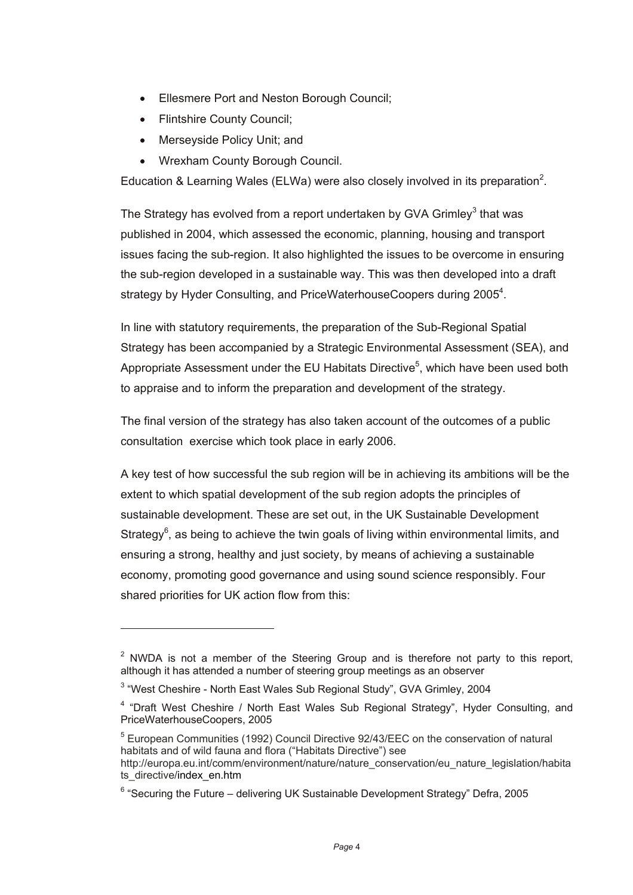- Ellesmere Port and Neston Borough Council;
- Flintshire County Council;

 $\overline{a}$ 

- Merseyside Policy Unit; and
- Wrexham County Borough Council.

Education & Learning Wales (ELWa) were also closely involved in its preparation<sup>2</sup>.

The Strategy has evolved from a report undertaken by GVA Grimley<sup>3</sup> that was published in 2004, which assessed the economic, planning, housing and transport issues facing the sub-region. It also highlighted the issues to be overcome in ensuring the sub-region developed in a sustainable way. This was then developed into a draft strategy by Hyder Consulting, and PriceWaterhouseCoopers during 2005<sup>4</sup>.

In line with statutory requirements, the preparation of the Sub-Regional Spatial Strategy has been accompanied by a Strategic Environmental Assessment (SEA), and Appropriate Assessment under the EU Habitats Directive<sup>5</sup>, which have been used both to appraise and to inform the preparation and development of the strategy.

The final version of the strategy has also taken account of the outcomes of a public consultation exercise which took place in early 2006.

A key test of how successful the sub region will be in achieving its ambitions will be the extent to which spatial development of the sub region adopts the principles of sustainable development. These are set out, in the UK Sustainable Development Strategy $<sup>6</sup>$ , as being to achieve the twin goals of living within environmental limits, and</sup> ensuring a strong, healthy and just society, by means of achieving a sustainable economy, promoting good governance and using sound science responsibly. Four shared priorities for UK action flow from this:

 $2$  NWDA is not a member of the Steering Group and is therefore not party to this report, although it has attended a number of steering group meetings as an observer

<sup>&</sup>lt;sup>3</sup> "West Cheshire - North East Wales Sub Regional Study", GVA Grimley, 2004

<sup>&</sup>lt;sup>4</sup> "Draft West Cheshire / North East Wales Sub Regional Strategy", Hyder Consulting, and PriceWaterhouseCoopers, 2005

<sup>5</sup> European Communities (1992) Council Directive 92/43/EEC on the conservation of natural habitats and of wild fauna and flora ("Habitats Directive") see http://europa.eu.int/comm/environment/nature/nature\_conservation/eu\_nature\_legislation/habita ts\_directive/index\_en.htm

 $6$  "Securing the Future – delivering UK Sustainable Development Strategy" Defra, 2005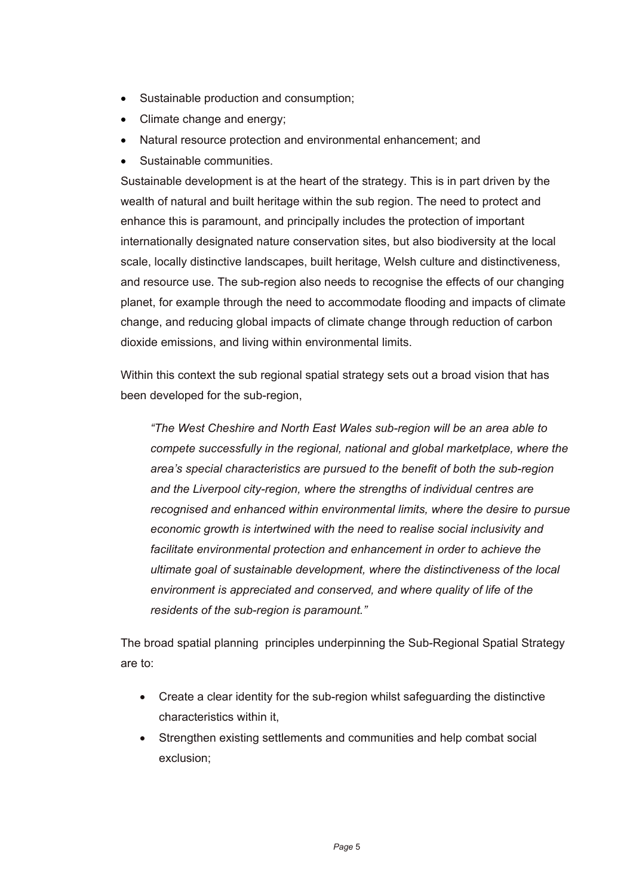- Sustainable production and consumption;
- Climate change and energy;
- Natural resource protection and environmental enhancement; and
- Sustainable communities.

Sustainable development is at the heart of the strategy. This is in part driven by the wealth of natural and built heritage within the sub region. The need to protect and enhance this is paramount, and principally includes the protection of important internationally designated nature conservation sites, but also biodiversity at the local scale, locally distinctive landscapes, built heritage, Welsh culture and distinctiveness, and resource use. The sub-region also needs to recognise the effects of our changing planet, for example through the need to accommodate flooding and impacts of climate change, and reducing global impacts of climate change through reduction of carbon dioxide emissions, and living within environmental limits.

Within this context the sub regional spatial strategy sets out a broad vision that has been developed for the sub-region,

*"The West Cheshire and North East Wales sub-region will be an area able to compete successfully in the regional, national and global marketplace, where the area's special characteristics are pursued to the benefit of both the sub-region and the Liverpool city-region, where the strengths of individual centres are recognised and enhanced within environmental limits, where the desire to pursue economic growth is intertwined with the need to realise social inclusivity and facilitate environmental protection and enhancement in order to achieve the ultimate goal of sustainable development, where the distinctiveness of the local environment is appreciated and conserved, and where quality of life of the residents of the sub-region is paramount."* 

The broad spatial planning principles underpinning the Sub-Regional Spatial Strategy are to:

- Create a clear identity for the sub-region whilst safeguarding the distinctive characteristics within it,
- Strengthen existing settlements and communities and help combat social exclusion;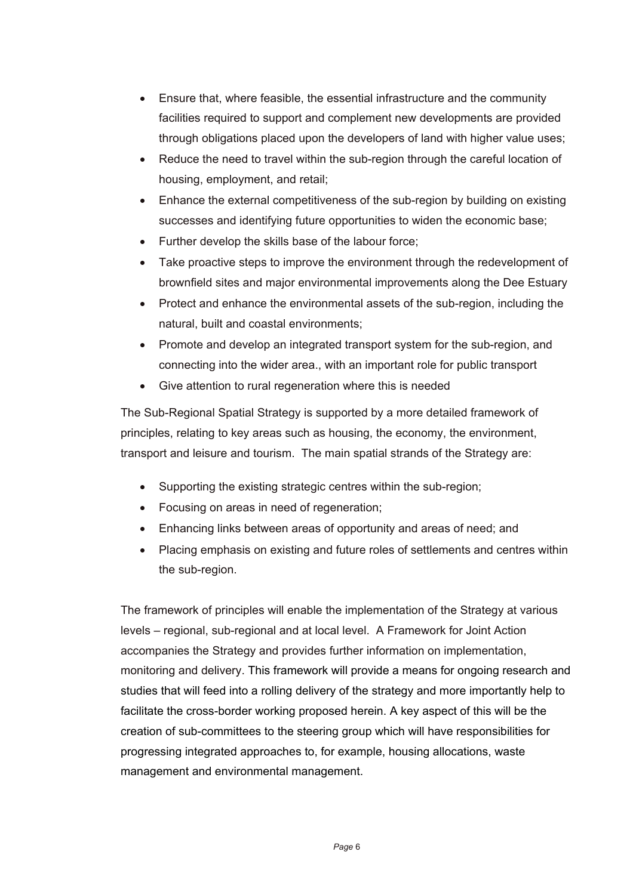- Ensure that, where feasible, the essential infrastructure and the community facilities required to support and complement new developments are provided through obligations placed upon the developers of land with higher value uses;
- Reduce the need to travel within the sub-region through the careful location of housing, employment, and retail;
- Enhance the external competitiveness of the sub-region by building on existing successes and identifying future opportunities to widen the economic base;
- Further develop the skills base of the labour force;
- Take proactive steps to improve the environment through the redevelopment of brownfield sites and major environmental improvements along the Dee Estuary
- Protect and enhance the environmental assets of the sub-region, including the natural, built and coastal environments;
- Promote and develop an integrated transport system for the sub-region, and connecting into the wider area., with an important role for public transport
- Give attention to rural regeneration where this is needed

The Sub-Regional Spatial Strategy is supported by a more detailed framework of principles, relating to key areas such as housing, the economy, the environment, transport and leisure and tourism. The main spatial strands of the Strategy are:

- Supporting the existing strategic centres within the sub-region;
- Focusing on areas in need of regeneration;
- Enhancing links between areas of opportunity and areas of need; and
- Placing emphasis on existing and future roles of settlements and centres within the sub-region.

The framework of principles will enable the implementation of the Strategy at various levels – regional, sub-regional and at local level. A Framework for Joint Action accompanies the Strategy and provides further information on implementation, monitoring and delivery. This framework will provide a means for ongoing research and studies that will feed into a rolling delivery of the strategy and more importantly help to facilitate the cross-border working proposed herein. A key aspect of this will be the creation of sub-committees to the steering group which will have responsibilities for progressing integrated approaches to, for example, housing allocations, waste management and environmental management.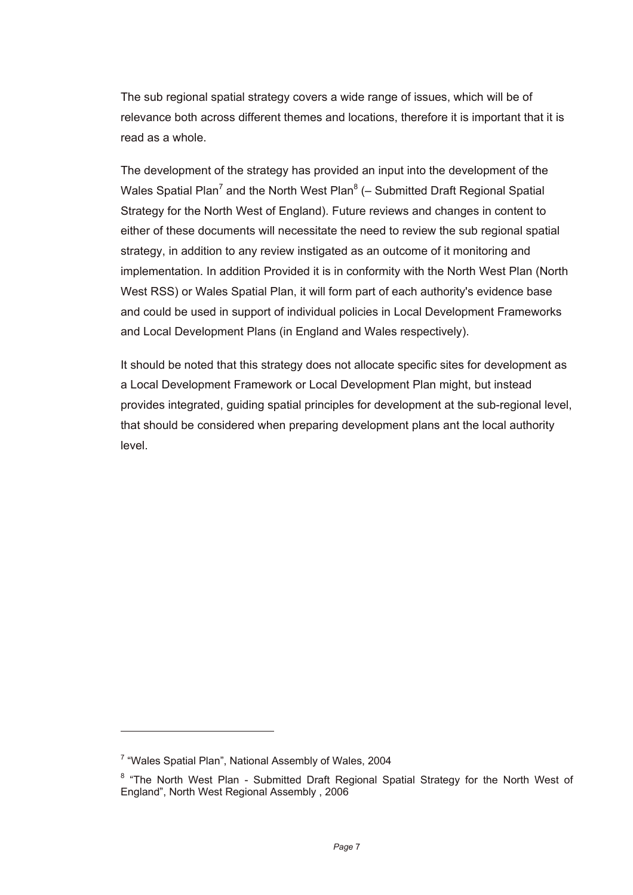The sub regional spatial strategy covers a wide range of issues, which will be of relevance both across different themes and locations, therefore it is important that it is read as a whole.

The development of the strategy has provided an input into the development of the Wales Spatial Plan<sup>7</sup> and the North West Plan<sup>8</sup> (– Submitted Draft Regional Spatial Strategy for the North West of England). Future reviews and changes in content to either of these documents will necessitate the need to review the sub regional spatial strategy, in addition to any review instigated as an outcome of it monitoring and implementation. In addition Provided it is in conformity with the North West Plan (North West RSS) or Wales Spatial Plan, it will form part of each authority's evidence base and could be used in support of individual policies in Local Development Frameworks and Local Development Plans (in England and Wales respectively).

It should be noted that this strategy does not allocate specific sites for development as a Local Development Framework or Local Development Plan might, but instead provides integrated, guiding spatial principles for development at the sub-regional level, that should be considered when preparing development plans ant the local authority level.

 $\overline{a}$ 

<sup>&</sup>lt;sup>7</sup> "Wales Spatial Plan", National Assembly of Wales, 2004

<sup>&</sup>lt;sup>8</sup> "The North West Plan - Submitted Draft Regional Spatial Strategy for the North West of England", North West Regional Assembly , 2006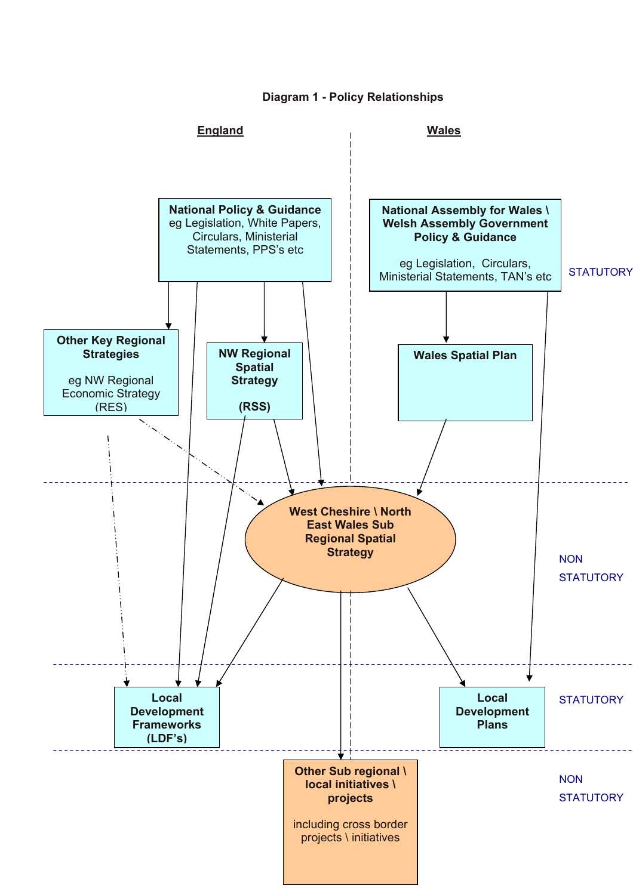**Diagram 1 - Policy Relationships** 

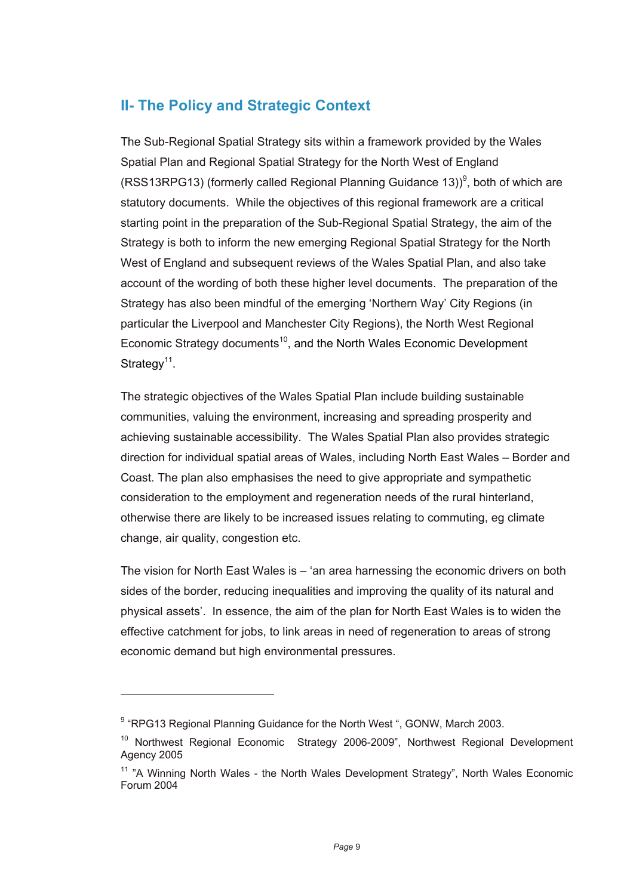# **II- The Policy and Strategic Context**

The Sub-Regional Spatial Strategy sits within a framework provided by the Wales Spatial Plan and Regional Spatial Strategy for the North West of England (RSS13RPG13) (formerly called Regional Planning Guidance 13))<sup>9</sup>, both of which are statutory documents. While the objectives of this regional framework are a critical starting point in the preparation of the Sub-Regional Spatial Strategy, the aim of the Strategy is both to inform the new emerging Regional Spatial Strategy for the North West of England and subsequent reviews of the Wales Spatial Plan, and also take account of the wording of both these higher level documents. The preparation of the Strategy has also been mindful of the emerging 'Northern Way' City Regions (in particular the Liverpool and Manchester City Regions), the North West Regional Economic Strategy documents<sup>10</sup>, and the North Wales Economic Development Strategy<sup>11</sup>.

The strategic objectives of the Wales Spatial Plan include building sustainable communities, valuing the environment, increasing and spreading prosperity and achieving sustainable accessibility. The Wales Spatial Plan also provides strategic direction for individual spatial areas of Wales, including North East Wales – Border and Coast. The plan also emphasises the need to give appropriate and sympathetic consideration to the employment and regeneration needs of the rural hinterland, otherwise there are likely to be increased issues relating to commuting, eg climate change, air quality, congestion etc.

The vision for North East Wales is – 'an area harnessing the economic drivers on both sides of the border, reducing inequalities and improving the quality of its natural and physical assets'. In essence, the aim of the plan for North East Wales is to widen the effective catchment for jobs, to link areas in need of regeneration to areas of strong economic demand but high environmental pressures.

 $\overline{a}$ 

<sup>&</sup>lt;sup>9</sup> "RPG13 Regional Planning Guidance for the North West ", GONW, March 2003.

<sup>&</sup>lt;sup>10</sup> Northwest Regional Economic Strategy 2006-2009", Northwest Regional Development Agency 2005

<sup>&</sup>lt;sup>11</sup> "A Winning North Wales - the North Wales Development Strategy", North Wales Economic Forum 2004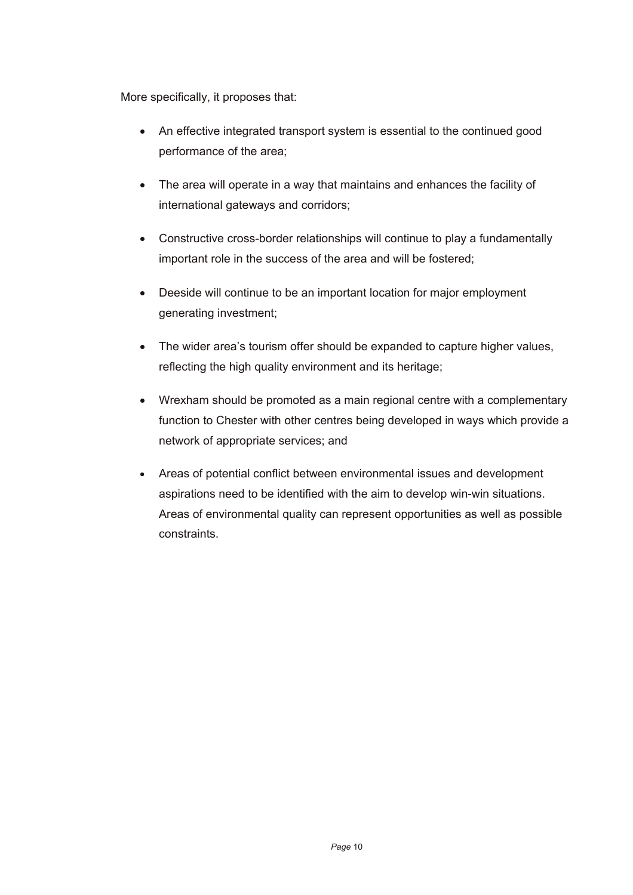More specifically, it proposes that:

- An effective integrated transport system is essential to the continued good performance of the area;
- The area will operate in a way that maintains and enhances the facility of international gateways and corridors;
- Constructive cross-border relationships will continue to play a fundamentally important role in the success of the area and will be fostered;
- Deeside will continue to be an important location for major employment generating investment;
- The wider area's tourism offer should be expanded to capture higher values, reflecting the high quality environment and its heritage;
- Wrexham should be promoted as a main regional centre with a complementary function to Chester with other centres being developed in ways which provide a network of appropriate services; and
- Areas of potential conflict between environmental issues and development aspirations need to be identified with the aim to develop win-win situations. Areas of environmental quality can represent opportunities as well as possible constraints.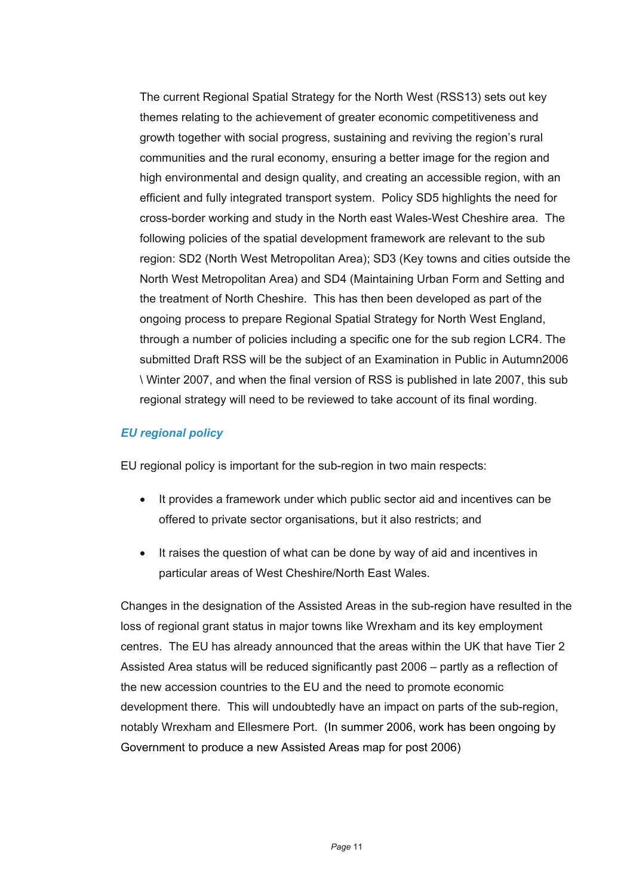The current Regional Spatial Strategy for the North West (RSS13) sets out key themes relating to the achievement of greater economic competitiveness and growth together with social progress, sustaining and reviving the region's rural communities and the rural economy, ensuring a better image for the region and high environmental and design quality, and creating an accessible region, with an efficient and fully integrated transport system. Policy SD5 highlights the need for cross-border working and study in the North east Wales-West Cheshire area. The following policies of the spatial development framework are relevant to the sub region: SD2 (North West Metropolitan Area); SD3 (Key towns and cities outside the North West Metropolitan Area) and SD4 (Maintaining Urban Form and Setting and the treatment of North Cheshire. This has then been developed as part of the ongoing process to prepare Regional Spatial Strategy for North West England, through a number of policies including a specific one for the sub region LCR4. The submitted Draft RSS will be the subject of an Examination in Public in Autumn2006 \ Winter 2007, and when the final version of RSS is published in late 2007, this sub regional strategy will need to be reviewed to take account of its final wording.

### *EU regional policy*

EU regional policy is important for the sub-region in two main respects:

- It provides a framework under which public sector aid and incentives can be offered to private sector organisations, but it also restricts; and
- It raises the question of what can be done by way of aid and incentives in particular areas of West Cheshire/North East Wales.

Changes in the designation of the Assisted Areas in the sub-region have resulted in the loss of regional grant status in major towns like Wrexham and its key employment centres. The EU has already announced that the areas within the UK that have Tier 2 Assisted Area status will be reduced significantly past 2006 – partly as a reflection of the new accession countries to the EU and the need to promote economic development there. This will undoubtedly have an impact on parts of the sub-region, notably Wrexham and Ellesmere Port. (In summer 2006, work has been ongoing by Government to produce a new Assisted Areas map for post 2006)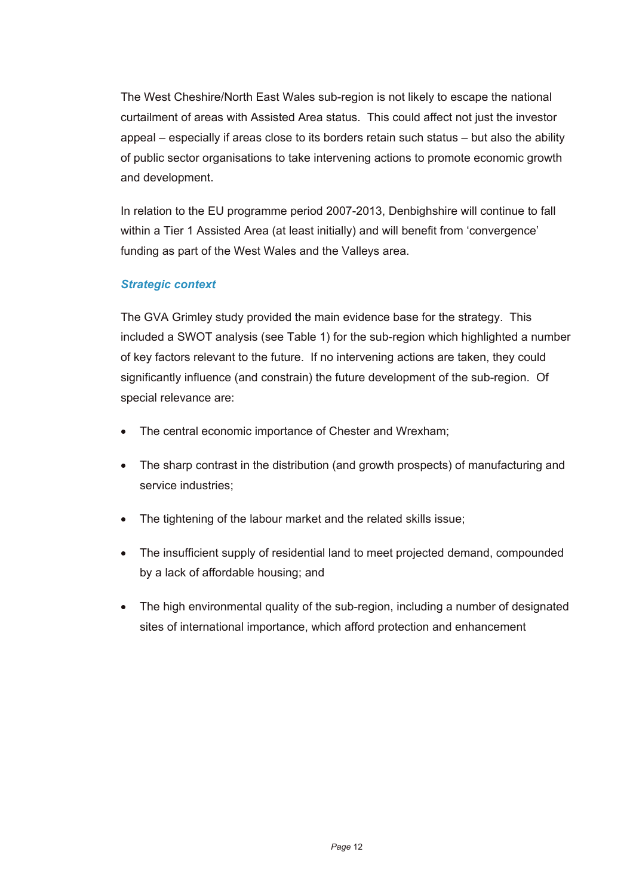The West Cheshire/North East Wales sub-region is not likely to escape the national curtailment of areas with Assisted Area status. This could affect not just the investor appeal – especially if areas close to its borders retain such status – but also the ability of public sector organisations to take intervening actions to promote economic growth and development.

In relation to the EU programme period 2007-2013, Denbighshire will continue to fall within a Tier 1 Assisted Area (at least initially) and will benefit from 'convergence' funding as part of the West Wales and the Valleys area.

### *Strategic context*

The GVA Grimley study provided the main evidence base for the strategy. This included a SWOT analysis (see Table 1) for the sub-region which highlighted a number of key factors relevant to the future. If no intervening actions are taken, they could significantly influence (and constrain) the future development of the sub-region. Of special relevance are:

- The central economic importance of Chester and Wrexham;
- The sharp contrast in the distribution (and growth prospects) of manufacturing and service industries;
- The tightening of the labour market and the related skills issue:
- The insufficient supply of residential land to meet projected demand, compounded by a lack of affordable housing; and
- The high environmental quality of the sub-region, including a number of designated sites of international importance, which afford protection and enhancement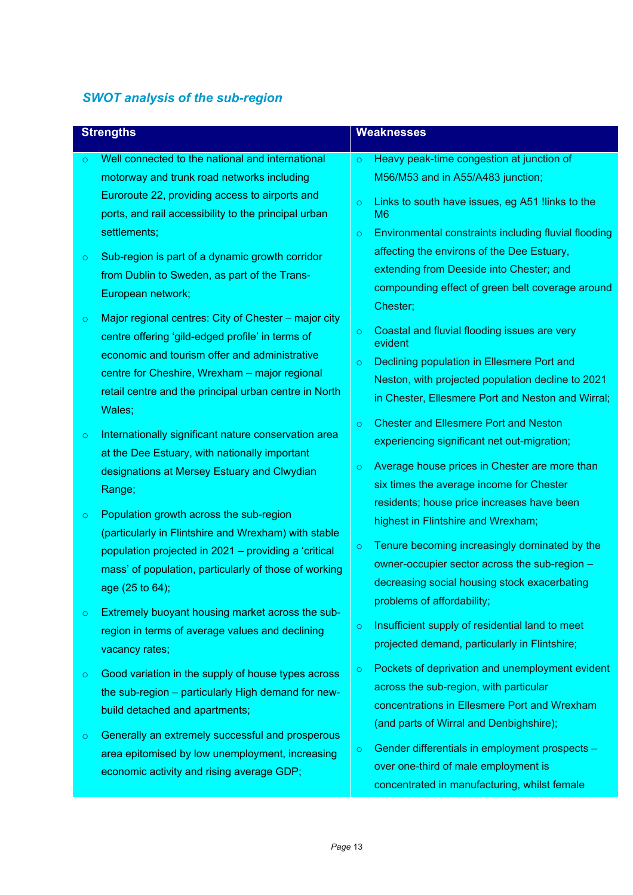## *SWOT analysis of the sub-region*

| <b>Strengths</b> |                                                                                                                                                                                                                                                                               | <b>Weaknesses</b>             |                                                                                                                                                                                                                                                                  |
|------------------|-------------------------------------------------------------------------------------------------------------------------------------------------------------------------------------------------------------------------------------------------------------------------------|-------------------------------|------------------------------------------------------------------------------------------------------------------------------------------------------------------------------------------------------------------------------------------------------------------|
| $\circ$          | Well connected to the national and international<br>motorway and trunk road networks including<br>Euroroute 22, providing access to airports and<br>ports, and rail accessibility to the principal urban<br>settlements;                                                      | $\circ$<br>$\circ$<br>$\circ$ | Heavy peak-time congestion at junction of<br>M56/M53 and in A55/A483 junction;<br>Links to south have issues, eg A51 !links to the<br>M6<br>Environmental constraints including fluvial flooding                                                                 |
| $\circ$          | Sub-region is part of a dynamic growth corridor<br>from Dublin to Sweden, as part of the Trans-<br>European network;                                                                                                                                                          |                               | affecting the environs of the Dee Estuary,<br>extending from Deeside into Chester; and<br>compounding effect of green belt coverage around<br>Chester;                                                                                                           |
| $\circ$          | Major regional centres: City of Chester – major city<br>centre offering 'gild-edged profile' in terms of<br>economic and tourism offer and administrative<br>centre for Cheshire, Wrexham - major regional<br>retail centre and the principal urban centre in North<br>Wales; | $\circ$<br>$\circ$            | Coastal and fluvial flooding issues are very<br>evident<br>Declining population in Ellesmere Port and<br>Neston, with projected population decline to 2021<br>in Chester, Ellesmere Port and Neston and Wirral;                                                  |
| $\circ$          | Internationally significant nature conservation area<br>at the Dee Estuary, with nationally important<br>designations at Mersey Estuary and Clwydian<br>Range;                                                                                                                | $\circ$<br>$\circ$            | <b>Chester and Ellesmere Port and Neston</b><br>experiencing significant net out-migration;<br>Average house prices in Chester are more than<br>six times the average income for Chester                                                                         |
| $\circ$          | Population growth across the sub-region<br>(particularly in Flintshire and Wrexham) with stable<br>population projected in 2021 – providing a 'critical<br>mass' of population, particularly of those of working<br>age (25 to 64);                                           | $\circ$                       | residents; house price increases have been<br>highest in Flintshire and Wrexham;<br>Tenure becoming increasingly dominated by the<br>owner-occupier sector across the sub-region -<br>decreasing social housing stock exacerbating<br>problems of affordability; |
| $\circ$          | Extremely buoyant housing market across the sub-<br>region in terms of average values and declining<br>vacancy rates;                                                                                                                                                         | $\circ$                       | Insufficient supply of residential land to meet<br>projected demand, particularly in Flintshire;                                                                                                                                                                 |
| $\circ$          | Good variation in the supply of house types across<br>the sub-region – particularly High demand for new-<br>build detached and apartments;                                                                                                                                    | $\circ$                       | Pockets of deprivation and unemployment evident<br>across the sub-region, with particular<br>concentrations in Ellesmere Port and Wrexham<br>(and parts of Wirral and Denbighshire);                                                                             |
| $\circ$          | Generally an extremely successful and prosperous<br>area epitomised by low unemployment, increasing<br>economic activity and rising average GDP;                                                                                                                              | $\circ$                       | Gender differentials in employment prospects -<br>over one-third of male employment is<br>concentrated in manufacturing, whilst female                                                                                                                           |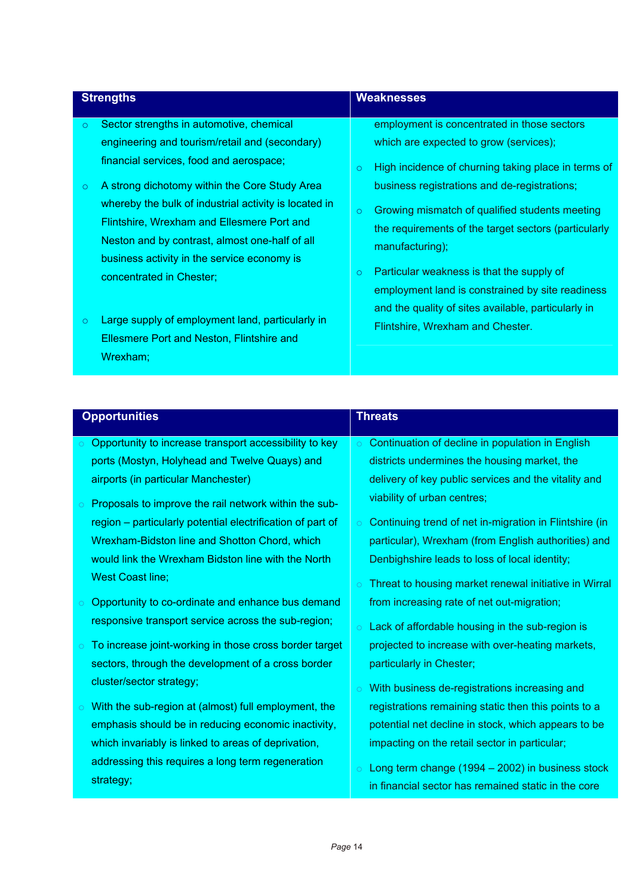|                                                                                                                                                                                                                                                                                                                                                                                                                                                                                                                                                                                                                              | <b>Weaknesses</b>                                                                                                                                                                                                                                                                                                                                                                                                                                                                                  |  |
|------------------------------------------------------------------------------------------------------------------------------------------------------------------------------------------------------------------------------------------------------------------------------------------------------------------------------------------------------------------------------------------------------------------------------------------------------------------------------------------------------------------------------------------------------------------------------------------------------------------------------|----------------------------------------------------------------------------------------------------------------------------------------------------------------------------------------------------------------------------------------------------------------------------------------------------------------------------------------------------------------------------------------------------------------------------------------------------------------------------------------------------|--|
| Sector strengths in automotive, chemical<br>$\circ$<br>engineering and tourism/retail and (secondary)<br>financial services, food and aerospace;<br>$\circ$<br>A strong dichotomy within the Core Study Area<br>$\circ$<br>whereby the bulk of industrial activity is located in<br>$\circ$<br>Flintshire, Wrexham and Ellesmere Port and<br>Neston and by contrast, almost one-half of all<br>manufacturing);<br>business activity in the service economy is<br>$\circ$<br>concentrated in Chester;<br>Large supply of employment land, particularly in<br>$\circ$<br>Ellesmere Port and Neston, Flintshire and<br>Wrexham; | employment is concentrated in those sectors<br>which are expected to grow (services);<br>High incidence of churning taking place in terms of<br>business registrations and de-registrations;<br>Growing mismatch of qualified students meeting<br>the requirements of the target sectors (particularly<br>Particular weakness is that the supply of<br>employment land is constrained by site readiness<br>and the quality of sites available, particularly in<br>Flintshire, Wrexham and Chester. |  |

|            | <b>Opportunities</b>                                       | <b>Threats</b> |                                                        |
|------------|------------------------------------------------------------|----------------|--------------------------------------------------------|
|            | Opportunity to increase transport accessibility to key     |                | Continuation of decline in population in English       |
|            | ports (Mostyn, Holyhead and Twelve Quays) and              |                | districts undermines the housing market, the           |
|            | airports (in particular Manchester)                        |                | delivery of key public services and the vitality and   |
|            | Proposals to improve the rail network within the sub-      |                | viability of urban centres;                            |
|            | region – particularly potential electrification of part of | $\circ$        | Continuing trend of net in-migration in Flintshire (in |
|            | Wrexham-Bidston line and Shotton Chord, which              |                | particular), Wrexham (from English authorities) and    |
|            | would link the Wrexham Bidston line with the North         |                | Denbighshire leads to loss of local identity;          |
|            | <b>West Coast line;</b>                                    |                | Threat to housing market renewal initiative in Wirral  |
|            | Opportunity to co-ordinate and enhance bus demand          |                | from increasing rate of net out-migration;             |
|            | responsive transport service across the sub-region;        | $\overline{O}$ | Lack of affordable housing in the sub-region is        |
| $\circ$    | To increase joint-working in those cross border target     |                | projected to increase with over-heating markets,       |
|            | sectors, through the development of a cross border         |                | particularly in Chester;                               |
|            | cluster/sector strategy;                                   | $\overline{O}$ | With business de-registrations increasing and          |
| $\bigcirc$ | With the sub-region at (almost) full employment, the       |                | registrations remaining static then this points to a   |
|            | emphasis should be in reducing economic inactivity,        |                | potential net decline in stock, which appears to be    |
|            | which invariably is linked to areas of deprivation,        |                | impacting on the retail sector in particular;          |
|            | addressing this requires a long term regeneration          | $\circ$        | Long term change (1994 - 2002) in business stock       |
|            | strategy;                                                  |                | in financial sector has remained static in the core    |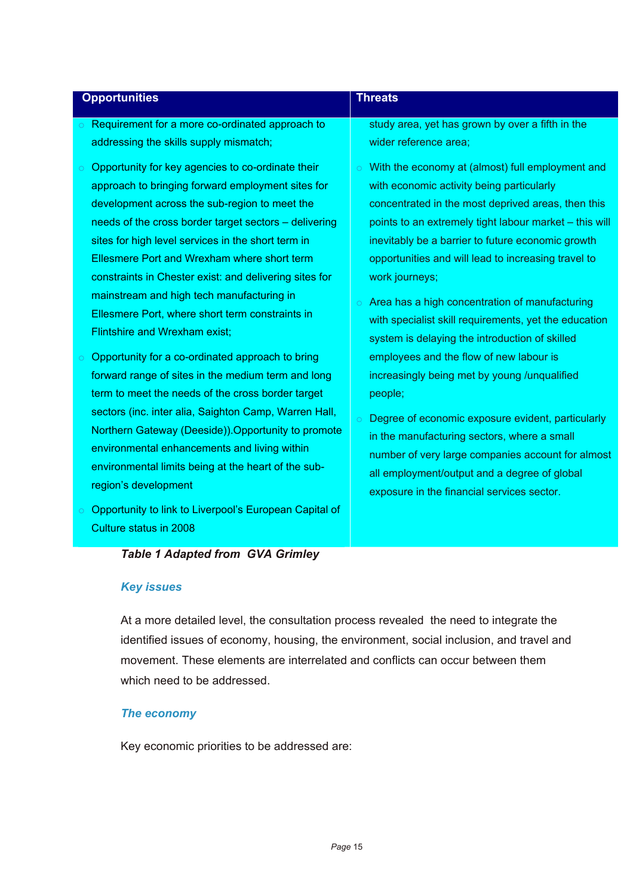| <b>Opportunities</b>                                                                                                                                                                                                                                                                                                                                                                                                                                                                                                        | <b>Threats</b>                                                                                                                                                                                                                                                                                                                                                                                                                                                                                                           |
|-----------------------------------------------------------------------------------------------------------------------------------------------------------------------------------------------------------------------------------------------------------------------------------------------------------------------------------------------------------------------------------------------------------------------------------------------------------------------------------------------------------------------------|--------------------------------------------------------------------------------------------------------------------------------------------------------------------------------------------------------------------------------------------------------------------------------------------------------------------------------------------------------------------------------------------------------------------------------------------------------------------------------------------------------------------------|
| Requirement for a more co-ordinated approach to<br>$\circ$<br>addressing the skills supply mismatch;                                                                                                                                                                                                                                                                                                                                                                                                                        | study area, yet has grown by over a fifth in the<br>wider reference area;                                                                                                                                                                                                                                                                                                                                                                                                                                                |
| Opportunity for key agencies to co-ordinate their<br>$\circ$<br>approach to bringing forward employment sites for<br>development across the sub-region to meet the<br>needs of the cross border target sectors – delivering<br>sites for high level services in the short term in<br>Ellesmere Port and Wrexham where short term<br>constraints in Chester exist: and delivering sites for<br>mainstream and high tech manufacturing in<br>Ellesmere Port, where short term constraints in<br>Flintshire and Wrexham exist; | $\circ$ With the economy at (almost) full employment and<br>with economic activity being particularly<br>concentrated in the most deprived areas, then this<br>points to an extremely tight labour market – this will<br>inevitably be a barrier to future economic growth<br>opportunities and will lead to increasing travel to<br>work journeys;<br>$\circ$ Area has a high concentration of manufacturing<br>with specialist skill requirements, yet the education<br>system is delaying the introduction of skilled |
| Opportunity for a co-ordinated approach to bring<br>$\bigcirc$<br>forward range of sites in the medium term and long<br>term to meet the needs of the cross border target<br>sectors (inc. inter alia, Saighton Camp, Warren Hall,<br>Northern Gateway (Deeside)). Opportunity to promote<br>environmental enhancements and living within<br>environmental limits being at the heart of the sub-<br>region's development                                                                                                    | employees and the flow of new labour is<br>increasingly being met by young /unqualified<br>people;<br>Degree of economic exposure evident, particularly<br>in the manufacturing sectors, where a small<br>number of very large companies account for almost<br>all employment/output and a degree of global<br>exposure in the financial services sector.                                                                                                                                                                |
| Opportunity to link to Liverpool's European Capital of<br>Culture status in 2008                                                                                                                                                                                                                                                                                                                                                                                                                                            |                                                                                                                                                                                                                                                                                                                                                                                                                                                                                                                          |

## *Table 1 Adapted from GVA Grimley*

### *Key issues*

At a more detailed level, the consultation process revealed the need to integrate the identified issues of economy, housing, the environment, social inclusion, and travel and movement. These elements are interrelated and conflicts can occur between them which need to be addressed.

#### *The economy*

Key economic priorities to be addressed are: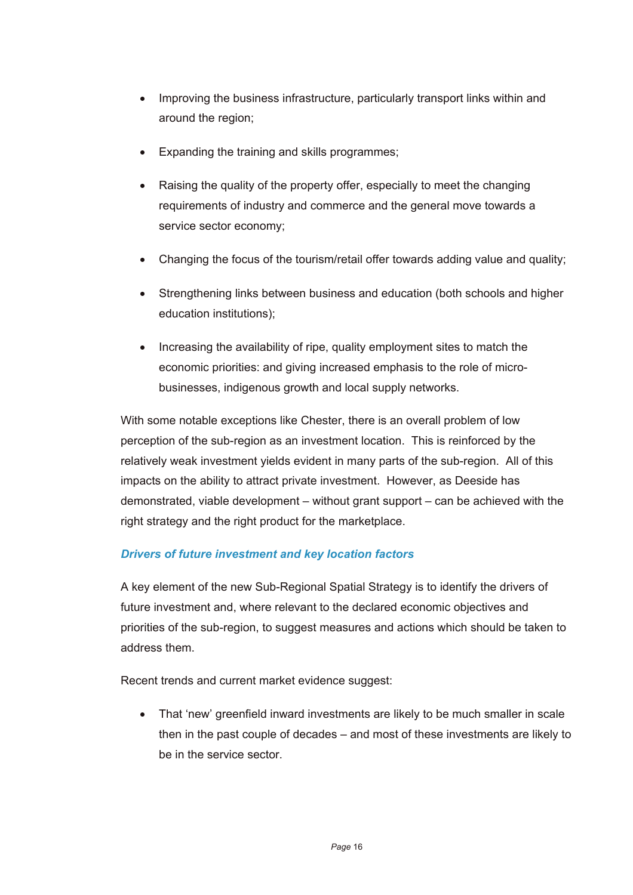- Improving the business infrastructure, particularly transport links within and around the region;
- Expanding the training and skills programmes;
- Raising the quality of the property offer, especially to meet the changing requirements of industry and commerce and the general move towards a service sector economy;
- Changing the focus of the tourism/retail offer towards adding value and quality;
- Strengthening links between business and education (both schools and higher education institutions);
- Increasing the availability of ripe, quality employment sites to match the economic priorities: and giving increased emphasis to the role of microbusinesses, indigenous growth and local supply networks.

With some notable exceptions like Chester, there is an overall problem of low perception of the sub-region as an investment location. This is reinforced by the relatively weak investment yields evident in many parts of the sub-region. All of this impacts on the ability to attract private investment. However, as Deeside has demonstrated, viable development – without grant support – can be achieved with the right strategy and the right product for the marketplace.

### *Drivers of future investment and key location factors*

A key element of the new Sub-Regional Spatial Strategy is to identify the drivers of future investment and, where relevant to the declared economic objectives and priorities of the sub-region, to suggest measures and actions which should be taken to address them.

Recent trends and current market evidence suggest:

• That 'new' greenfield inward investments are likely to be much smaller in scale then in the past couple of decades – and most of these investments are likely to be in the service sector.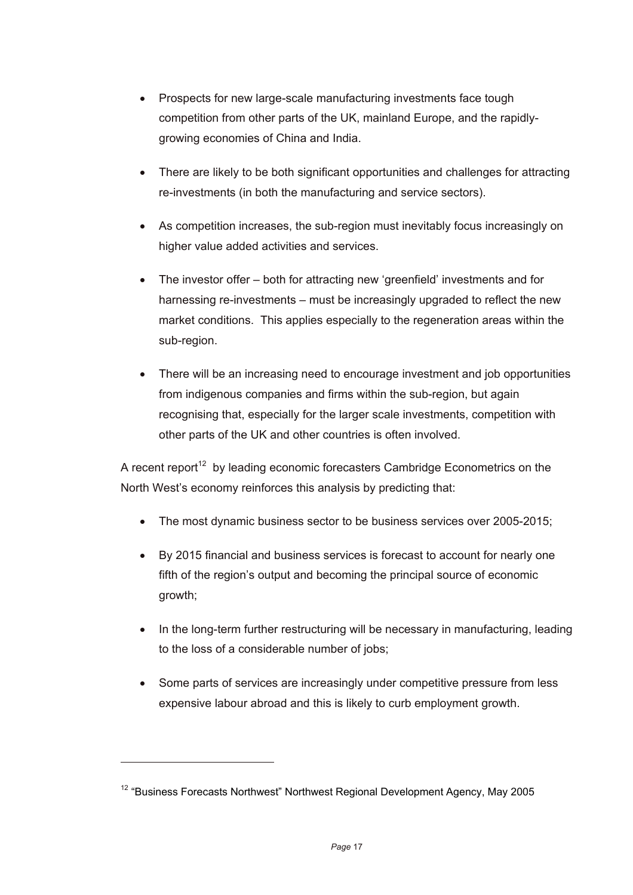- Prospects for new large-scale manufacturing investments face tough competition from other parts of the UK, mainland Europe, and the rapidlygrowing economies of China and India.
- There are likely to be both significant opportunities and challenges for attracting re-investments (in both the manufacturing and service sectors).
- As competition increases, the sub-region must inevitably focus increasingly on higher value added activities and services.
- The investor offer both for attracting new 'greenfield' investments and for harnessing re-investments – must be increasingly upgraded to reflect the new market conditions. This applies especially to the regeneration areas within the sub-region.
- There will be an increasing need to encourage investment and job opportunities from indigenous companies and firms within the sub-region, but again recognising that, especially for the larger scale investments, competition with other parts of the UK and other countries is often involved.

A recent report<sup>12</sup> by leading economic forecasters Cambridge Econometrics on the North West's economy reinforces this analysis by predicting that:

- The most dynamic business sector to be business services over 2005-2015;
- By 2015 financial and business services is forecast to account for nearly one fifth of the region's output and becoming the principal source of economic growth;
- In the long-term further restructuring will be necessary in manufacturing, leading to the loss of a considerable number of jobs;
- Some parts of services are increasingly under competitive pressure from less expensive labour abroad and this is likely to curb employment growth.

l

<sup>&</sup>lt;sup>12</sup> "Business Forecasts Northwest" Northwest Regional Development Agency, May 2005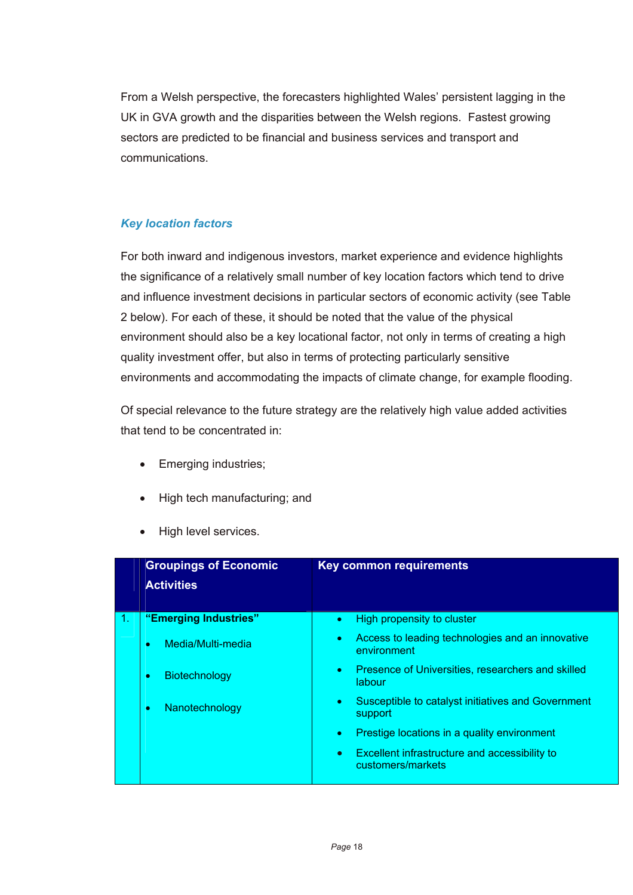From a Welsh perspective, the forecasters highlighted Wales' persistent lagging in the UK in GVA growth and the disparities between the Welsh regions. Fastest growing sectors are predicted to be financial and business services and transport and communications.

## *Key location factors*

For both inward and indigenous investors, market experience and evidence highlights the significance of a relatively small number of key location factors which tend to drive and influence investment decisions in particular sectors of economic activity (see Table 2 below). For each of these, it should be noted that the value of the physical environment should also be a key locational factor, not only in terms of creating a high quality investment offer, but also in terms of protecting particularly sensitive environments and accommodating the impacts of climate change, for example flooding.

Of special relevance to the future strategy are the relatively high value added activities that tend to be concentrated in:

- Emerging industries;
- High tech manufacturing; and
- High level services.

| <b>Groupings of Economic</b><br><b>Activities</b> | Key common requirements                                                         |
|---------------------------------------------------|---------------------------------------------------------------------------------|
| "Emerging Industries"                             | High propensity to cluster<br>$\bullet$                                         |
| Media/Multi-media<br>۰                            | Access to leading technologies and an innovative<br>٠<br>environment            |
| Biotechnology<br>۰                                | Presence of Universities, researchers and skilled<br>$\bullet$<br>labour        |
| Nanotechnology<br>۰                               | Susceptible to catalyst initiatives and Government<br>$\bullet$<br>support      |
|                                                   | Prestige locations in a quality environment<br>$\bullet$                        |
|                                                   | Excellent infrastructure and accessibility to<br>$\bullet$<br>customers/markets |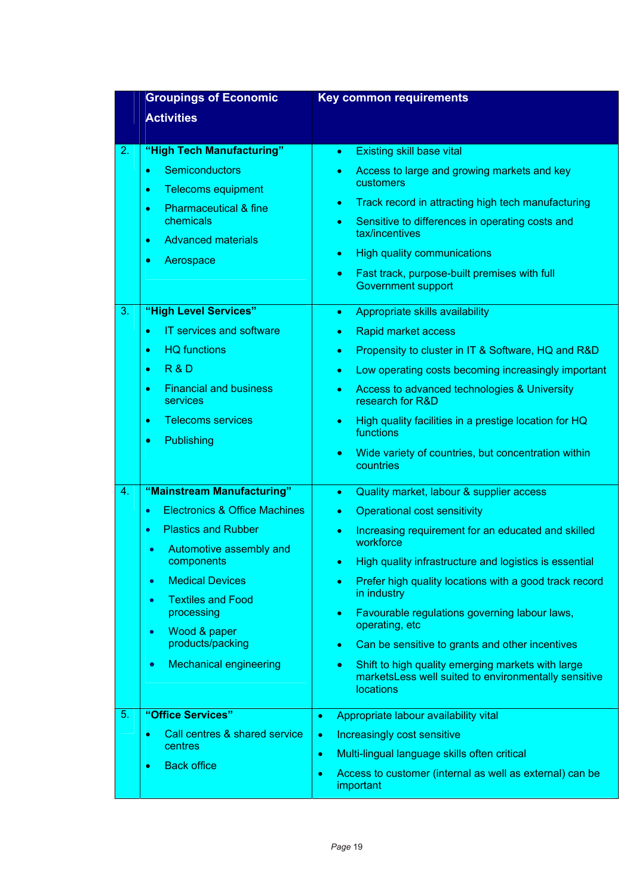|          | <b>Groupings of Economic</b>                                                                                                                                                                                                                                                                                                                                                                                                                                           | <b>Key common requirements</b>                                                                                                                                                                                                                                                                                                                                                                                                                                                                                                                                                                                                                                                                                                                                                                                                                      |
|----------|------------------------------------------------------------------------------------------------------------------------------------------------------------------------------------------------------------------------------------------------------------------------------------------------------------------------------------------------------------------------------------------------------------------------------------------------------------------------|-----------------------------------------------------------------------------------------------------------------------------------------------------------------------------------------------------------------------------------------------------------------------------------------------------------------------------------------------------------------------------------------------------------------------------------------------------------------------------------------------------------------------------------------------------------------------------------------------------------------------------------------------------------------------------------------------------------------------------------------------------------------------------------------------------------------------------------------------------|
|          | <b>Activities</b>                                                                                                                                                                                                                                                                                                                                                                                                                                                      |                                                                                                                                                                                                                                                                                                                                                                                                                                                                                                                                                                                                                                                                                                                                                                                                                                                     |
|          |                                                                                                                                                                                                                                                                                                                                                                                                                                                                        |                                                                                                                                                                                                                                                                                                                                                                                                                                                                                                                                                                                                                                                                                                                                                                                                                                                     |
| 2.<br>3. | "High Tech Manufacturing"<br>Semiconductors<br>$\bullet$<br><b>Telecoms equipment</b><br>$\bullet$<br><b>Pharmaceutical &amp; fine</b><br>٠<br>chemicals<br><b>Advanced materials</b><br>٠<br>Aerospace<br>$\bullet$<br>"High Level Services"<br><b>IT services and software</b><br>$\bullet$<br><b>HQ</b> functions<br>$\bullet$<br><b>R&amp;D</b><br>٠<br><b>Financial and business</b><br>٠<br>services<br><b>Telecoms services</b><br>٠<br>Publishing<br>$\bullet$ | <b>Existing skill base vital</b><br>$\bullet$<br>Access to large and growing markets and key<br>$\bullet$<br>customers<br>Track record in attracting high tech manufacturing<br>٠<br>Sensitive to differences in operating costs and<br>$\bullet$<br>tax/incentives<br><b>High quality communications</b><br>٠<br>Fast track, purpose-built premises with full<br>$\bullet$<br><b>Government support</b><br>Appropriate skills availability<br>٠<br>Rapid market access<br>٠<br>Propensity to cluster in IT & Software, HQ and R&D<br>$\bullet$<br>Low operating costs becoming increasingly important<br>$\bullet$<br>Access to advanced technologies & University<br>$\bullet$<br>research for R&D<br>High quality facilities in a prestige location for HQ<br>٠<br>functions<br>Wide variety of countries, but concentration within<br>$\bullet$ |
| 4.       | "Mainstream Manufacturing"<br><b>Electronics &amp; Office Machines</b><br>$\bullet$<br><b>Plastics and Rubber</b><br>$\bullet$<br>Automotive assembly and<br>$\bullet$<br>components<br><b>Medical Devices</b><br>$\bullet$<br><b>Textiles and Food</b><br>$\bullet$<br>processing<br>Wood & paper<br>$\bullet$<br>products/packing<br><b>Mechanical engineering</b><br>$\bullet$                                                                                      | countries<br>Quality market, labour & supplier access<br>$\bullet$<br><b>Operational cost sensitivity</b><br>$\bullet$<br>Increasing requirement for an educated and skilled<br>$\bullet$<br>workforce<br>High quality infrastructure and logistics is essential<br>$\bullet$ .<br>Prefer high quality locations with a good track record<br>$\bullet$<br>in industry<br>Favourable regulations governing labour laws,<br>٠<br>operating, etc<br>Can be sensitive to grants and other incentives<br>٠<br>Shift to high quality emerging markets with large<br>$\bullet$<br>marketsLess well suited to environmentally sensitive<br><b>locations</b>                                                                                                                                                                                                 |
| 5.       | "Office Services"<br>Call centres & shared service<br>٠<br>centres<br><b>Back office</b><br>$\bullet$                                                                                                                                                                                                                                                                                                                                                                  | Appropriate labour availability vital<br>$\bullet$<br>Increasingly cost sensitive<br>$\bullet$<br>Multi-lingual language skills often critical<br>$\bullet$<br>Access to customer (internal as well as external) can be<br>$\bullet$<br>important                                                                                                                                                                                                                                                                                                                                                                                                                                                                                                                                                                                                   |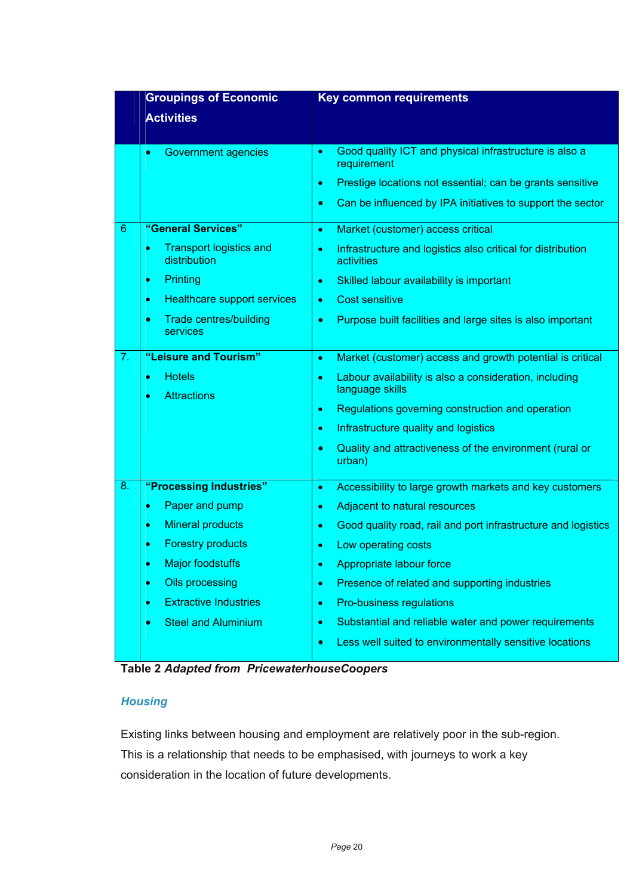|                 | <b>Groupings of Economic</b>                           | <b>Key common requirements</b>                                                         |
|-----------------|--------------------------------------------------------|----------------------------------------------------------------------------------------|
|                 | <b>Activities</b>                                      |                                                                                        |
|                 |                                                        |                                                                                        |
|                 | <b>Government agencies</b><br>$\bullet$                | Good quality ICT and physical infrastructure is also a<br>$\bullet$<br>requirement     |
|                 |                                                        | Prestige locations not essential; can be grants sensitive<br>$\bullet$                 |
|                 |                                                        | Can be influenced by IPA initiatives to support the sector<br>$\bullet$                |
| $6\phantom{1}6$ | "General Services"                                     | Market (customer) access critical<br>$\bullet$                                         |
|                 | <b>Transport logistics and</b><br>٠<br>distribution    | Infrastructure and logistics also critical for distribution<br>$\bullet$<br>activities |
|                 | Printing<br>۰                                          | Skilled labour availability is important<br>٠                                          |
|                 | <b>Healthcare support services</b><br>۰                | <b>Cost sensitive</b><br>$\bullet$                                                     |
|                 | <b>Trade centres/building</b><br>$\bullet$<br>services | Purpose built facilities and large sites is also important<br>$\bullet$                |
| 7.              | "Leisure and Tourism"                                  | Market (customer) access and growth potential is critical<br>$\bullet$                 |
|                 | <b>Hotels</b><br>٠<br><b>Attractions</b><br>۰          | Labour availability is also a consideration, including<br>$\bullet$<br>language skills |
|                 |                                                        | Regulations governing construction and operation<br>$\bullet$                          |
|                 |                                                        | Infrastructure quality and logistics<br>$\bullet$                                      |
|                 |                                                        | Quality and attractiveness of the environment (rural or<br>$\bullet$<br>urban)         |
| 8.              | "Processing Industries"                                | Accessibility to large growth markets and key customers<br>$\bullet$                   |
|                 | Paper and pump<br>٠                                    | Adjacent to natural resources<br>$\bullet$                                             |
|                 | <b>Mineral products</b><br>٠                           | Good quality road, rail and port infrastructure and logistics<br>٠                     |
|                 | <b>Forestry products</b><br>۰                          | Low operating costs<br>$\bullet$                                                       |
|                 | <b>Major foodstuffs</b><br>۰                           | Appropriate labour force                                                               |
|                 | Oils processing<br>۰                                   | Presence of related and supporting industries<br>$\bullet$                             |
|                 | <b>Extractive Industries</b><br>٠                      | Pro-business regulations<br>٠                                                          |
|                 | <b>Steel and Aluminium</b><br>$\bullet$                | Substantial and reliable water and power requirements<br>٠                             |
|                 |                                                        | Less well suited to environmentally sensitive locations<br>$\bullet$                   |

**Table 2** *Adapted from PricewaterhouseCoopers* 

## *Housing*

Existing links between housing and employment are relatively poor in the sub-region. This is a relationship that needs to be emphasised, with journeys to work a key consideration in the location of future developments.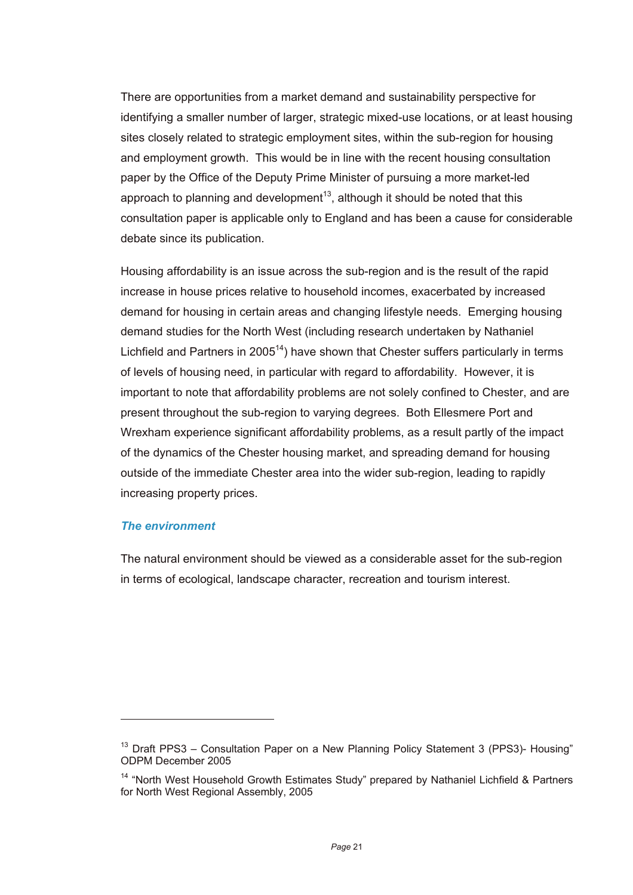There are opportunities from a market demand and sustainability perspective for identifying a smaller number of larger, strategic mixed-use locations, or at least housing sites closely related to strategic employment sites, within the sub-region for housing and employment growth. This would be in line with the recent housing consultation paper by the Office of the Deputy Prime Minister of pursuing a more market-led approach to planning and development<sup>13</sup>, although it should be noted that this consultation paper is applicable only to England and has been a cause for considerable debate since its publication.

Housing affordability is an issue across the sub-region and is the result of the rapid increase in house prices relative to household incomes, exacerbated by increased demand for housing in certain areas and changing lifestyle needs. Emerging housing demand studies for the North West (including research undertaken by Nathaniel Lichfield and Partners in 2005<sup>14</sup>) have shown that Chester suffers particularly in terms of levels of housing need, in particular with regard to affordability. However, it is important to note that affordability problems are not solely confined to Chester, and are present throughout the sub-region to varying degrees. Both Ellesmere Port and Wrexham experience significant affordability problems, as a result partly of the impact of the dynamics of the Chester housing market, and spreading demand for housing outside of the immediate Chester area into the wider sub-region, leading to rapidly increasing property prices.

#### *The environment*

l

The natural environment should be viewed as a considerable asset for the sub-region in terms of ecological, landscape character, recreation and tourism interest.

 $13$  Draft PPS3 – Consultation Paper on a New Planning Policy Statement 3 (PPS3)- Housing" ODPM December 2005

<sup>&</sup>lt;sup>14</sup> "North West Household Growth Estimates Study" prepared by Nathaniel Lichfield & Partners for North West Regional Assembly, 2005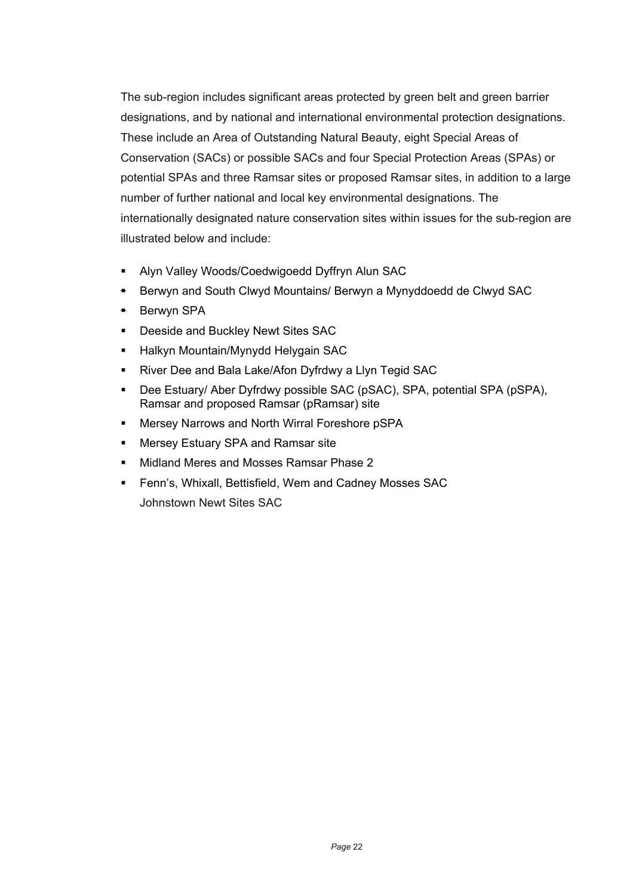The sub-region includes significant areas protected by green belt and green barrier designations, and by national and international environmental protection designations. These include an Area of Outstanding Natural Beauty, eight Special Areas of Conservation (SACs) or possible SACs and four Special Protection Areas (SPAs) or potential SPAs and three Ramsar sites or proposed Ramsar sites, in addition to a large number of further national and local key environmental designations. The internationally designated nature conservation sites within issues for the sub-region are illustrated below and include:

- Alyn Valley Woods/Coedwigoedd Dyffryn Alun SAC
- **Berwyn and South Clwyd Mountains/ Berwyn a Mynyddoedd de Clwyd SAC**
- Berwyn SPA
- **Deeside and Buckley Newt Sites SAC**
- **Halkyn Mountain/Mynydd Helygain SAC**
- River Dee and Bala Lake/Afon Dyfrdwy a Llyn Tegid SAC
- Dee Estuary/ Aber Dyfrdwy possible SAC (pSAC), SPA, potential SPA (pSPA), Ramsar and proposed Ramsar (pRamsar) site
- **Mersey Narrows and North Wirral Foreshore pSPA**
- Mersey Estuary SPA and Ramsar site
- Midland Meres and Mosses Ramsar Phase 2
- Fenn's, Whixall, Bettisfield, Wem and Cadney Mosses SAC Johnstown Newt Sites SAC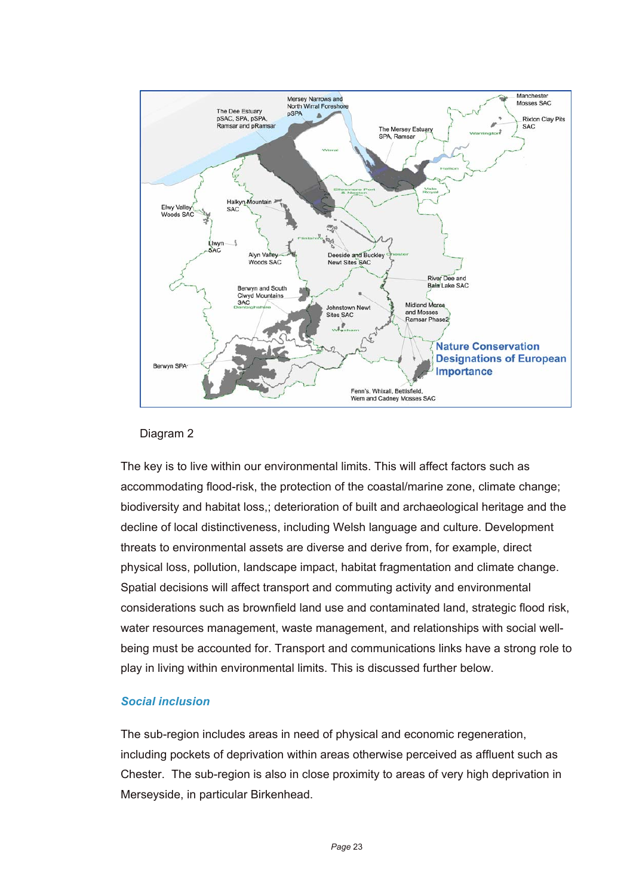

#### Diagram 2

The key is to live within our environmental limits. This will affect factors such as accommodating flood-risk, the protection of the coastal/marine zone, climate change; biodiversity and habitat loss,; deterioration of built and archaeological heritage and the decline of local distinctiveness, including Welsh language and culture. Development threats to environmental assets are diverse and derive from, for example, direct physical loss, pollution, landscape impact, habitat fragmentation and climate change. Spatial decisions will affect transport and commuting activity and environmental considerations such as brownfield land use and contaminated land, strategic flood risk, water resources management, waste management, and relationships with social wellbeing must be accounted for. Transport and communications links have a strong role to play in living within environmental limits. This is discussed further below.

#### *Social inclusion*

The sub-region includes areas in need of physical and economic regeneration, including pockets of deprivation within areas otherwise perceived as affluent such as Chester. The sub-region is also in close proximity to areas of very high deprivation in Merseyside, in particular Birkenhead.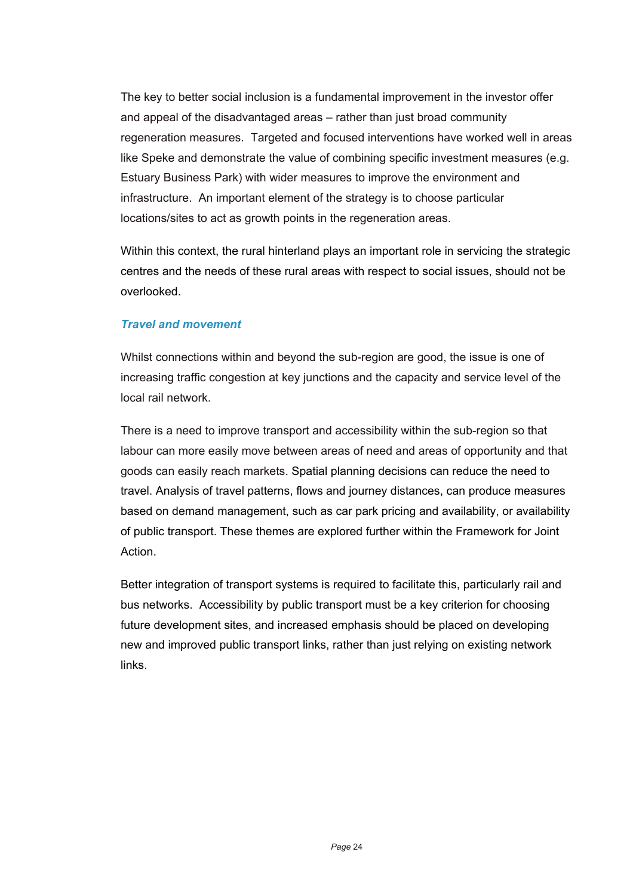The key to better social inclusion is a fundamental improvement in the investor offer and appeal of the disadvantaged areas – rather than just broad community regeneration measures. Targeted and focused interventions have worked well in areas like Speke and demonstrate the value of combining specific investment measures (e.g. Estuary Business Park) with wider measures to improve the environment and infrastructure. An important element of the strategy is to choose particular locations/sites to act as growth points in the regeneration areas.

Within this context, the rural hinterland plays an important role in servicing the strategic centres and the needs of these rural areas with respect to social issues, should not be overlooked.

## *Travel and movement*

Whilst connections within and beyond the sub-region are good, the issue is one of increasing traffic congestion at key junctions and the capacity and service level of the local rail network.

There is a need to improve transport and accessibility within the sub-region so that labour can more easily move between areas of need and areas of opportunity and that goods can easily reach markets. Spatial planning decisions can reduce the need to travel. Analysis of travel patterns, flows and journey distances, can produce measures based on demand management, such as car park pricing and availability, or availability of public transport. These themes are explored further within the Framework for Joint Action.

Better integration of transport systems is required to facilitate this, particularly rail and bus networks. Accessibility by public transport must be a key criterion for choosing future development sites, and increased emphasis should be placed on developing new and improved public transport links, rather than just relying on existing network links.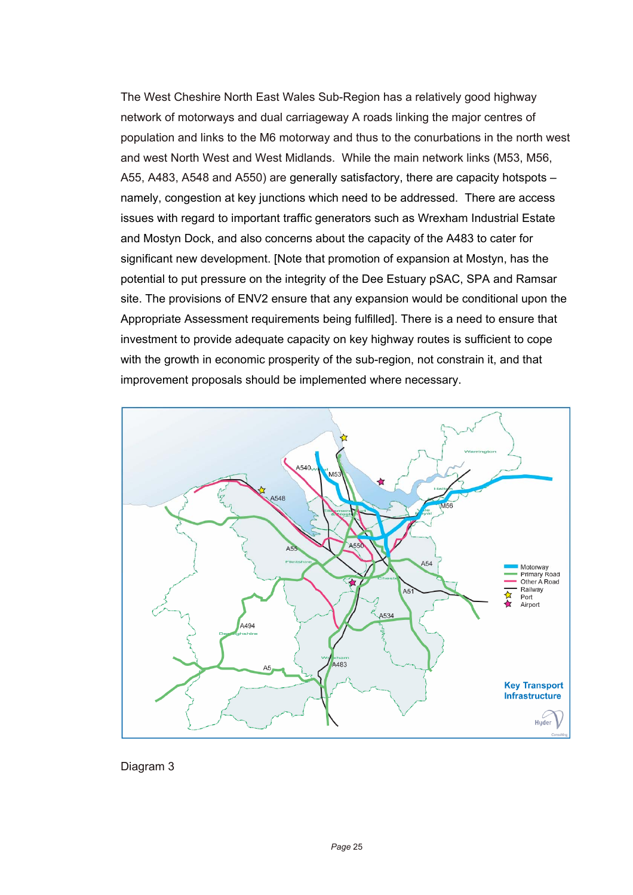The West Cheshire North East Wales Sub-Region has a relatively good highway network of motorways and dual carriageway A roads linking the major centres of population and links to the M6 motorway and thus to the conurbations in the north west and west North West and West Midlands. While the main network links (M53, M56, A55, A483, A548 and A550) are generally satisfactory, there are capacity hotspots – namely, congestion at key junctions which need to be addressed. There are access issues with regard to important traffic generators such as Wrexham Industrial Estate and Mostyn Dock, and also concerns about the capacity of the A483 to cater for significant new development. [Note that promotion of expansion at Mostyn, has the potential to put pressure on the integrity of the Dee Estuary pSAC, SPA and Ramsar site. The provisions of ENV2 ensure that any expansion would be conditional upon the Appropriate Assessment requirements being fulfilled]. There is a need to ensure that investment to provide adequate capacity on key highway routes is sufficient to cope with the growth in economic prosperity of the sub-region, not constrain it, and that improvement proposals should be implemented where necessary.



Diagram 3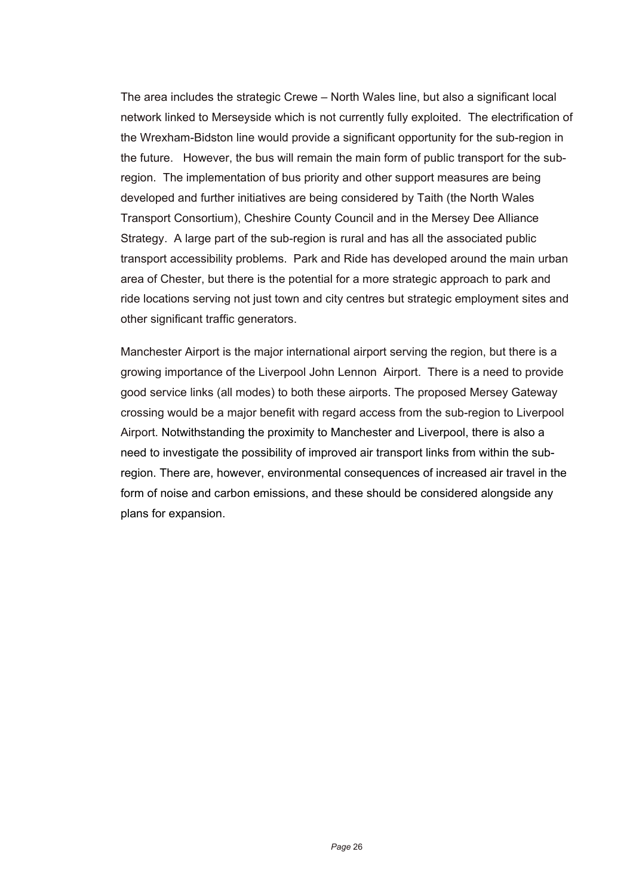The area includes the strategic Crewe – North Wales line, but also a significant local network linked to Merseyside which is not currently fully exploited. The electrification of the Wrexham-Bidston line would provide a significant opportunity for the sub-region in the future. However, the bus will remain the main form of public transport for the subregion. The implementation of bus priority and other support measures are being developed and further initiatives are being considered by Taith (the North Wales Transport Consortium), Cheshire County Council and in the Mersey Dee Alliance Strategy. A large part of the sub-region is rural and has all the associated public transport accessibility problems. Park and Ride has developed around the main urban area of Chester, but there is the potential for a more strategic approach to park and ride locations serving not just town and city centres but strategic employment sites and other significant traffic generators.

Manchester Airport is the major international airport serving the region, but there is a growing importance of the Liverpool John Lennon Airport. There is a need to provide good service links (all modes) to both these airports. The proposed Mersey Gateway crossing would be a major benefit with regard access from the sub-region to Liverpool Airport. Notwithstanding the proximity to Manchester and Liverpool, there is also a need to investigate the possibility of improved air transport links from within the subregion. There are, however, environmental consequences of increased air travel in the form of noise and carbon emissions, and these should be considered alongside any plans for expansion.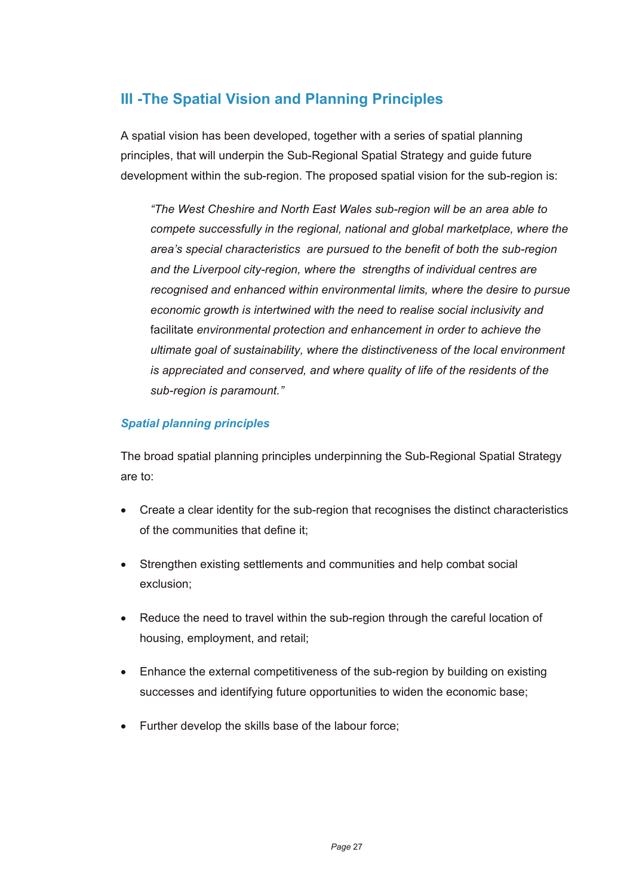# **III -The Spatial Vision and Planning Principles**

A spatial vision has been developed, together with a series of spatial planning principles, that will underpin the Sub-Regional Spatial Strategy and guide future development within the sub-region. The proposed spatial vision for the sub-region is:

*"The West Cheshire and North East Wales sub-region will be an area able to compete successfully in the regional, national and global marketplace, where the area's special characteristics are pursued to the benefit of both the sub-region and the Liverpool city-region, where the strengths of individual centres are recognised and enhanced within environmental limits, where the desire to pursue economic growth is intertwined with the need to realise social inclusivity and*  facilitate *environmental protection and enhancement in order to achieve the ultimate goal of sustainability, where the distinctiveness of the local environment is appreciated and conserved, and where quality of life of the residents of the sub-region is paramount."* 

## *Spatial planning principles*

The broad spatial planning principles underpinning the Sub-Regional Spatial Strategy are to:

- Create a clear identity for the sub-region that recognises the distinct characteristics of the communities that define it;
- Strengthen existing settlements and communities and help combat social exclusion;
- Reduce the need to travel within the sub-region through the careful location of housing, employment, and retail;
- Enhance the external competitiveness of the sub-region by building on existing successes and identifying future opportunities to widen the economic base;
- Further develop the skills base of the labour force;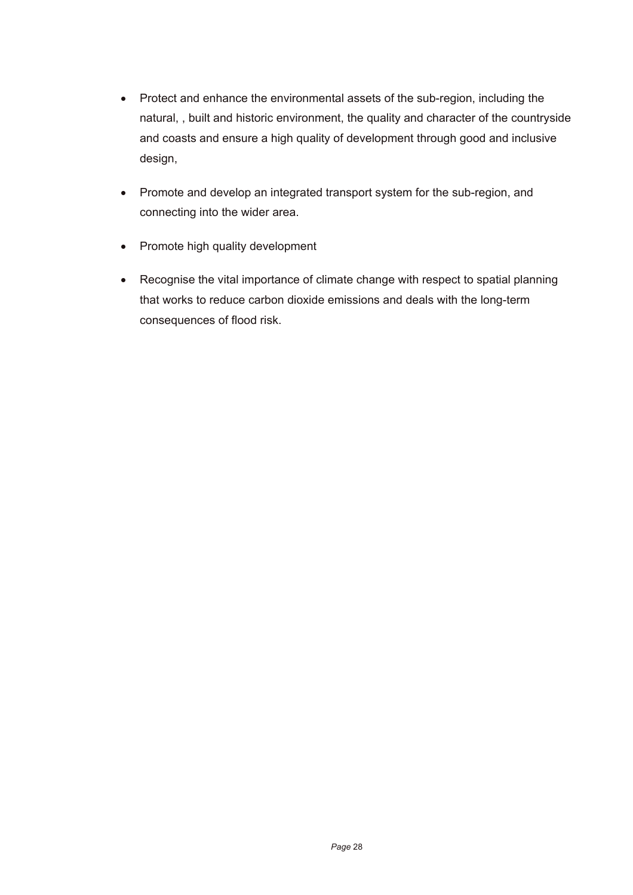- Protect and enhance the environmental assets of the sub-region, including the natural, , built and historic environment, the quality and character of the countryside and coasts and ensure a high quality of development through good and inclusive design,
- Promote and develop an integrated transport system for the sub-region, and connecting into the wider area.
- Promote high quality development
- Recognise the vital importance of climate change with respect to spatial planning that works to reduce carbon dioxide emissions and deals with the long-term consequences of flood risk.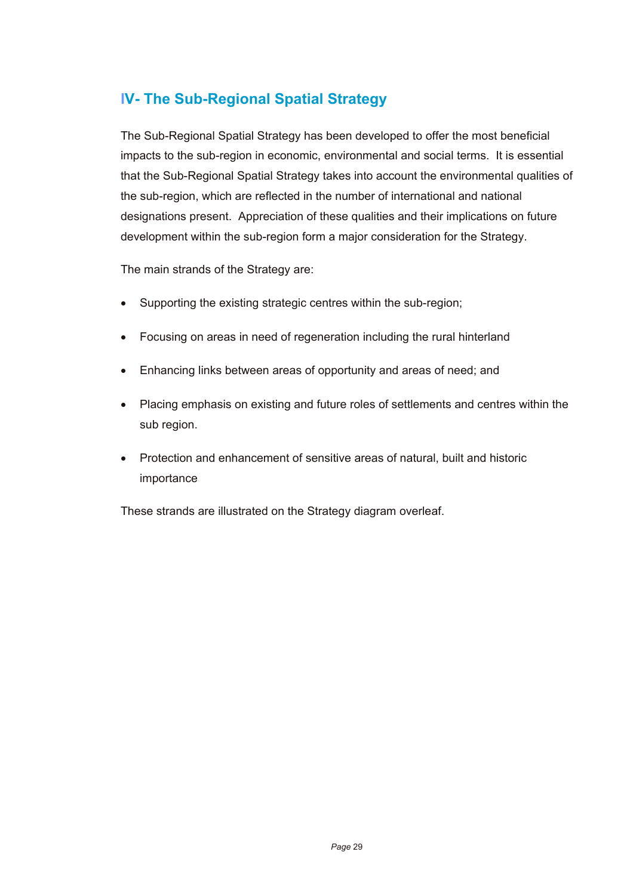# **IV- The Sub-Regional Spatial Strategy**

The Sub-Regional Spatial Strategy has been developed to offer the most beneficial impacts to the sub-region in economic, environmental and social terms. It is essential that the Sub-Regional Spatial Strategy takes into account the environmental qualities of the sub-region, which are reflected in the number of international and national designations present. Appreciation of these qualities and their implications on future development within the sub-region form a major consideration for the Strategy.

The main strands of the Strategy are:

- Supporting the existing strategic centres within the sub-region;
- Focusing on areas in need of regeneration including the rural hinterland
- Enhancing links between areas of opportunity and areas of need; and
- Placing emphasis on existing and future roles of settlements and centres within the sub region.
- Protection and enhancement of sensitive areas of natural, built and historic importance

These strands are illustrated on the Strategy diagram overleaf.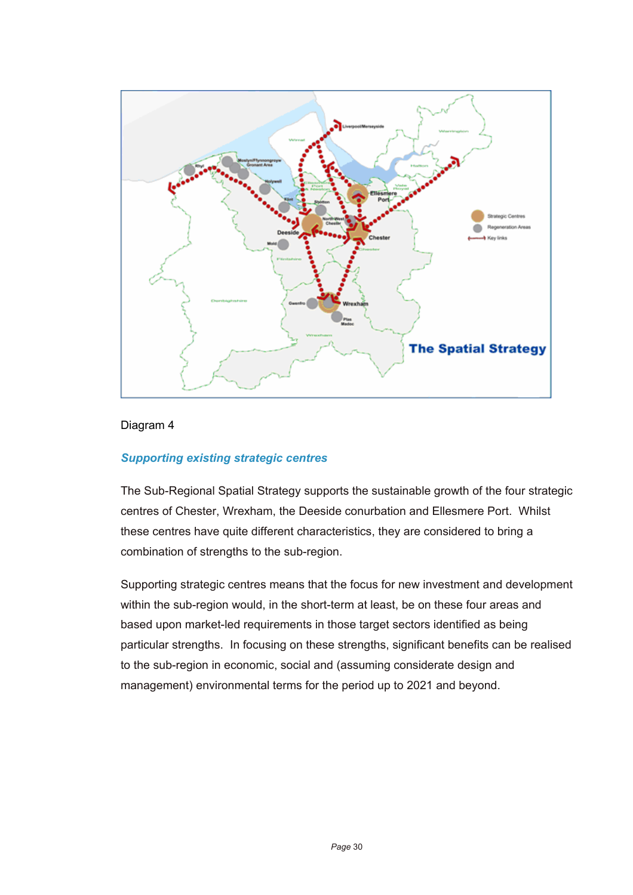

#### Diagram 4

#### *Supporting existing strategic centres*

The Sub-Regional Spatial Strategy supports the sustainable growth of the four strategic centres of Chester, Wrexham, the Deeside conurbation and Ellesmere Port. Whilst these centres have quite different characteristics, they are considered to bring a combination of strengths to the sub-region.

Supporting strategic centres means that the focus for new investment and development within the sub-region would, in the short-term at least, be on these four areas and based upon market-led requirements in those target sectors identified as being particular strengths. In focusing on these strengths, significant benefits can be realised to the sub-region in economic, social and (assuming considerate design and management) environmental terms for the period up to 2021 and beyond.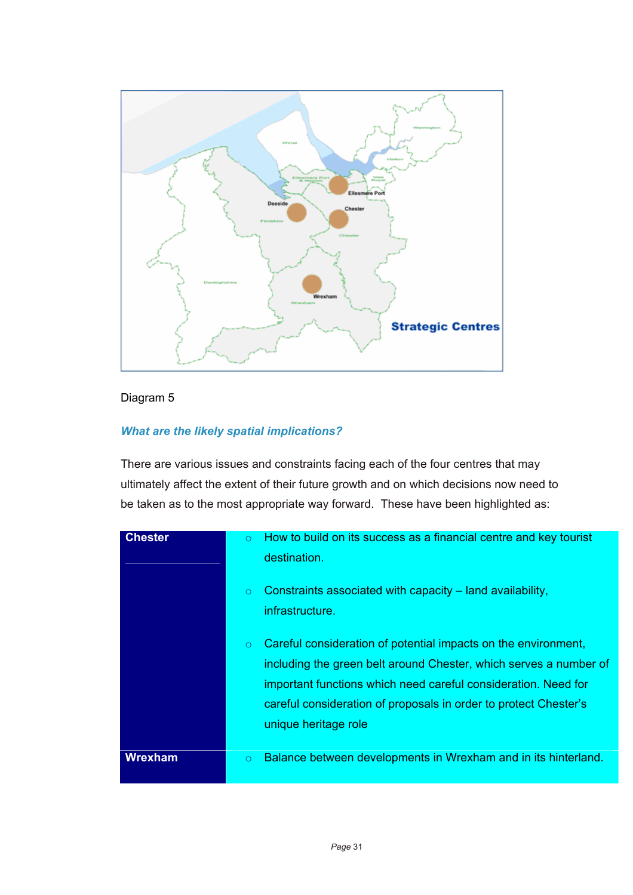

## Diagram 5

## *What are the likely spatial implications?*

There are various issues and constraints facing each of the four centres that may ultimately affect the extent of their future growth and on which decisions now need to be taken as to the most appropriate way forward. These have been highlighted as:

| <b>Chester</b> | $\circ$<br>$\circ$<br>$\circ$ | How to build on its success as a financial centre and key tourist<br>destination.<br>Constraints associated with capacity – land availability,<br>infrastructure.<br>Careful consideration of potential impacts on the environment,<br>including the green belt around Chester, which serves a number of<br>important functions which need careful consideration. Need for<br>careful consideration of proposals in order to protect Chester's<br>unique heritage role |
|----------------|-------------------------------|------------------------------------------------------------------------------------------------------------------------------------------------------------------------------------------------------------------------------------------------------------------------------------------------------------------------------------------------------------------------------------------------------------------------------------------------------------------------|
| <b>Wrexham</b> | $\circ$                       | Balance between developments in Wrexham and in its hinterland.                                                                                                                                                                                                                                                                                                                                                                                                         |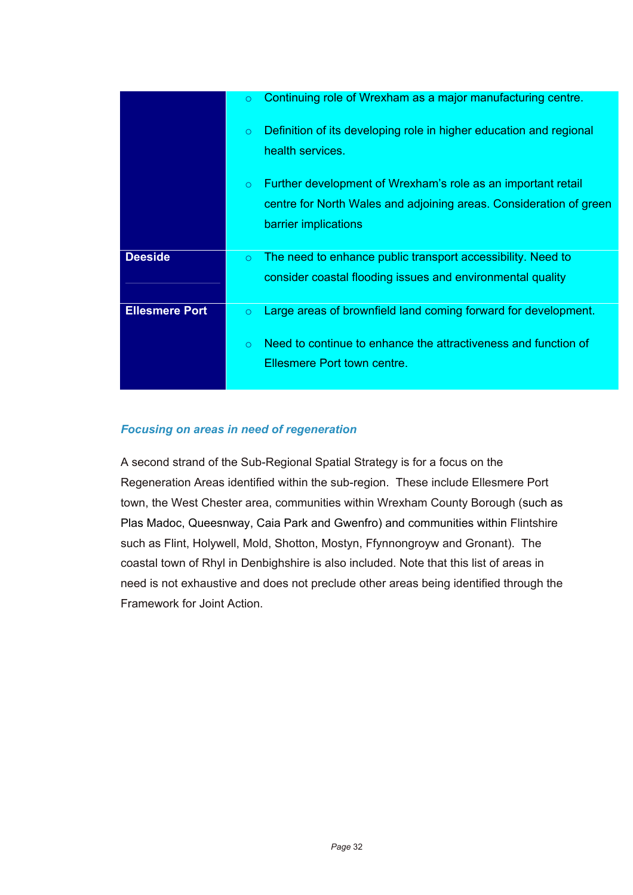|                       | Continuing role of Wrexham as a major manufacturing centre.<br>$\circ$                                                                                                                 |
|-----------------------|----------------------------------------------------------------------------------------------------------------------------------------------------------------------------------------|
|                       | Definition of its developing role in higher education and regional<br>$\circ$<br>health services.                                                                                      |
|                       | Further development of Wrexham's role as an important retail<br>$\circ$<br>centre for North Wales and adjoining areas. Consideration of green<br>barrier implications                  |
| <b>Deeside</b>        | The need to enhance public transport accessibility. Need to<br>$\circ$<br>consider coastal flooding issues and environmental quality                                                   |
| <b>Ellesmere Port</b> | Large areas of brownfield land coming forward for development.<br>$\circ$<br>Need to continue to enhance the attractiveness and function of<br>$\Omega$<br>Ellesmere Port town centre. |

### *Focusing on areas in need of regeneration*

A second strand of the Sub-Regional Spatial Strategy is for a focus on the Regeneration Areas identified within the sub-region. These include Ellesmere Port town, the West Chester area, communities within Wrexham County Borough (such as Plas Madoc, Queesnway, Caia Park and Gwenfro) and communities within Flintshire such as Flint, Holywell, Mold, Shotton, Mostyn, Ffynnongroyw and Gronant). The coastal town of Rhyl in Denbighshire is also included. Note that this list of areas in need is not exhaustive and does not preclude other areas being identified through the Framework for Joint Action.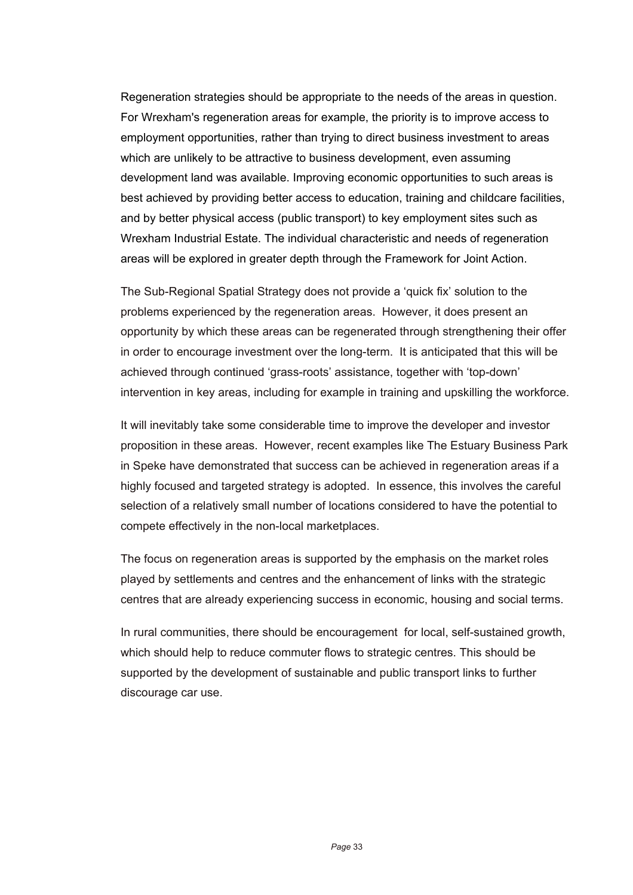Regeneration strategies should be appropriate to the needs of the areas in question. For Wrexham's regeneration areas for example, the priority is to improve access to employment opportunities, rather than trying to direct business investment to areas which are unlikely to be attractive to business development, even assuming development land was available. Improving economic opportunities to such areas is best achieved by providing better access to education, training and childcare facilities, and by better physical access (public transport) to key employment sites such as Wrexham Industrial Estate. The individual characteristic and needs of regeneration areas will be explored in greater depth through the Framework for Joint Action.

The Sub-Regional Spatial Strategy does not provide a 'quick fix' solution to the problems experienced by the regeneration areas. However, it does present an opportunity by which these areas can be regenerated through strengthening their offer in order to encourage investment over the long-term. It is anticipated that this will be achieved through continued 'grass-roots' assistance, together with 'top-down' intervention in key areas, including for example in training and upskilling the workforce.

It will inevitably take some considerable time to improve the developer and investor proposition in these areas. However, recent examples like The Estuary Business Park in Speke have demonstrated that success can be achieved in regeneration areas if a highly focused and targeted strategy is adopted. In essence, this involves the careful selection of a relatively small number of locations considered to have the potential to compete effectively in the non-local marketplaces.

The focus on regeneration areas is supported by the emphasis on the market roles played by settlements and centres and the enhancement of links with the strategic centres that are already experiencing success in economic, housing and social terms.

In rural communities, there should be encouragement for local, self-sustained growth, which should help to reduce commuter flows to strategic centres. This should be supported by the development of sustainable and public transport links to further discourage car use.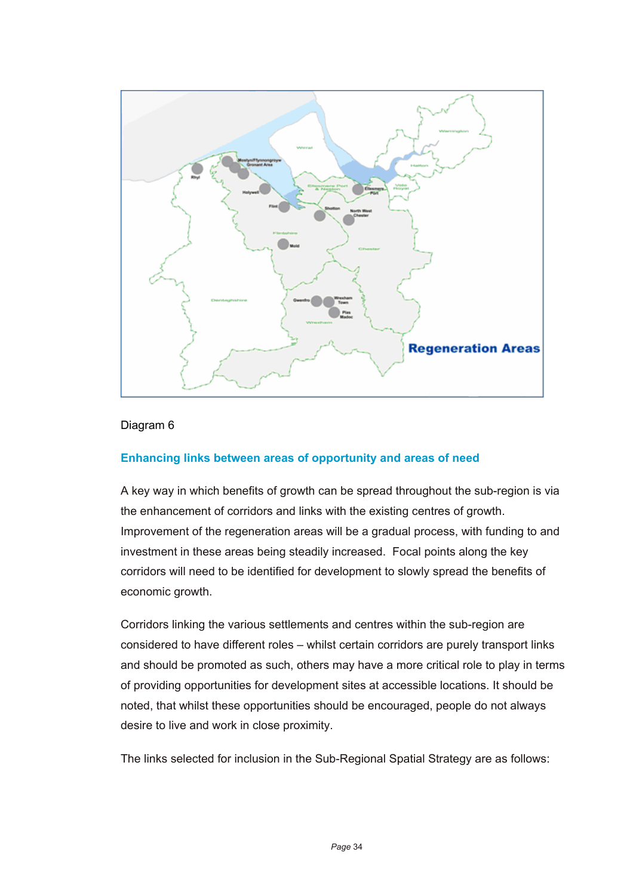

#### Diagram 6

#### **Enhancing links between areas of opportunity and areas of need**

A key way in which benefits of growth can be spread throughout the sub-region is via the enhancement of corridors and links with the existing centres of growth. Improvement of the regeneration areas will be a gradual process, with funding to and investment in these areas being steadily increased. Focal points along the key corridors will need to be identified for development to slowly spread the benefits of economic growth.

Corridors linking the various settlements and centres within the sub-region are considered to have different roles – whilst certain corridors are purely transport links and should be promoted as such, others may have a more critical role to play in terms of providing opportunities for development sites at accessible locations. It should be noted, that whilst these opportunities should be encouraged, people do not always desire to live and work in close proximity.

The links selected for inclusion in the Sub-Regional Spatial Strategy are as follows: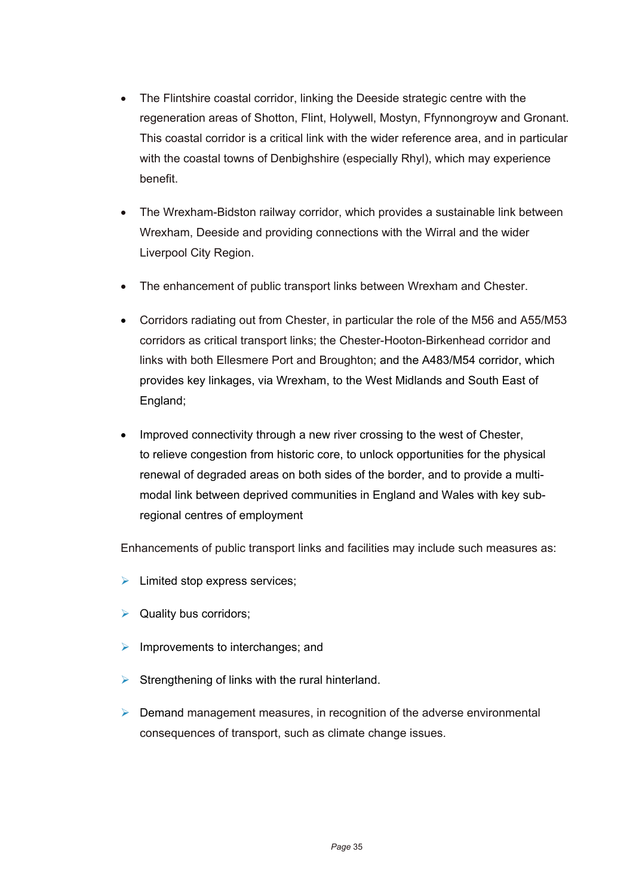- The Flintshire coastal corridor, linking the Deeside strategic centre with the regeneration areas of Shotton, Flint, Holywell, Mostyn, Ffynnongroyw and Gronant. This coastal corridor is a critical link with the wider reference area, and in particular with the coastal towns of Denbighshire (especially Rhyl), which may experience benefit.
- The Wrexham-Bidston railway corridor, which provides a sustainable link between Wrexham, Deeside and providing connections with the Wirral and the wider Liverpool City Region.
- The enhancement of public transport links between Wrexham and Chester.
- Corridors radiating out from Chester, in particular the role of the M56 and A55/M53 corridors as critical transport links; the Chester-Hooton-Birkenhead corridor and links with both Ellesmere Port and Broughton; and the A483/M54 corridor, which provides key linkages, via Wrexham, to the West Midlands and South East of England;
- Improved connectivity through a new river crossing to the west of Chester, to relieve congestion from historic core, to unlock opportunities for the physical renewal of degraded areas on both sides of the border, and to provide a multimodal link between deprived communities in England and Wales with key subregional centres of employment

Enhancements of public transport links and facilities may include such measures as:

- $\blacktriangleright$  Limited stop express services;
- $\triangleright$  Quality bus corridors;
- $\triangleright$  Improvements to interchanges; and
- $\triangleright$  Strengthening of links with the rural hinterland.
- $\triangleright$  Demand management measures, in recognition of the adverse environmental consequences of transport, such as climate change issues.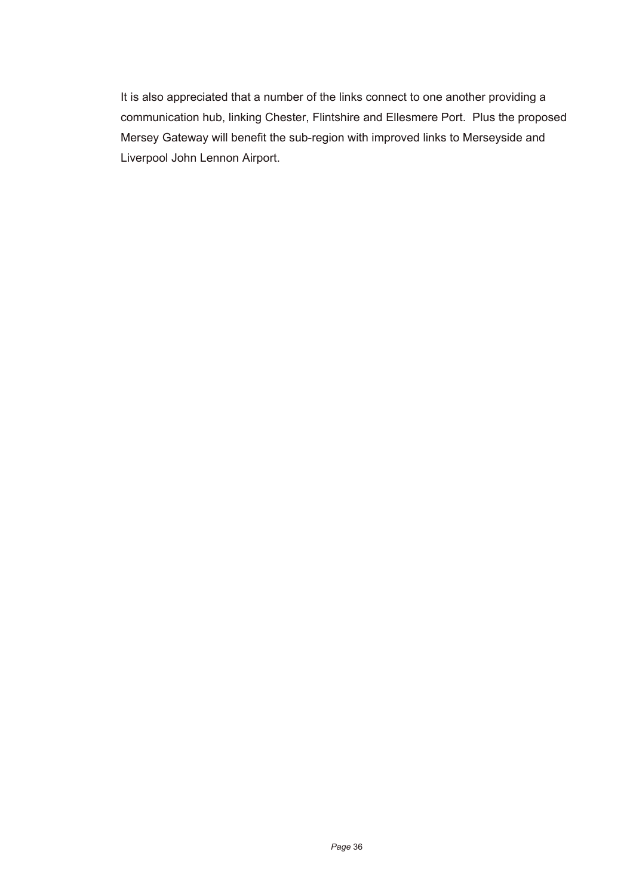It is also appreciated that a number of the links connect to one another providing a communication hub, linking Chester, Flintshire and Ellesmere Port. Plus the proposed Mersey Gateway will benefit the sub-region with improved links to Merseyside and Liverpool John Lennon Airport.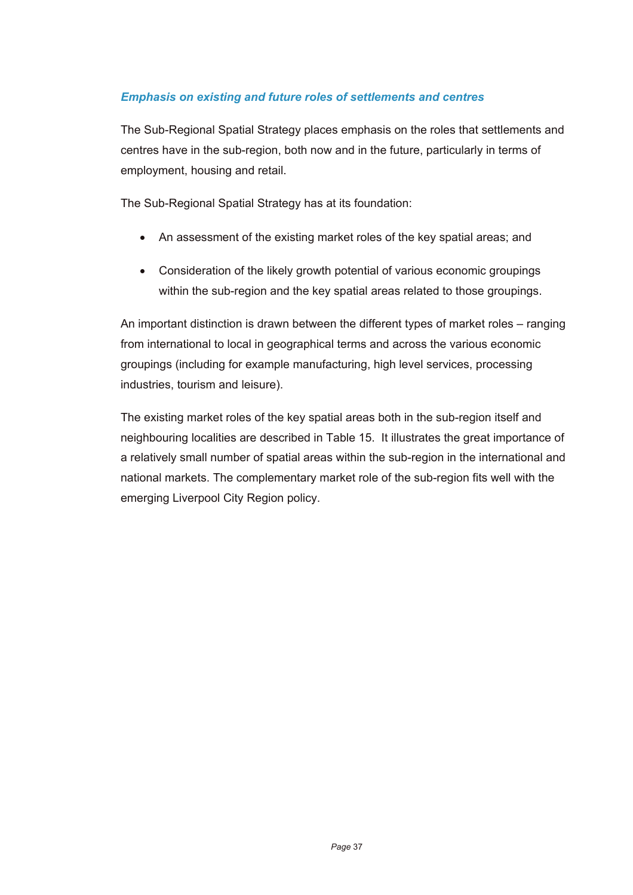### *Emphasis on existing and future roles of settlements and centres*

The Sub-Regional Spatial Strategy places emphasis on the roles that settlements and centres have in the sub-region, both now and in the future, particularly in terms of employment, housing and retail.

The Sub-Regional Spatial Strategy has at its foundation:

- An assessment of the existing market roles of the key spatial areas; and
- Consideration of the likely growth potential of various economic groupings within the sub-region and the key spatial areas related to those groupings.

An important distinction is drawn between the different types of market roles – ranging from international to local in geographical terms and across the various economic groupings (including for example manufacturing, high level services, processing industries, tourism and leisure).

The existing market roles of the key spatial areas both in the sub-region itself and neighbouring localities are described in Table 15. It illustrates the great importance of a relatively small number of spatial areas within the sub-region in the international and national markets. The complementary market role of the sub-region fits well with the emerging Liverpool City Region policy.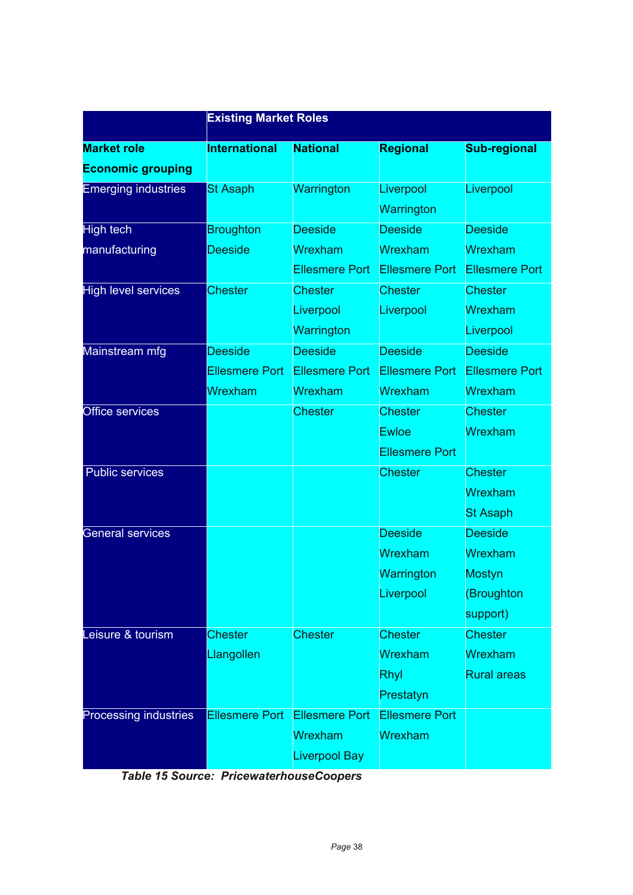|                            | <b>Existing Market Roles</b> |                       |                       |                       |  |
|----------------------------|------------------------------|-----------------------|-----------------------|-----------------------|--|
| <b>Market role</b>         | <b>International</b>         | <b>National</b>       | <b>Regional</b>       | <b>Sub-regional</b>   |  |
| <b>Economic grouping</b>   |                              |                       |                       |                       |  |
| <b>Emerging industries</b> | <b>St Asaph</b>              | Warrington            | Liverpool             | Liverpool             |  |
|                            |                              |                       | Warrington            |                       |  |
| <b>High tech</b>           | <b>Broughton</b>             | <b>Deeside</b>        | <b>Deeside</b>        | <b>Deeside</b>        |  |
| manufacturing              | <b>Deeside</b>               | Wrexham               | Wrexham               | Wrexham               |  |
|                            |                              | <b>Ellesmere Port</b> | <b>Ellesmere Port</b> | <b>Ellesmere Port</b> |  |
| <b>High level services</b> | <b>Chester</b>               | <b>Chester</b>        | <b>Chester</b>        | <b>Chester</b>        |  |
|                            |                              | Liverpool             | Liverpool             | Wrexham               |  |
|                            |                              | Warrington            |                       | Liverpool             |  |
| Mainstream mfg             | <b>Deeside</b>               | <b>Deeside</b>        | <b>Deeside</b>        | <b>Deeside</b>        |  |
|                            | <b>Ellesmere Port</b>        | <b>Ellesmere Port</b> | Ellesmere Port        | <b>Ellesmere Port</b> |  |
|                            | Wrexham                      | Wrexham               | Wrexham               | Wrexham               |  |
| <b>Office services</b>     |                              | <b>Chester</b>        | <b>Chester</b>        | <b>Chester</b>        |  |
|                            |                              |                       | <b>Ewloe</b>          | Wrexham               |  |
|                            |                              |                       | <b>Ellesmere Port</b> |                       |  |
| <b>Public services</b>     |                              |                       | <b>Chester</b>        | <b>Chester</b>        |  |
|                            |                              |                       |                       | Wrexham               |  |
|                            |                              |                       |                       | <b>St Asaph</b>       |  |
| <b>General services</b>    |                              |                       | <b>Deeside</b>        | <b>Deeside</b>        |  |
|                            |                              |                       | Wrexham               | Wrexham               |  |
|                            |                              |                       | Warrington            | <b>Mostyn</b>         |  |
|                            |                              |                       | Liverpool             | (Broughton            |  |
|                            |                              |                       |                       | support)              |  |
| Leisure & tourism          | <b>Chester</b>               | <b>Chester</b>        | <b>Chester</b>        | <b>Chester</b>        |  |
|                            | Llangollen                   |                       | Wrexham               | Wrexham               |  |
|                            |                              |                       | Rhyl                  | <b>Rural areas</b>    |  |
|                            |                              |                       | Prestatyn             |                       |  |
| Processing industries      | <b>Ellesmere Port</b>        | <b>Ellesmere Port</b> | <b>Ellesmere Port</b> |                       |  |
|                            |                              | Wrexham               | Wrexham               |                       |  |
|                            |                              | <b>Liverpool Bay</b>  |                       |                       |  |

*Table 15 Source: PricewaterhouseCoopers*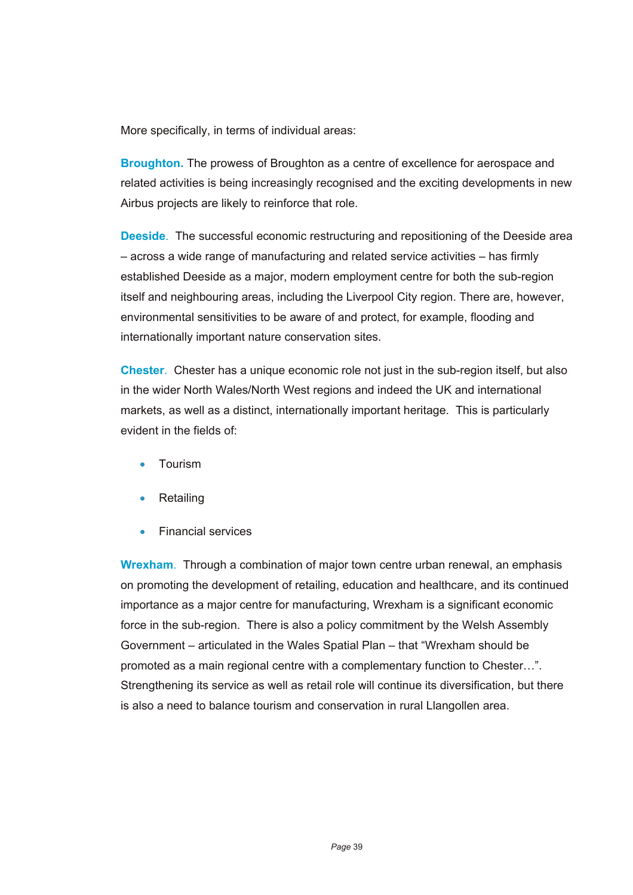More specifically, in terms of individual areas:

**Broughton.** The prowess of Broughton as a centre of excellence for aerospace and related activities is being increasingly recognised and the exciting developments in new Airbus projects are likely to reinforce that role.

**Deeside.** The successful economic restructuring and repositioning of the Deeside area – across a wide range of manufacturing and related service activities – has firmly established Deeside as a major, modern employment centre for both the sub-region itself and neighbouring areas, including the Liverpool City region. There are, however, environmental sensitivities to be aware of and protect, for example, flooding and internationally important nature conservation sites.

**Chester**. Chester has a unique economic role not just in the sub-region itself, but also in the wider North Wales/North West regions and indeed the UK and international markets, as well as a distinct, internationally important heritage. This is particularly evident in the fields of:

- Tourism
- Retailing
- Financial services

**Wrexham**. Through a combination of major town centre urban renewal, an emphasis on promoting the development of retailing, education and healthcare, and its continued importance as a major centre for manufacturing, Wrexham is a significant economic force in the sub-region. There is also a policy commitment by the Welsh Assembly Government – articulated in the Wales Spatial Plan – that "Wrexham should be promoted as a main regional centre with a complementary function to Chester…". Strengthening its service as well as retail role will continue its diversification, but there is also a need to balance tourism and conservation in rural Llangollen area.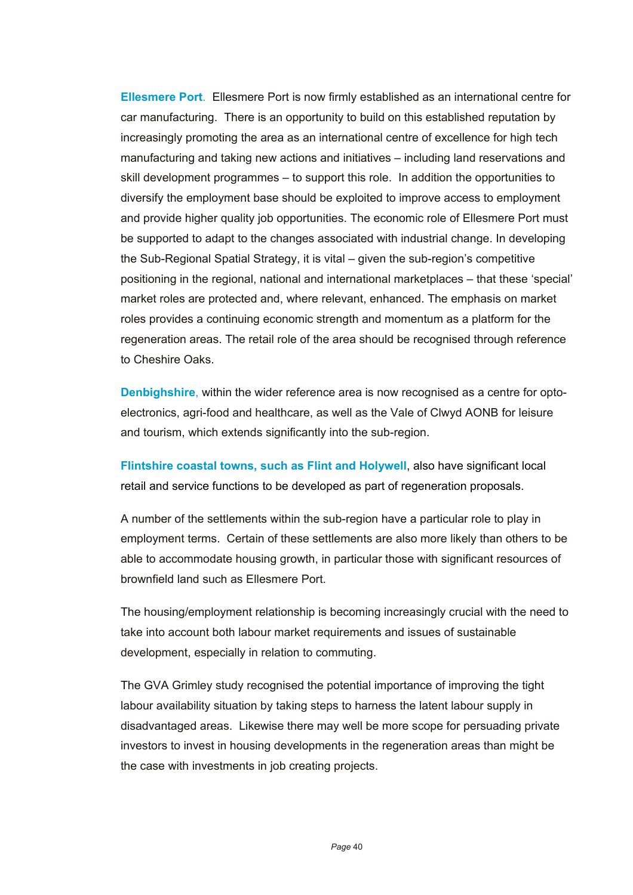**Ellesmere Port**. Ellesmere Port is now firmly established as an international centre for car manufacturing. There is an opportunity to build on this established reputation by increasingly promoting the area as an international centre of excellence for high tech manufacturing and taking new actions and initiatives – including land reservations and skill development programmes – to support this role. In addition the opportunities to diversify the employment base should be exploited to improve access to employment and provide higher quality job opportunities. The economic role of Ellesmere Port must be supported to adapt to the changes associated with industrial change. In developing the Sub-Regional Spatial Strategy, it is vital – given the sub-region's competitive positioning in the regional, national and international marketplaces – that these 'special' market roles are protected and, where relevant, enhanced. The emphasis on market roles provides a continuing economic strength and momentum as a platform for the regeneration areas. The retail role of the area should be recognised through reference to Cheshire Oaks.

**Denbighshire**, within the wider reference area is now recognised as a centre for optoelectronics, agri-food and healthcare, as well as the Vale of Clwyd AONB for leisure and tourism, which extends significantly into the sub-region.

**Flintshire coastal towns, such as Flint and Holywell**, also have significant local retail and service functions to be developed as part of regeneration proposals.

A number of the settlements within the sub-region have a particular role to play in employment terms. Certain of these settlements are also more likely than others to be able to accommodate housing growth, in particular those with significant resources of brownfield land such as Ellesmere Port.

The housing/employment relationship is becoming increasingly crucial with the need to take into account both labour market requirements and issues of sustainable development, especially in relation to commuting.

The GVA Grimley study recognised the potential importance of improving the tight labour availability situation by taking steps to harness the latent labour supply in disadvantaged areas. Likewise there may well be more scope for persuading private investors to invest in housing developments in the regeneration areas than might be the case with investments in job creating projects.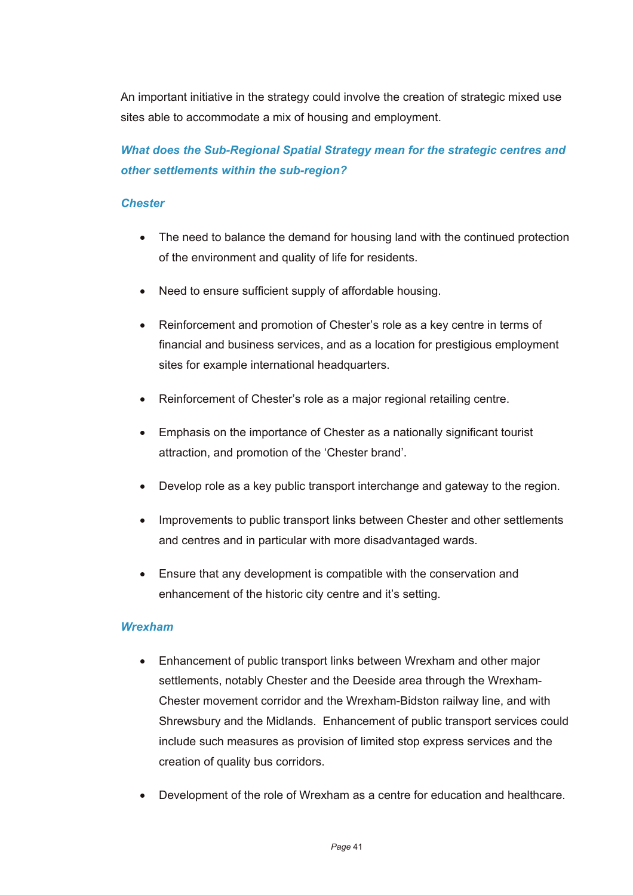An important initiative in the strategy could involve the creation of strategic mixed use sites able to accommodate a mix of housing and employment.

# *What does the Sub-Regional Spatial Strategy mean for the strategic centres and other settlements within the sub-region?*

### *Chester*

- The need to balance the demand for housing land with the continued protection of the environment and quality of life for residents.
- Need to ensure sufficient supply of affordable housing.
- Reinforcement and promotion of Chester's role as a key centre in terms of financial and business services, and as a location for prestigious employment sites for example international headquarters.
- Reinforcement of Chester's role as a major regional retailing centre.
- Emphasis on the importance of Chester as a nationally significant tourist attraction, and promotion of the 'Chester brand'.
- Develop role as a key public transport interchange and gateway to the region.
- Improvements to public transport links between Chester and other settlements and centres and in particular with more disadvantaged wards.
- Ensure that any development is compatible with the conservation and enhancement of the historic city centre and it's setting.

### *Wrexham*

- Enhancement of public transport links between Wrexham and other major settlements, notably Chester and the Deeside area through the Wrexham-Chester movement corridor and the Wrexham-Bidston railway line, and with Shrewsbury and the Midlands. Enhancement of public transport services could include such measures as provision of limited stop express services and the creation of quality bus corridors.
- Development of the role of Wrexham as a centre for education and healthcare.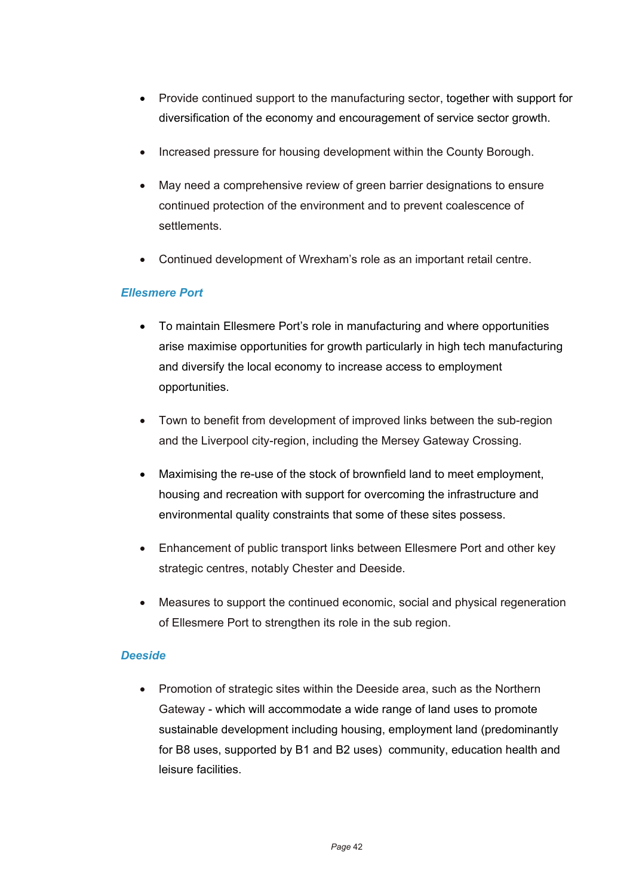- Provide continued support to the manufacturing sector, together with support for diversification of the economy and encouragement of service sector growth.
- Increased pressure for housing development within the County Borough.
- May need a comprehensive review of green barrier designations to ensure continued protection of the environment and to prevent coalescence of settlements.
- Continued development of Wrexham's role as an important retail centre.

### *Ellesmere Port*

- To maintain Ellesmere Port's role in manufacturing and where opportunities arise maximise opportunities for growth particularly in high tech manufacturing and diversify the local economy to increase access to employment opportunities.
- Town to benefit from development of improved links between the sub-region and the Liverpool city-region, including the Mersey Gateway Crossing.
- Maximising the re-use of the stock of brownfield land to meet employment, housing and recreation with support for overcoming the infrastructure and environmental quality constraints that some of these sites possess.
- Enhancement of public transport links between Ellesmere Port and other key strategic centres, notably Chester and Deeside.
- Measures to support the continued economic, social and physical regeneration of Ellesmere Port to strengthen its role in the sub region.

#### *Deeside*

• Promotion of strategic sites within the Deeside area, such as the Northern Gateway - which will accommodate a wide range of land uses to promote sustainable development including housing, employment land (predominantly for B8 uses, supported by B1 and B2 uses) community, education health and leisure facilities.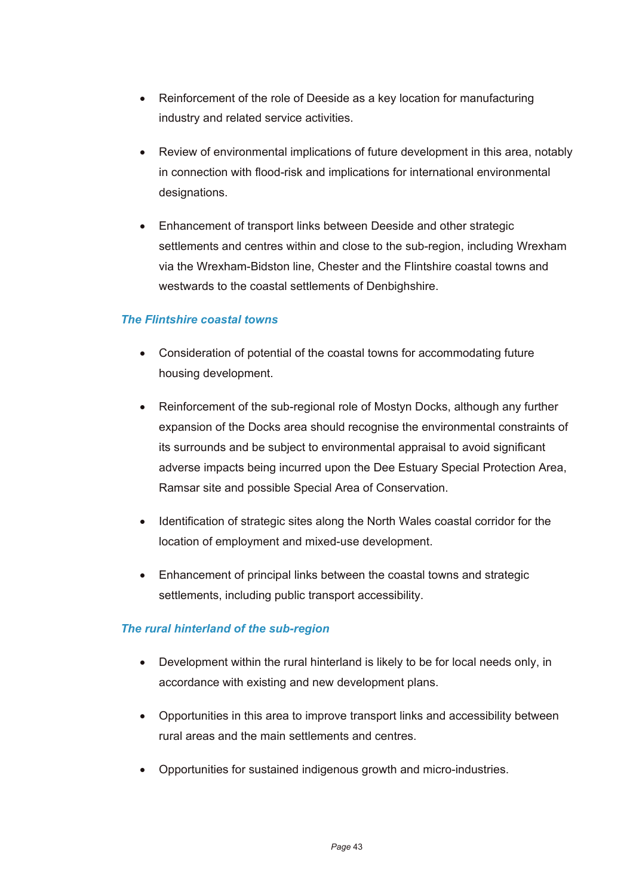- Reinforcement of the role of Deeside as a key location for manufacturing industry and related service activities.
- Review of environmental implications of future development in this area, notably in connection with flood-risk and implications for international environmental designations.
- Enhancement of transport links between Deeside and other strategic settlements and centres within and close to the sub-region, including Wrexham via the Wrexham-Bidston line, Chester and the Flintshire coastal towns and westwards to the coastal settlements of Denbighshire.

### *The Flintshire coastal towns*

- Consideration of potential of the coastal towns for accommodating future housing development.
- Reinforcement of the sub-regional role of Mostyn Docks, although any further expansion of the Docks area should recognise the environmental constraints of its surrounds and be subject to environmental appraisal to avoid significant adverse impacts being incurred upon the Dee Estuary Special Protection Area, Ramsar site and possible Special Area of Conservation.
- Identification of strategic sites along the North Wales coastal corridor for the location of employment and mixed-use development.
- Enhancement of principal links between the coastal towns and strategic settlements, including public transport accessibility.

### *The rural hinterland of the sub-region*

- Development within the rural hinterland is likely to be for local needs only, in accordance with existing and new development plans.
- Opportunities in this area to improve transport links and accessibility between rural areas and the main settlements and centres.
- Opportunities for sustained indigenous growth and micro-industries.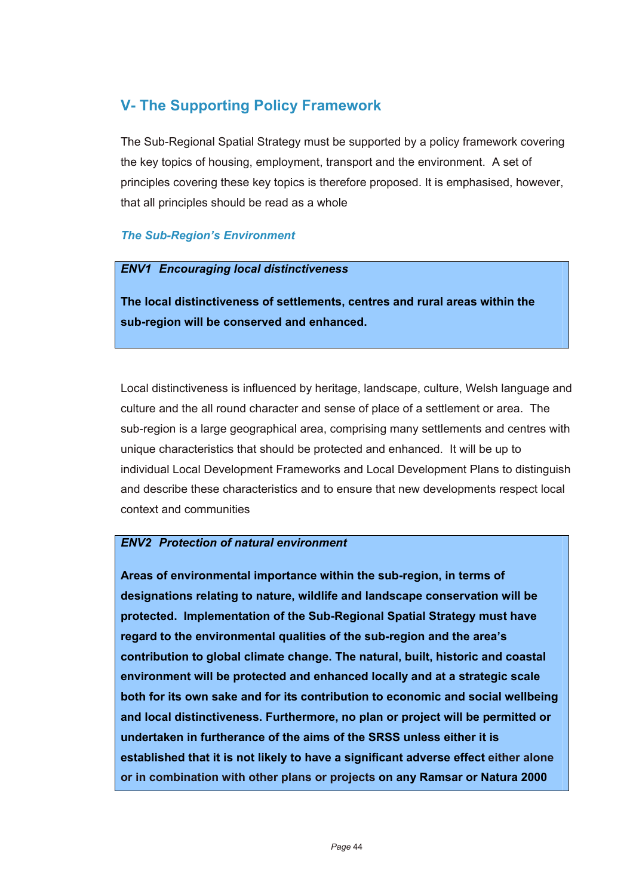# **V- The Supporting Policy Framework**

The Sub-Regional Spatial Strategy must be supported by a policy framework covering the key topics of housing, employment, transport and the environment. A set of principles covering these key topics is therefore proposed. It is emphasised, however, that all principles should be read as a whole

### *The Sub-Region's Environment*

### *ENV1 Encouraging local distinctiveness*

**The local distinctiveness of settlements, centres and rural areas within the sub-region will be conserved and enhanced.** 

Local distinctiveness is influenced by heritage, landscape, culture, Welsh language and culture and the all round character and sense of place of a settlement or area. The sub-region is a large geographical area, comprising many settlements and centres with unique characteristics that should be protected and enhanced. It will be up to individual Local Development Frameworks and Local Development Plans to distinguish and describe these characteristics and to ensure that new developments respect local context and communities

### *ENV2 Protection of natural environment*

**Areas of environmental importance within the sub-region, in terms of designations relating to nature, wildlife and landscape conservation will be protected. Implementation of the Sub-Regional Spatial Strategy must have regard to the environmental qualities of the sub-region and the area's contribution to global climate change. The natural, built, historic and coastal environment will be protected and enhanced locally and at a strategic scale both for its own sake and for its contribution to economic and social wellbeing and local distinctiveness. Furthermore, no plan or project will be permitted or undertaken in furtherance of the aims of the SRSS unless either it is established that it is not likely to have a significant adverse effect either alone or in combination with other plans or projects on any Ramsar or Natura 2000**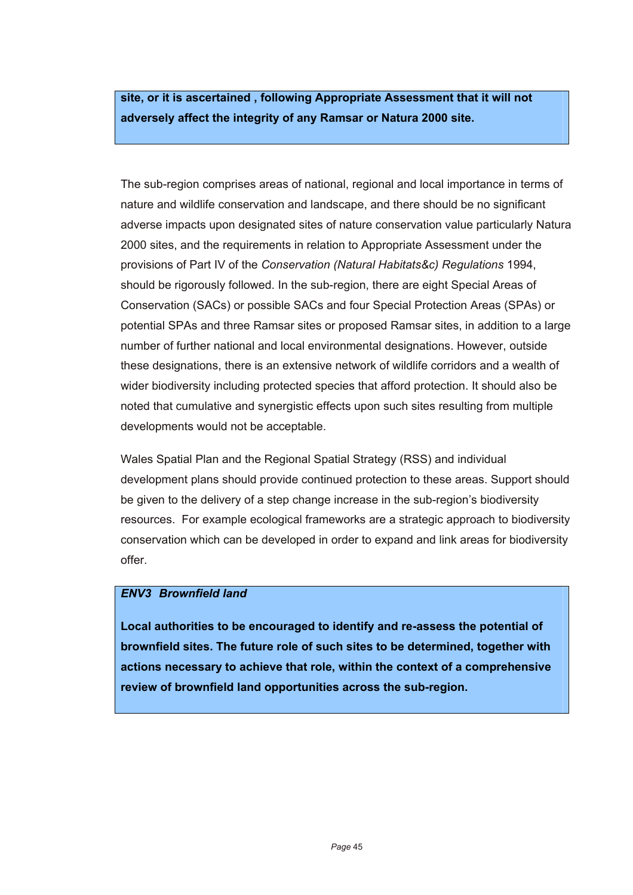**site, or it is ascertained , following Appropriate Assessment that it will not adversely affect the integrity of any Ramsar or Natura 2000 site.**

The sub-region comprises areas of national, regional and local importance in terms of nature and wildlife conservation and landscape, and there should be no significant adverse impacts upon designated sites of nature conservation value particularly Natura 2000 sites, and the requirements in relation to Appropriate Assessment under the provisions of Part IV of the *Conservation (Natural Habitats&c) Regulations* 1994, should be rigorously followed. In the sub-region, there are eight Special Areas of Conservation (SACs) or possible SACs and four Special Protection Areas (SPAs) or potential SPAs and three Ramsar sites or proposed Ramsar sites, in addition to a large number of further national and local environmental designations. However, outside these designations, there is an extensive network of wildlife corridors and a wealth of wider biodiversity including protected species that afford protection. It should also be noted that cumulative and synergistic effects upon such sites resulting from multiple developments would not be acceptable.

Wales Spatial Plan and the Regional Spatial Strategy (RSS) and individual development plans should provide continued protection to these areas. Support should be given to the delivery of a step change increase in the sub-region's biodiversity resources. For example ecological frameworks are a strategic approach to biodiversity conservation which can be developed in order to expand and link areas for biodiversity offer.

### *ENV3 Brownfield land*

**Local authorities to be encouraged to identify and re-assess the potential of brownfield sites. The future role of such sites to be determined, together with actions necessary to achieve that role, within the context of a comprehensive review of brownfield land opportunities across the sub-region.**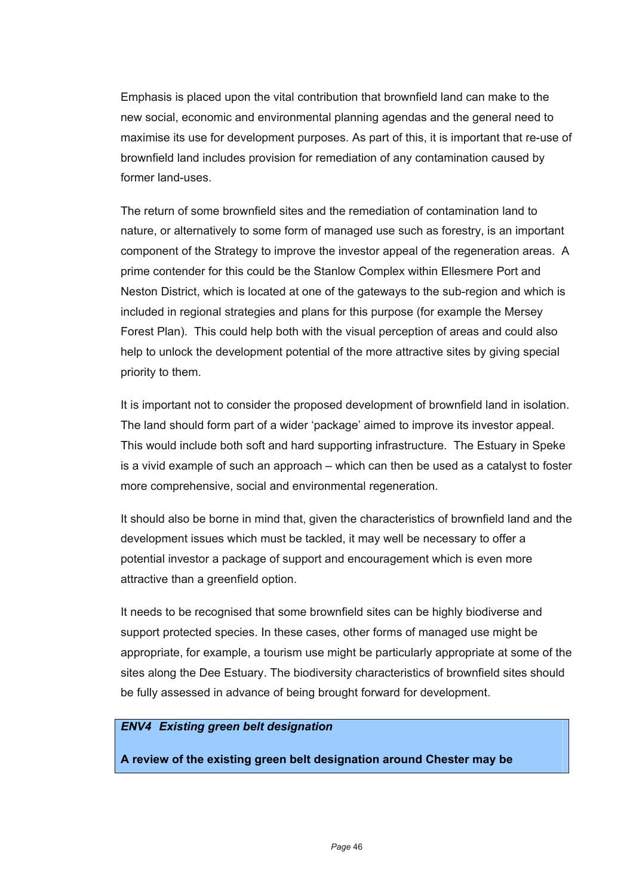Emphasis is placed upon the vital contribution that brownfield land can make to the new social, economic and environmental planning agendas and the general need to maximise its use for development purposes. As part of this, it is important that re-use of brownfield land includes provision for remediation of any contamination caused by former land-uses.

The return of some brownfield sites and the remediation of contamination land to nature, or alternatively to some form of managed use such as forestry, is an important component of the Strategy to improve the investor appeal of the regeneration areas. A prime contender for this could be the Stanlow Complex within Ellesmere Port and Neston District, which is located at one of the gateways to the sub-region and which is included in regional strategies and plans for this purpose (for example the Mersey Forest Plan). This could help both with the visual perception of areas and could also help to unlock the development potential of the more attractive sites by giving special priority to them.

It is important not to consider the proposed development of brownfield land in isolation. The land should form part of a wider 'package' aimed to improve its investor appeal. This would include both soft and hard supporting infrastructure. The Estuary in Speke is a vivid example of such an approach – which can then be used as a catalyst to foster more comprehensive, social and environmental regeneration.

It should also be borne in mind that, given the characteristics of brownfield land and the development issues which must be tackled, it may well be necessary to offer a potential investor a package of support and encouragement which is even more attractive than a greenfield option.

It needs to be recognised that some brownfield sites can be highly biodiverse and support protected species. In these cases, other forms of managed use might be appropriate, for example, a tourism use might be particularly appropriate at some of the sites along the Dee Estuary. The biodiversity characteristics of brownfield sites should be fully assessed in advance of being brought forward for development.

#### *ENV4 Existing green belt designation*

**A review of the existing green belt designation around Chester may be**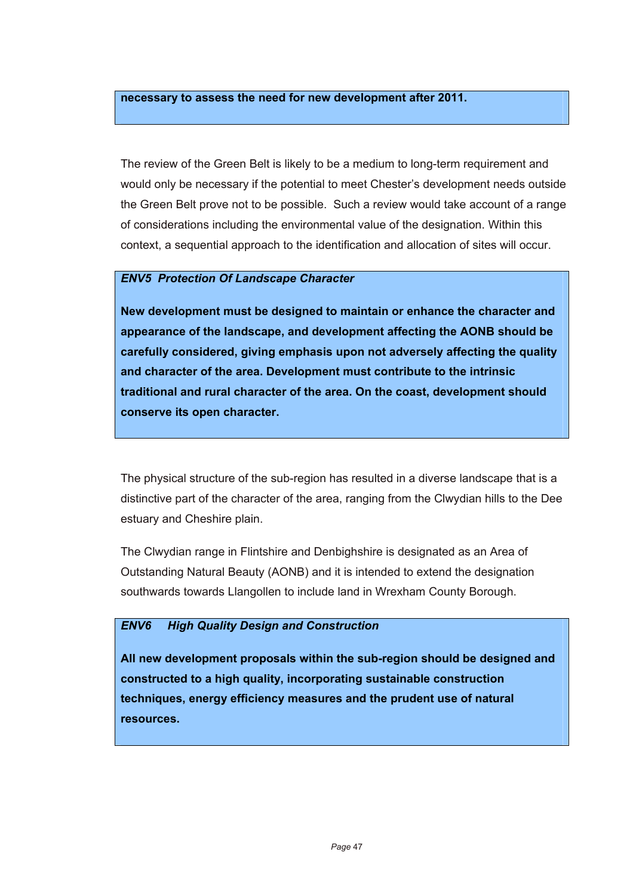#### **necessary to assess the need for new development after 2011.**

The review of the Green Belt is likely to be a medium to long-term requirement and would only be necessary if the potential to meet Chester's development needs outside the Green Belt prove not to be possible. Such a review would take account of a range of considerations including the environmental value of the designation. Within this context, a sequential approach to the identification and allocation of sites will occur.

### *ENV5 Protection Of Landscape Character*

**New development must be designed to maintain or enhance the character and appearance of the landscape, and development affecting the AONB should be carefully considered, giving emphasis upon not adversely affecting the quality and character of the area. Development must contribute to the intrinsic traditional and rural character of the area. On the coast, development should conserve its open character.** 

The physical structure of the sub-region has resulted in a diverse landscape that is a distinctive part of the character of the area, ranging from the Clwydian hills to the Dee estuary and Cheshire plain.

The Clwydian range in Flintshire and Denbighshire is designated as an Area of Outstanding Natural Beauty (AONB) and it is intended to extend the designation southwards towards Llangollen to include land in Wrexham County Borough.

#### *ENV6 High Quality Design and Construction*

**All new development proposals within the sub-region should be designed and constructed to a high quality, incorporating sustainable construction techniques, energy efficiency measures and the prudent use of natural resources.**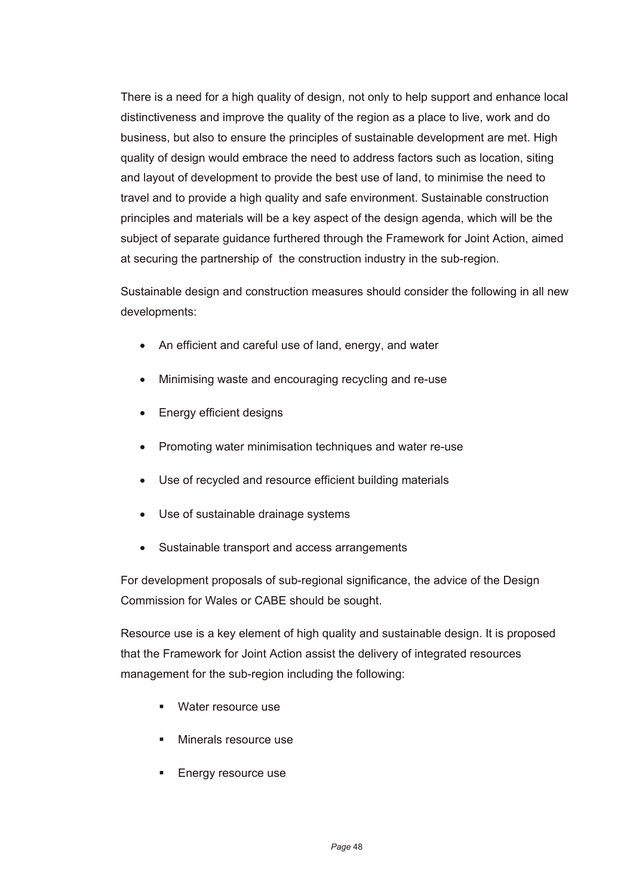There is a need for a high quality of design, not only to help support and enhance local distinctiveness and improve the quality of the region as a place to live, work and do business, but also to ensure the principles of sustainable development are met. High quality of design would embrace the need to address factors such as location, siting and layout of development to provide the best use of land, to minimise the need to travel and to provide a high quality and safe environment. Sustainable construction principles and materials will be a key aspect of the design agenda, which will be the subject of separate guidance furthered through the Framework for Joint Action, aimed at securing the partnership of the construction industry in the sub-region.

Sustainable design and construction measures should consider the following in all new developments:

- An efficient and careful use of land, energy, and water
- Minimising waste and encouraging recycling and re-use
- Energy efficient designs
- Promoting water minimisation techniques and water re-use
- Use of recycled and resource efficient building materials
- Use of sustainable drainage systems
- Sustainable transport and access arrangements

For development proposals of sub-regional significance, the advice of the Design Commission for Wales or CABE should be sought.

Resource use is a key element of high quality and sustainable design. It is proposed that the Framework for Joint Action assist the delivery of integrated resources management for the sub-region including the following:

- **Water resource use**
- **Minerals resource use**
- **Energy resource use**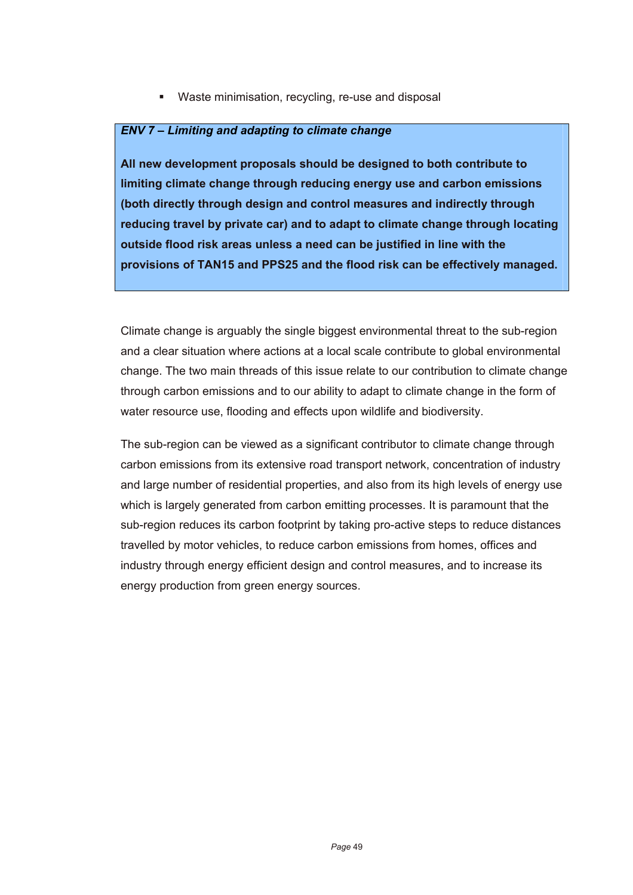**Waste minimisation, recycling, re-use and disposal** 

#### *ENV 7 – Limiting and adapting to climate change*

**All new development proposals should be designed to both contribute to limiting climate change through reducing energy use and carbon emissions (both directly through design and control measures and indirectly through reducing travel by private car) and to adapt to climate change through locating outside flood risk areas unless a need can be justified in line with the provisions of TAN15 and PPS25 and the flood risk can be effectively managed.**

Climate change is arguably the single biggest environmental threat to the sub-region and a clear situation where actions at a local scale contribute to global environmental change. The two main threads of this issue relate to our contribution to climate change through carbon emissions and to our ability to adapt to climate change in the form of water resource use, flooding and effects upon wildlife and biodiversity.

The sub-region can be viewed as a significant contributor to climate change through carbon emissions from its extensive road transport network, concentration of industry and large number of residential properties, and also from its high levels of energy use which is largely generated from carbon emitting processes. It is paramount that the sub-region reduces its carbon footprint by taking pro-active steps to reduce distances travelled by motor vehicles, to reduce carbon emissions from homes, offices and industry through energy efficient design and control measures, and to increase its energy production from green energy sources.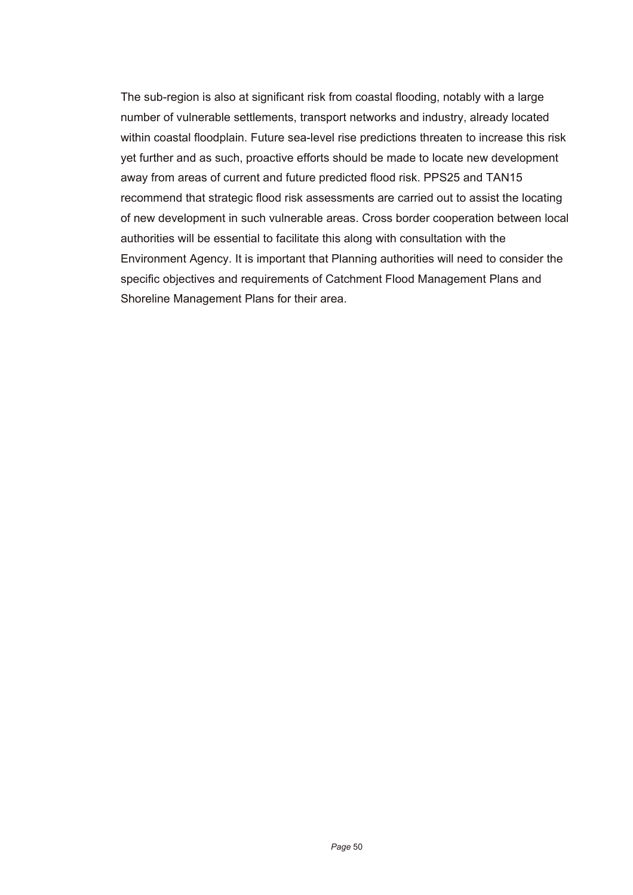The sub-region is also at significant risk from coastal flooding, notably with a large number of vulnerable settlements, transport networks and industry, already located within coastal floodplain. Future sea-level rise predictions threaten to increase this risk yet further and as such, proactive efforts should be made to locate new development away from areas of current and future predicted flood risk. PPS25 and TAN15 recommend that strategic flood risk assessments are carried out to assist the locating of new development in such vulnerable areas. Cross border cooperation between local authorities will be essential to facilitate this along with consultation with the Environment Agency. It is important that Planning authorities will need to consider the specific objectives and requirements of Catchment Flood Management Plans and Shoreline Management Plans for their area.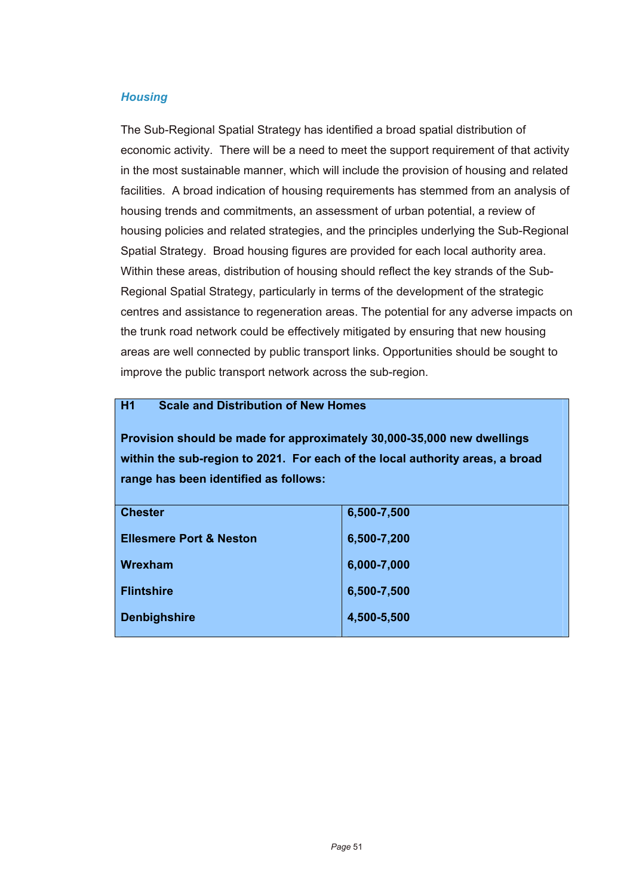### *Housing*

The Sub-Regional Spatial Strategy has identified a broad spatial distribution of economic activity. There will be a need to meet the support requirement of that activity in the most sustainable manner, which will include the provision of housing and related facilities. A broad indication of housing requirements has stemmed from an analysis of housing trends and commitments, an assessment of urban potential, a review of housing policies and related strategies, and the principles underlying the Sub-Regional Spatial Strategy. Broad housing figures are provided for each local authority area. Within these areas, distribution of housing should reflect the key strands of the Sub-Regional Spatial Strategy, particularly in terms of the development of the strategic centres and assistance to regeneration areas. The potential for any adverse impacts on the trunk road network could be effectively mitigated by ensuring that new housing areas are well connected by public transport links. Opportunities should be sought to improve the public transport network across the sub-region.

### **H1 Scale and Distribution of New Homes**

**Provision should be made for approximately 30,000-35,000 new dwellings within the sub-region to 2021. For each of the local authority areas, a broad range has been identified as follows:** 

| <b>Chester</b>                     | 6,500-7,500 |
|------------------------------------|-------------|
|                                    |             |
| <b>Ellesmere Port &amp; Neston</b> | 6,500-7,200 |
|                                    |             |
| Wrexham                            | 6,000-7,000 |
|                                    |             |
| <b>Flintshire</b>                  | 6,500-7,500 |
|                                    |             |
| <b>Denbighshire</b>                | 4,500-5,500 |
|                                    |             |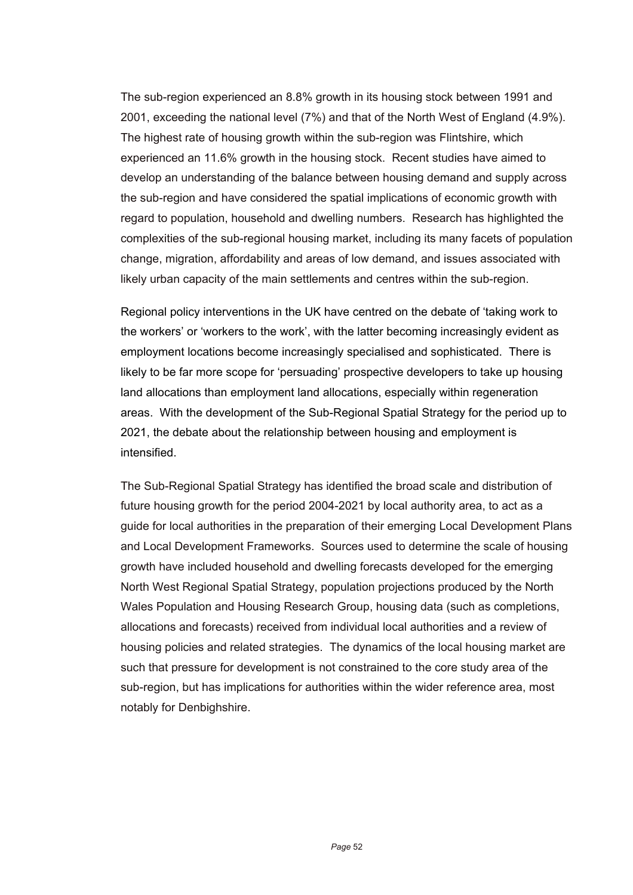The sub-region experienced an 8.8% growth in its housing stock between 1991 and 2001, exceeding the national level (7%) and that of the North West of England (4.9%). The highest rate of housing growth within the sub-region was Flintshire, which experienced an 11.6% growth in the housing stock. Recent studies have aimed to develop an understanding of the balance between housing demand and supply across the sub-region and have considered the spatial implications of economic growth with regard to population, household and dwelling numbers. Research has highlighted the complexities of the sub-regional housing market, including its many facets of population change, migration, affordability and areas of low demand, and issues associated with likely urban capacity of the main settlements and centres within the sub-region.

Regional policy interventions in the UK have centred on the debate of 'taking work to the workers' or 'workers to the work', with the latter becoming increasingly evident as employment locations become increasingly specialised and sophisticated. There is likely to be far more scope for 'persuading' prospective developers to take up housing land allocations than employment land allocations, especially within regeneration areas. With the development of the Sub-Regional Spatial Strategy for the period up to 2021, the debate about the relationship between housing and employment is intensified.

The Sub-Regional Spatial Strategy has identified the broad scale and distribution of future housing growth for the period 2004-2021 by local authority area, to act as a guide for local authorities in the preparation of their emerging Local Development Plans and Local Development Frameworks. Sources used to determine the scale of housing growth have included household and dwelling forecasts developed for the emerging North West Regional Spatial Strategy, population projections produced by the North Wales Population and Housing Research Group, housing data (such as completions, allocations and forecasts) received from individual local authorities and a review of housing policies and related strategies. The dynamics of the local housing market are such that pressure for development is not constrained to the core study area of the sub-region, but has implications for authorities within the wider reference area, most notably for Denbighshire.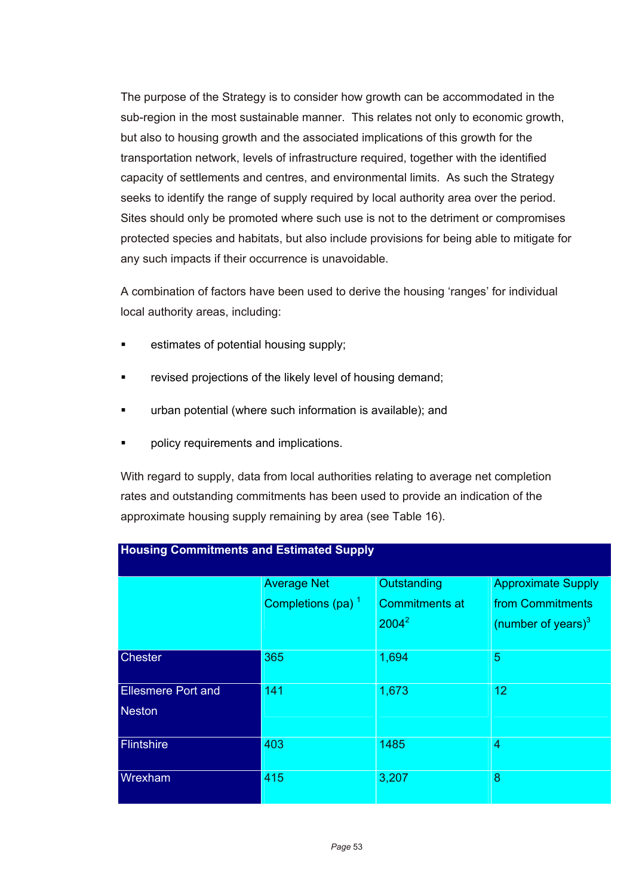The purpose of the Strategy is to consider how growth can be accommodated in the sub-region in the most sustainable manner. This relates not only to economic growth, but also to housing growth and the associated implications of this growth for the transportation network, levels of infrastructure required, together with the identified capacity of settlements and centres, and environmental limits. As such the Strategy seeks to identify the range of supply required by local authority area over the period. Sites should only be promoted where such use is not to the detriment or compromises protected species and habitats, but also include provisions for being able to mitigate for any such impacts if their occurrence is unavoidable.

A combination of factors have been used to derive the housing 'ranges' for individual local authority areas, including:

- **EXECUTE:** estimates of potential housing supply;
- revised projections of the likely level of housing demand;
- urban potential (where such information is available); and
- policy requirements and implications.

**Housing Commitments and Estimated Supply** 

With regard to supply, data from local authorities relating to average net completion rates and outstanding commitments has been used to provide an indication of the approximate housing supply remaining by area (see Table 16).

|                           | <b>Average Net</b>            | Outstanding           | <b>Approximate Supply</b> |  |  |
|---------------------------|-------------------------------|-----------------------|---------------------------|--|--|
|                           | Completions (pa) <sup>1</sup> | <b>Commitments at</b> | from Commitments          |  |  |
|                           |                               | $2004^2$              | (number of years) $3$     |  |  |
| <b>Chester</b>            | 365                           | 1,694                 | 5                         |  |  |
| <b>Ellesmere Port and</b> | 141                           | 1,673                 | 12                        |  |  |
| <b>Neston</b>             |                               |                       |                           |  |  |
| Flintshire                | 403                           | 1485                  | 4                         |  |  |
| Wrexham                   | 415                           | 3,207                 | 8                         |  |  |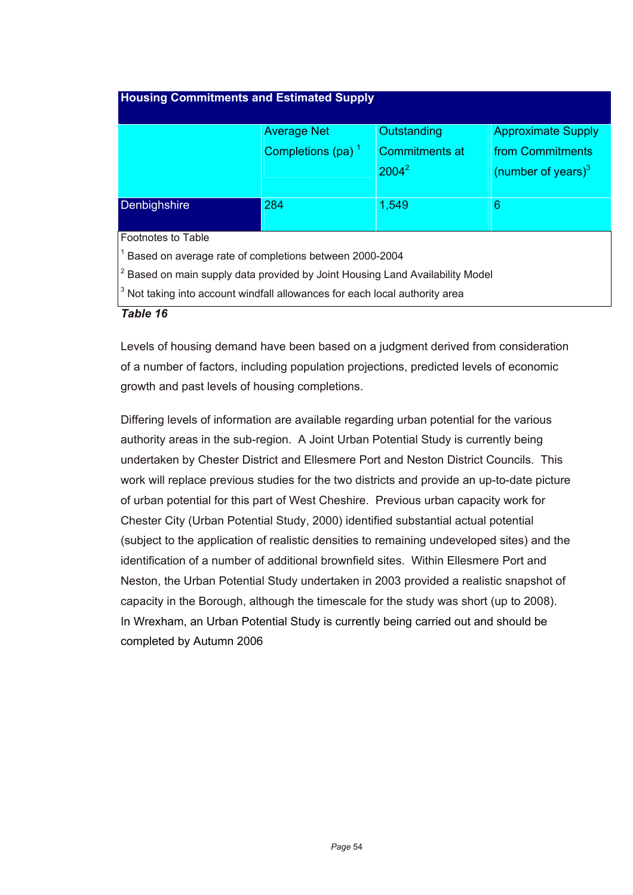| <b>Housing Commitments and Estimated Supply</b>                                                  |                      |                       |                           |  |  |  |
|--------------------------------------------------------------------------------------------------|----------------------|-----------------------|---------------------------|--|--|--|
|                                                                                                  | <b>Average Net</b>   | Outstanding           | <b>Approximate Supply</b> |  |  |  |
|                                                                                                  | Completions (pa) $1$ | <b>Commitments at</b> | from Commitments          |  |  |  |
|                                                                                                  |                      | $2004^2$              | (number of years) $3$     |  |  |  |
| Denbighshire                                                                                     | 284                  | 1,549                 | 6                         |  |  |  |
| Footnotes to Table                                                                               |                      |                       |                           |  |  |  |
| <sup>1</sup> Based on average rate of completions between 2000-2004                              |                      |                       |                           |  |  |  |
| $\vert$ <sup>2</sup> Based on main supply data provided by Joint Housing Land Availability Model |                      |                       |                           |  |  |  |
| $3$ Not taking into account windfall allowances for each local authority area                    |                      |                       |                           |  |  |  |
| Table 16                                                                                         |                      |                       |                           |  |  |  |

Levels of housing demand have been based on a judgment derived from consideration of a number of factors, including population projections, predicted levels of economic growth and past levels of housing completions.

Differing levels of information are available regarding urban potential for the various authority areas in the sub-region. A Joint Urban Potential Study is currently being undertaken by Chester District and Ellesmere Port and Neston District Councils. This work will replace previous studies for the two districts and provide an up-to-date picture of urban potential for this part of West Cheshire. Previous urban capacity work for Chester City (Urban Potential Study, 2000) identified substantial actual potential (subject to the application of realistic densities to remaining undeveloped sites) and the identification of a number of additional brownfield sites. Within Ellesmere Port and Neston, the Urban Potential Study undertaken in 2003 provided a realistic snapshot of capacity in the Borough, although the timescale for the study was short (up to 2008). In Wrexham, an Urban Potential Study is currently being carried out and should be completed by Autumn 2006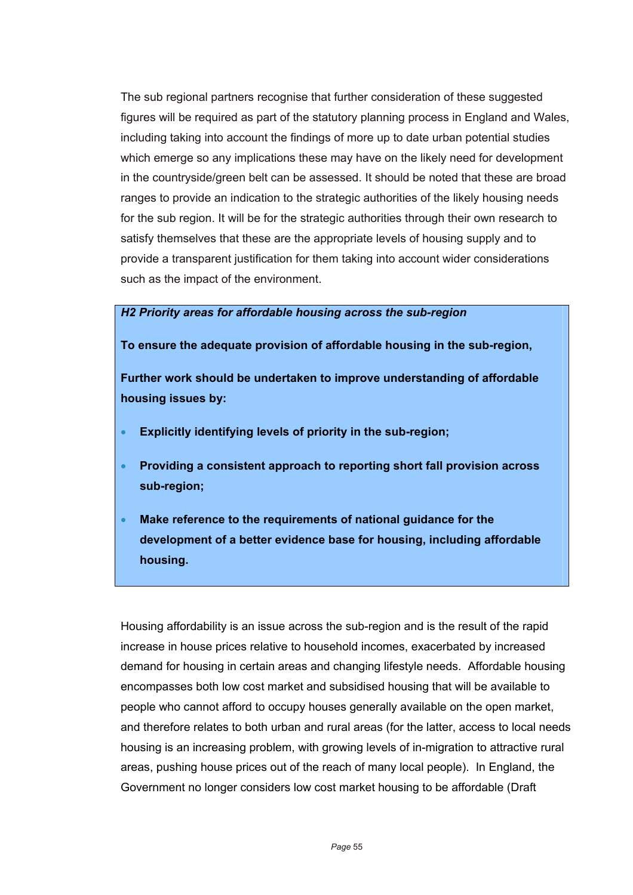The sub regional partners recognise that further consideration of these suggested figures will be required as part of the statutory planning process in England and Wales, including taking into account the findings of more up to date urban potential studies which emerge so any implications these may have on the likely need for development in the countryside/green belt can be assessed. It should be noted that these are broad ranges to provide an indication to the strategic authorities of the likely housing needs for the sub region. It will be for the strategic authorities through their own research to satisfy themselves that these are the appropriate levels of housing supply and to provide a transparent justification for them taking into account wider considerations such as the impact of the environment.

#### *H2 Priority areas for affordable housing across the sub-region*

**To ensure the adequate provision of affordable housing in the sub-region,** 

**Further work should be undertaken to improve understanding of affordable housing issues by:** 

- **Explicitly identifying levels of priority in the sub-region;**
- **Providing a consistent approach to reporting short fall provision across sub-region;**
- **Make reference to the requirements of national guidance for the development of a better evidence base for housing, including affordable housing.**

Housing affordability is an issue across the sub-region and is the result of the rapid increase in house prices relative to household incomes, exacerbated by increased demand for housing in certain areas and changing lifestyle needs. Affordable housing encompasses both low cost market and subsidised housing that will be available to people who cannot afford to occupy houses generally available on the open market, and therefore relates to both urban and rural areas (for the latter, access to local needs housing is an increasing problem, with growing levels of in-migration to attractive rural areas, pushing house prices out of the reach of many local people). In England, the Government no longer considers low cost market housing to be affordable (Draft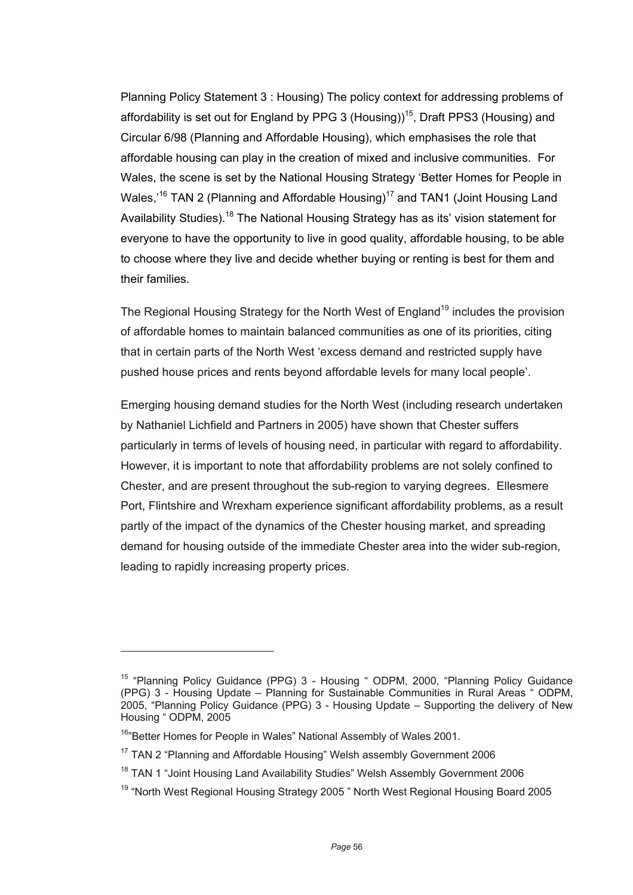Planning Policy Statement 3 : Housing) The policy context for addressing problems of affordability is set out for England by PPG 3 (Housing)<sup>15</sup>, Draft PPS3 (Housing) and Circular 6/98 (Planning and Affordable Housing), which emphasises the role that affordable housing can play in the creation of mixed and inclusive communities. For Wales, the scene is set by the National Housing Strategy 'Better Homes for People in Wales,<sup>16</sup> TAN 2 (Planning and Affordable Housing)<sup>17</sup> and TAN1 (Joint Housing Land Availability Studies).<sup>18</sup> The National Housing Strategy has as its' vision statement for everyone to have the opportunity to live in good quality, affordable housing, to be able to choose where they live and decide whether buying or renting is best for them and their families.

The Regional Housing Strategy for the North West of England<sup>19</sup> includes the provision of affordable homes to maintain balanced communities as one of its priorities, citing that in certain parts of the North West 'excess demand and restricted supply have pushed house prices and rents beyond affordable levels for many local people'.

Emerging housing demand studies for the North West (including research undertaken by Nathaniel Lichfield and Partners in 2005) have shown that Chester suffers particularly in terms of levels of housing need, in particular with regard to affordability. However, it is important to note that affordability problems are not solely confined to Chester, and are present throughout the sub-region to varying degrees. Ellesmere Port, Flintshire and Wrexham experience significant affordability problems, as a result partly of the impact of the dynamics of the Chester housing market, and spreading demand for housing outside of the immediate Chester area into the wider sub-region, leading to rapidly increasing property prices.

 $\overline{a}$ 

<sup>&</sup>lt;sup>15</sup> "Planning Policy Guidance (PPG) 3 - Housing " ODPM, 2000, "Planning Policy Guidance (PPG) 3 - Housing Update – Planning for Sustainable Communities in Rural Areas " ODPM, 2005, "Planning Policy Guidance (PPG) 3 - Housing Update – Supporting the delivery of New Housing " ODPM, 2005

<sup>&</sup>lt;sup>16</sup>"Better Homes for People in Wales" National Assembly of Wales 2001.

<sup>&</sup>lt;sup>17</sup> TAN 2 "Planning and Affordable Housing" Welsh assembly Government 2006

<sup>&</sup>lt;sup>18</sup> TAN 1 "Joint Housing Land Availability Studies" Welsh Assembly Government 2006

<sup>19 &</sup>quot;North West Regional Housing Strategy 2005 " North West Regional Housing Board 2005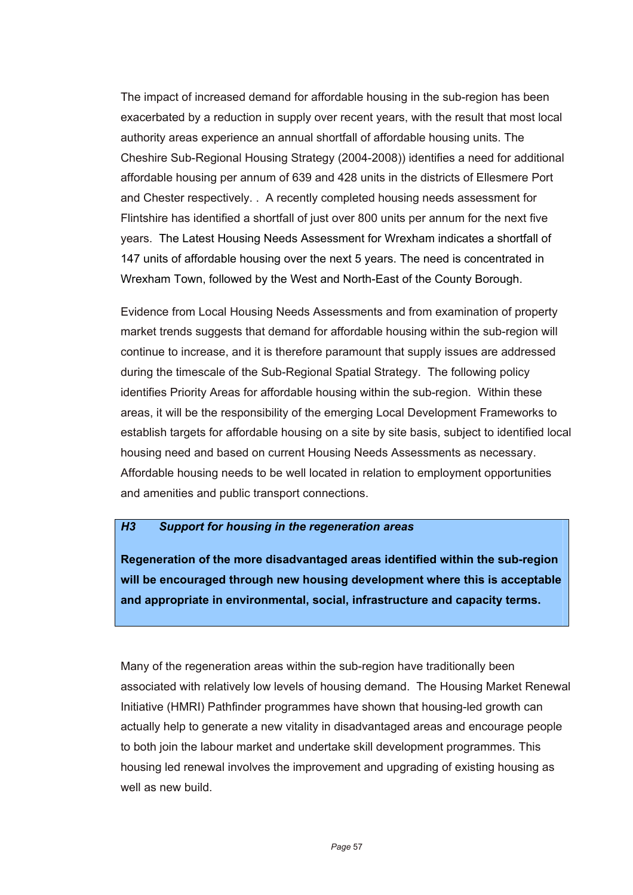The impact of increased demand for affordable housing in the sub-region has been exacerbated by a reduction in supply over recent years, with the result that most local authority areas experience an annual shortfall of affordable housing units. The Cheshire Sub-Regional Housing Strategy (2004-2008)) identifies a need for additional affordable housing per annum of 639 and 428 units in the districts of Ellesmere Port and Chester respectively. . A recently completed housing needs assessment for Flintshire has identified a shortfall of just over 800 units per annum for the next five years. The Latest Housing Needs Assessment for Wrexham indicates a shortfall of 147 units of affordable housing over the next 5 years. The need is concentrated in Wrexham Town, followed by the West and North-East of the County Borough.

Evidence from Local Housing Needs Assessments and from examination of property market trends suggests that demand for affordable housing within the sub-region will continue to increase, and it is therefore paramount that supply issues are addressed during the timescale of the Sub-Regional Spatial Strategy. The following policy identifies Priority Areas for affordable housing within the sub-region. Within these areas, it will be the responsibility of the emerging Local Development Frameworks to establish targets for affordable housing on a site by site basis, subject to identified local housing need and based on current Housing Needs Assessments as necessary. Affordable housing needs to be well located in relation to employment opportunities and amenities and public transport connections.

#### *H3 Support for housing in the regeneration areas*

**Regeneration of the more disadvantaged areas identified within the sub-region will be encouraged through new housing development where this is acceptable and appropriate in environmental, social, infrastructure and capacity terms.**

Many of the regeneration areas within the sub-region have traditionally been associated with relatively low levels of housing demand. The Housing Market Renewal Initiative (HMRI) Pathfinder programmes have shown that housing-led growth can actually help to generate a new vitality in disadvantaged areas and encourage people to both join the labour market and undertake skill development programmes. This housing led renewal involves the improvement and upgrading of existing housing as well as new build.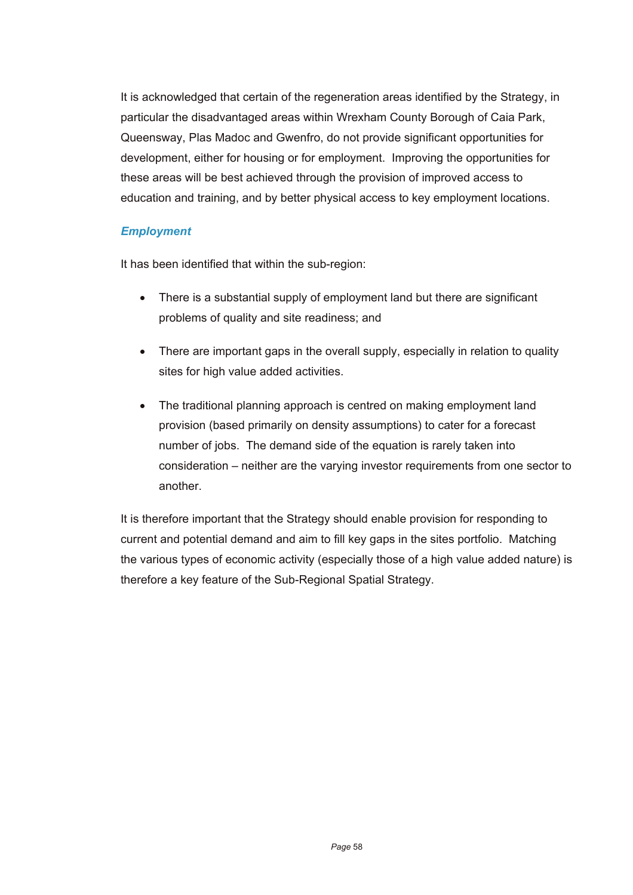It is acknowledged that certain of the regeneration areas identified by the Strategy, in particular the disadvantaged areas within Wrexham County Borough of Caia Park, Queensway, Plas Madoc and Gwenfro, do not provide significant opportunities for development, either for housing or for employment. Improving the opportunities for these areas will be best achieved through the provision of improved access to education and training, and by better physical access to key employment locations.

### *Employment*

It has been identified that within the sub-region:

- There is a substantial supply of employment land but there are significant problems of quality and site readiness; and
- There are important gaps in the overall supply, especially in relation to quality sites for high value added activities.
- The traditional planning approach is centred on making employment land provision (based primarily on density assumptions) to cater for a forecast number of jobs. The demand side of the equation is rarely taken into consideration – neither are the varying investor requirements from one sector to another.

It is therefore important that the Strategy should enable provision for responding to current and potential demand and aim to fill key gaps in the sites portfolio. Matching the various types of economic activity (especially those of a high value added nature) is therefore a key feature of the Sub-Regional Spatial Strategy.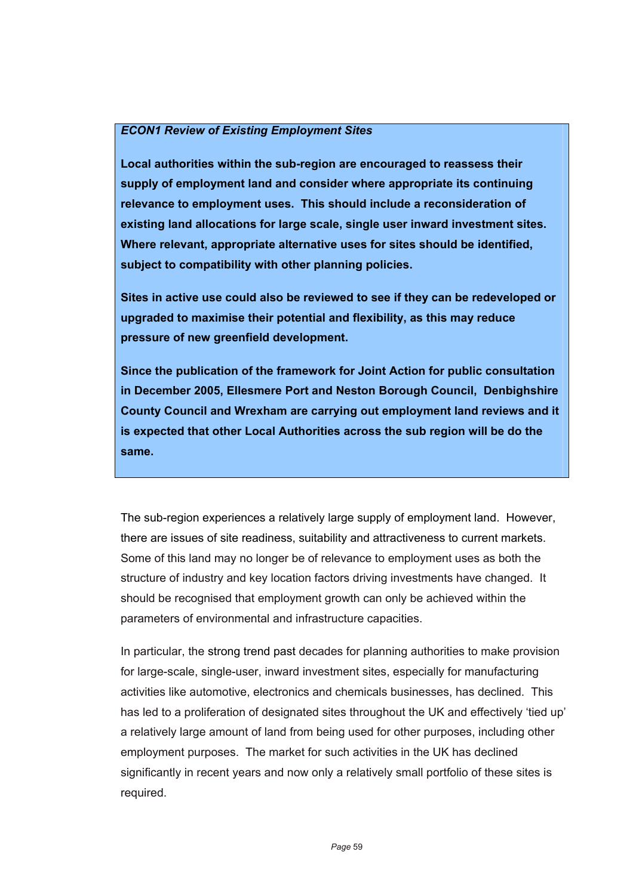#### *ECON1 Review of Existing Employment Sites*

**Local authorities within the sub-region are encouraged to reassess their supply of employment land and consider where appropriate its continuing relevance to employment uses. This should include a reconsideration of existing land allocations for large scale, single user inward investment sites. Where relevant, appropriate alternative uses for sites should be identified, subject to compatibility with other planning policies.** 

**Sites in active use could also be reviewed to see if they can be redeveloped or upgraded to maximise their potential and flexibility, as this may reduce pressure of new greenfield development.** 

**Since the publication of the framework for Joint Action for public consultation in December 2005, Ellesmere Port and Neston Borough Council, Denbighshire County Council and Wrexham are carrying out employment land reviews and it is expected that other Local Authorities across the sub region will be do the same.**

The sub-region experiences a relatively large supply of employment land. However, there are issues of site readiness, suitability and attractiveness to current markets. Some of this land may no longer be of relevance to employment uses as both the structure of industry and key location factors driving investments have changed. It should be recognised that employment growth can only be achieved within the parameters of environmental and infrastructure capacities.

In particular, the strong trend past decades for planning authorities to make provision for large-scale, single-user, inward investment sites, especially for manufacturing activities like automotive, electronics and chemicals businesses, has declined. This has led to a proliferation of designated sites throughout the UK and effectively 'tied up' a relatively large amount of land from being used for other purposes, including other employment purposes. The market for such activities in the UK has declined significantly in recent years and now only a relatively small portfolio of these sites is required.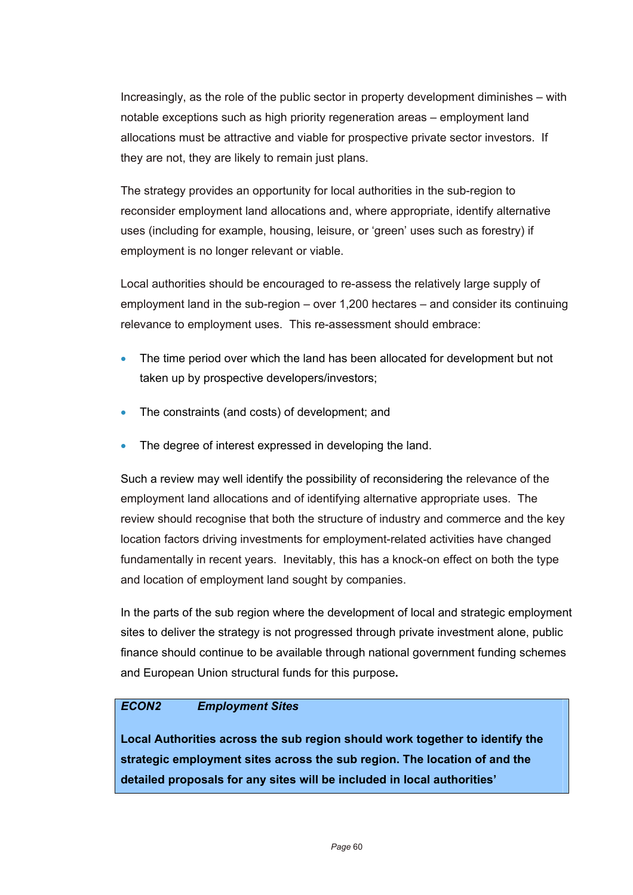Increasingly, as the role of the public sector in property development diminishes – with notable exceptions such as high priority regeneration areas – employment land allocations must be attractive and viable for prospective private sector investors. If they are not, they are likely to remain just plans.

The strategy provides an opportunity for local authorities in the sub-region to reconsider employment land allocations and, where appropriate, identify alternative uses (including for example, housing, leisure, or 'green' uses such as forestry) if employment is no longer relevant or viable.

Local authorities should be encouraged to re-assess the relatively large supply of employment land in the sub-region – over 1,200 hectares – and consider its continuing relevance to employment uses. This re-assessment should embrace:

- The time period over which the land has been allocated for development but not taken up by prospective developers/investors;
- The constraints (and costs) of development; and
- The degree of interest expressed in developing the land.

Such a review may well identify the possibility of reconsidering the relevance of the employment land allocations and of identifying alternative appropriate uses. The review should recognise that both the structure of industry and commerce and the key location factors driving investments for employment-related activities have changed fundamentally in recent years. Inevitably, this has a knock-on effect on both the type and location of employment land sought by companies.

In the parts of the sub region where the development of local and strategic employment sites to deliver the strategy is not progressed through private investment alone, public finance should continue to be available through national government funding schemes and European Union structural funds for this purpose**.** 

### *ECON2 Employment Sites*

**Local Authorities across the sub region should work together to identify the strategic employment sites across the sub region. The location of and the detailed proposals for any sites will be included in local authorities'**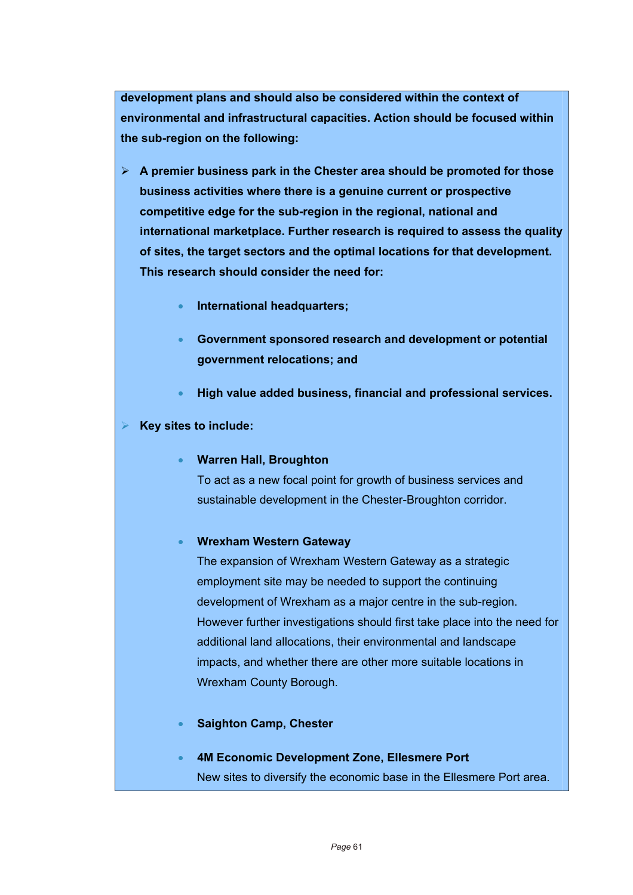**development plans and should also be considered within the context of environmental and infrastructural capacities. Action should be focused within the sub-region on the following:** 

- ¾ **A premier business park in the Chester area should be promoted for those business activities where there is a genuine current or prospective competitive edge for the sub-region in the regional, national and international marketplace. Further research is required to assess the quality of sites, the target sectors and the optimal locations for that development. This research should consider the need for:** 
	- **International headquarters;**
	- **Government sponsored research and development or potential government relocations; and**
	- **High value added business, financial and professional services.**

#### ¾ **Key sites to include:**

• **Warren Hall, Broughton** 

To act as a new focal point for growth of business services and sustainable development in the Chester-Broughton corridor.

#### • **Wrexham Western Gateway**

The expansion of Wrexham Western Gateway as a strategic employment site may be needed to support the continuing development of Wrexham as a major centre in the sub-region. However further investigations should first take place into the need for additional land allocations, their environmental and landscape impacts, and whether there are other more suitable locations in Wrexham County Borough.

- **Saighton Camp, Chester**
- **4M Economic Development Zone, Ellesmere Port**  New sites to diversify the economic base in the Ellesmere Port area.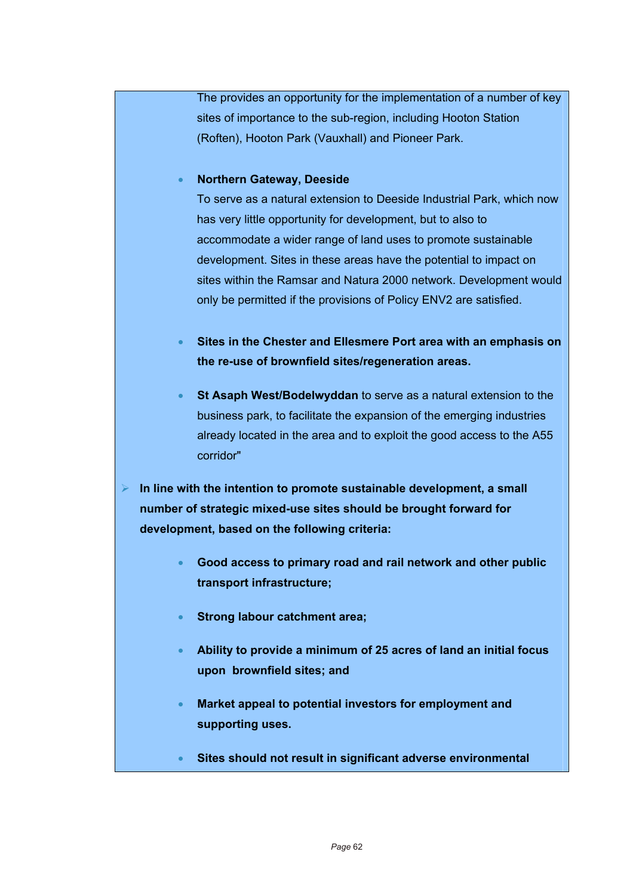The provides an opportunity for the implementation of a number of key sites of importance to the sub-region, including Hooton Station (Roften), Hooton Park (Vauxhall) and Pioneer Park.

### • **Northern Gateway, Deeside**

To serve as a natural extension to Deeside Industrial Park, which now has very little opportunity for development, but to also to accommodate a wider range of land uses to promote sustainable development. Sites in these areas have the potential to impact on sites within the Ramsar and Natura 2000 network. Development would only be permitted if the provisions of Policy ENV2 are satisfied.

- **Sites in the Chester and Ellesmere Port area with an emphasis on the re-use of brownfield sites/regeneration areas.**
- **St Asaph West/Bodelwyddan** to serve as a natural extension to the business park, to facilitate the expansion of the emerging industries already located in the area and to exploit the good access to the A55 corridor"
- ¾ **In line with the intention to promote sustainable development, a small number of strategic mixed-use sites should be brought forward for development, based on the following criteria:** 
	- **Good access to primary road and rail network and other public transport infrastructure;**
	- **Strong labour catchment area;**
	- **Ability to provide a minimum of 25 acres of land an initial focus upon brownfield sites; and**
	- **Market appeal to potential investors for employment and supporting uses.**
	- **Sites should not result in significant adverse environmental**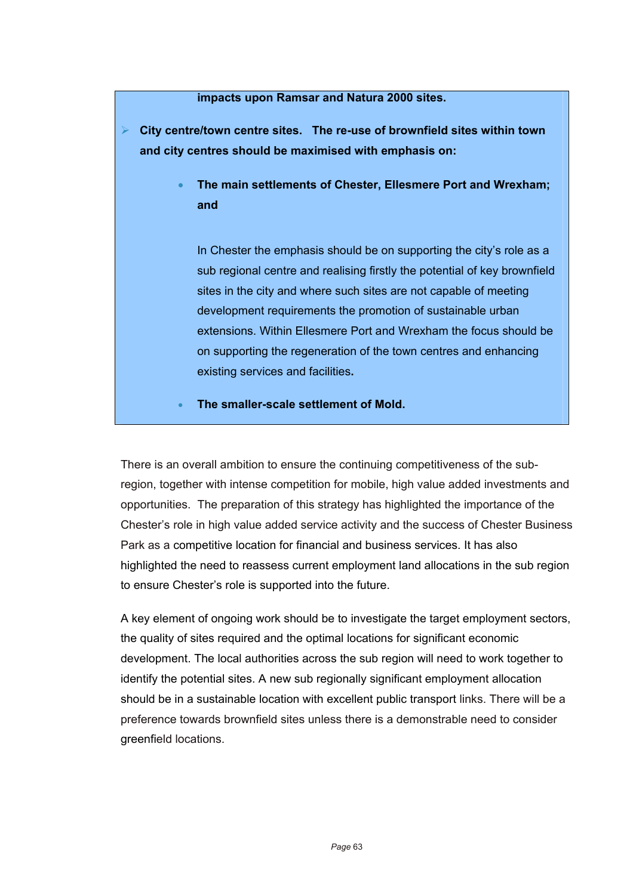#### **impacts upon Ramsar and Natura 2000 sites.**

¾ **City centre/town centre sites. The re-use of brownfield sites within town and city centres should be maximised with emphasis on:** 

> • **The main settlements of Chester, Ellesmere Port and Wrexham; and**

In Chester the emphasis should be on supporting the city's role as a sub regional centre and realising firstly the potential of key brownfield sites in the city and where such sites are not capable of meeting development requirements the promotion of sustainable urban extensions. Within Ellesmere Port and Wrexham the focus should be on supporting the regeneration of the town centres and enhancing existing services and facilities**.** 

• **The smaller-scale settlement of Mold.**

There is an overall ambition to ensure the continuing competitiveness of the subregion, together with intense competition for mobile, high value added investments and opportunities. The preparation of this strategy has highlighted the importance of the Chester's role in high value added service activity and the success of Chester Business Park as a competitive location for financial and business services. It has also highlighted the need to reassess current employment land allocations in the sub region to ensure Chester's role is supported into the future.

A key element of ongoing work should be to investigate the target employment sectors, the quality of sites required and the optimal locations for significant economic development. The local authorities across the sub region will need to work together to identify the potential sites. A new sub regionally significant employment allocation should be in a sustainable location with excellent public transport links. There will be a preference towards brownfield sites unless there is a demonstrable need to consider greenfield locations.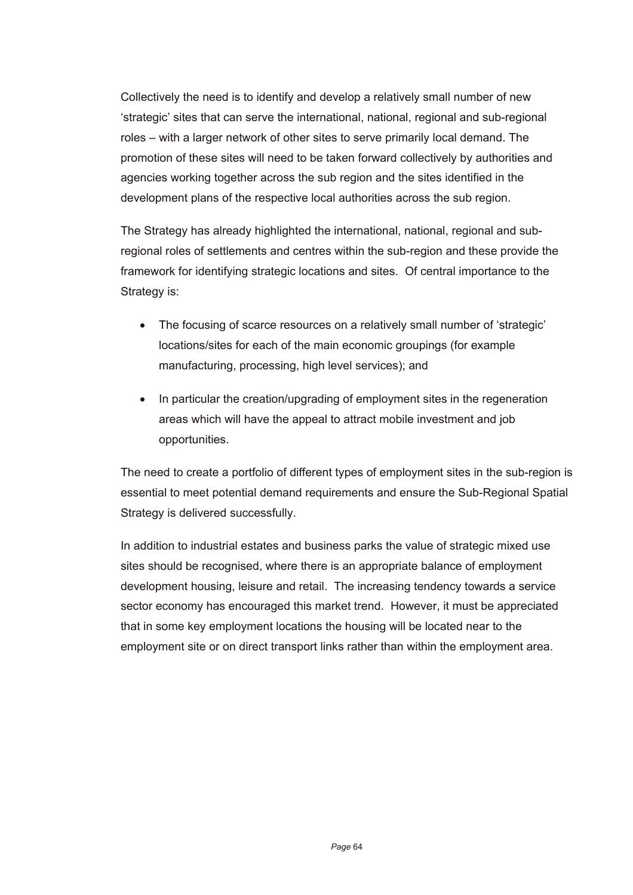Collectively the need is to identify and develop a relatively small number of new 'strategic' sites that can serve the international, national, regional and sub-regional roles – with a larger network of other sites to serve primarily local demand. The promotion of these sites will need to be taken forward collectively by authorities and agencies working together across the sub region and the sites identified in the development plans of the respective local authorities across the sub region.

The Strategy has already highlighted the international, national, regional and subregional roles of settlements and centres within the sub-region and these provide the framework for identifying strategic locations and sites. Of central importance to the Strategy is:

- The focusing of scarce resources on a relatively small number of 'strategic' locations/sites for each of the main economic groupings (for example manufacturing, processing, high level services); and
- In particular the creation/upgrading of employment sites in the regeneration areas which will have the appeal to attract mobile investment and job opportunities.

The need to create a portfolio of different types of employment sites in the sub-region is essential to meet potential demand requirements and ensure the Sub-Regional Spatial Strategy is delivered successfully.

In addition to industrial estates and business parks the value of strategic mixed use sites should be recognised, where there is an appropriate balance of employment development housing, leisure and retail. The increasing tendency towards a service sector economy has encouraged this market trend. However, it must be appreciated that in some key employment locations the housing will be located near to the employment site or on direct transport links rather than within the employment area.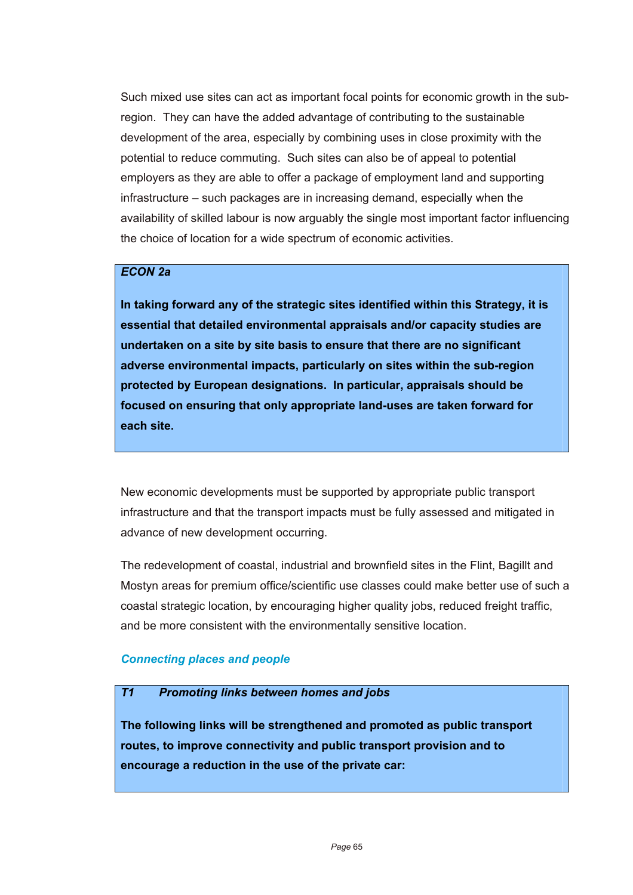Such mixed use sites can act as important focal points for economic growth in the subregion. They can have the added advantage of contributing to the sustainable development of the area, especially by combining uses in close proximity with the potential to reduce commuting. Such sites can also be of appeal to potential employers as they are able to offer a package of employment land and supporting infrastructure – such packages are in increasing demand, especially when the availability of skilled labour is now arguably the single most important factor influencing the choice of location for a wide spectrum of economic activities.

### *ECON 2a*

**In taking forward any of the strategic sites identified within this Strategy, it is essential that detailed environmental appraisals and/or capacity studies are undertaken on a site by site basis to ensure that there are no significant adverse environmental impacts, particularly on sites within the sub-region protected by European designations. In particular, appraisals should be focused on ensuring that only appropriate land-uses are taken forward for each site.** 

New economic developments must be supported by appropriate public transport infrastructure and that the transport impacts must be fully assessed and mitigated in advance of new development occurring.

The redevelopment of coastal, industrial and brownfield sites in the Flint, Bagillt and Mostyn areas for premium office/scientific use classes could make better use of such a coastal strategic location, by encouraging higher quality jobs, reduced freight traffic, and be more consistent with the environmentally sensitive location.

#### *Connecting places and people*

### *T1 Promoting links between homes and jobs*

**The following links will be strengthened and promoted as public transport routes, to improve connectivity and public transport provision and to encourage a reduction in the use of the private car:**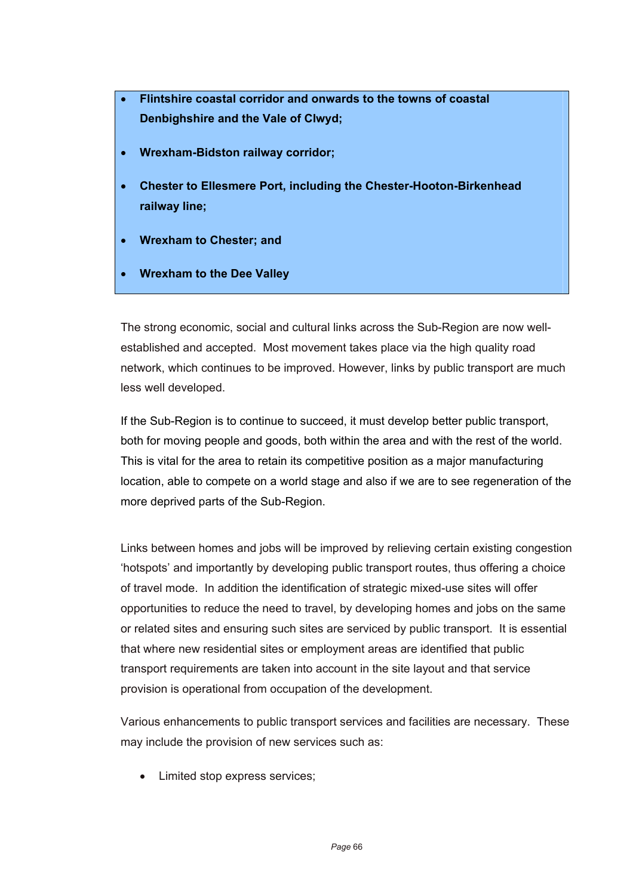- **Flintshire coastal corridor and onwards to the towns of coastal Denbighshire and the Vale of Clwyd;**
- **Wrexham-Bidston railway corridor;**
- **Chester to Ellesmere Port, including the Chester-Hooton-Birkenhead railway line;**
- **Wrexham to Chester; and**
- **Wrexham to the Dee Valley**

The strong economic, social and cultural links across the Sub-Region are now wellestablished and accepted. Most movement takes place via the high quality road network, which continues to be improved. However, links by public transport are much less well developed.

If the Sub-Region is to continue to succeed, it must develop better public transport, both for moving people and goods, both within the area and with the rest of the world. This is vital for the area to retain its competitive position as a major manufacturing location, able to compete on a world stage and also if we are to see regeneration of the more deprived parts of the Sub-Region.

Links between homes and jobs will be improved by relieving certain existing congestion 'hotspots' and importantly by developing public transport routes, thus offering a choice of travel mode. In addition the identification of strategic mixed-use sites will offer opportunities to reduce the need to travel, by developing homes and jobs on the same or related sites and ensuring such sites are serviced by public transport. It is essential that where new residential sites or employment areas are identified that public transport requirements are taken into account in the site layout and that service provision is operational from occupation of the development.

Various enhancements to public transport services and facilities are necessary. These may include the provision of new services such as:

• Limited stop express services;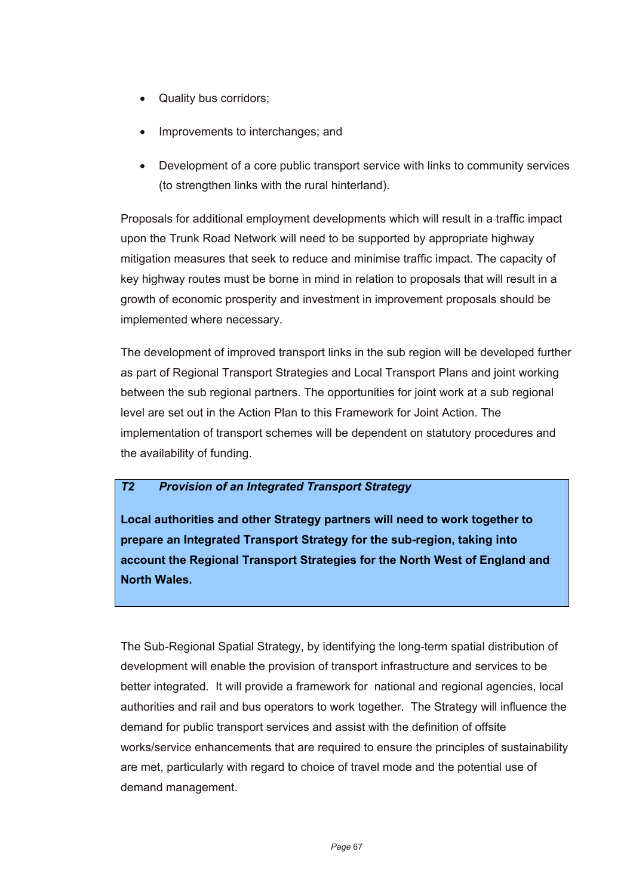- Quality bus corridors;
- Improvements to interchanges; and
- Development of a core public transport service with links to community services (to strengthen links with the rural hinterland).

Proposals for additional employment developments which will result in a traffic impact upon the Trunk Road Network will need to be supported by appropriate highway mitigation measures that seek to reduce and minimise traffic impact. The capacity of key highway routes must be borne in mind in relation to proposals that will result in a growth of economic prosperity and investment in improvement proposals should be implemented where necessary.

The development of improved transport links in the sub region will be developed further as part of Regional Transport Strategies and Local Transport Plans and joint working between the sub regional partners. The opportunities for joint work at a sub regional level are set out in the Action Plan to this Framework for Joint Action. The implementation of transport schemes will be dependent on statutory procedures and the availability of funding.

### *T2 Provision of an Integrated Transport Strategy*

**Local authorities and other Strategy partners will need to work together to prepare an Integrated Transport Strategy for the sub-region, taking into account the Regional Transport Strategies for the North West of England and North Wales.** 

The Sub-Regional Spatial Strategy, by identifying the long-term spatial distribution of development will enable the provision of transport infrastructure and services to be better integrated. It will provide a framework for national and regional agencies, local authorities and rail and bus operators to work together. The Strategy will influence the demand for public transport services and assist with the definition of offsite works/service enhancements that are required to ensure the principles of sustainability are met, particularly with regard to choice of travel mode and the potential use of demand management.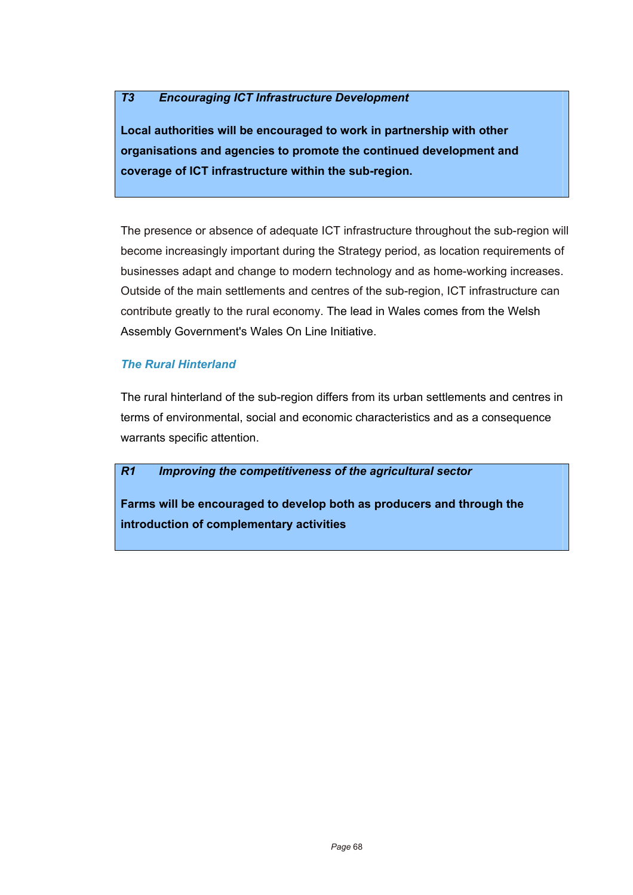### *T3 Encouraging ICT Infrastructure Development*

**Local authorities will be encouraged to work in partnership with other organisations and agencies to promote the continued development and coverage of ICT infrastructure within the sub-region.** 

The presence or absence of adequate ICT infrastructure throughout the sub-region will become increasingly important during the Strategy period, as location requirements of businesses adapt and change to modern technology and as home-working increases. Outside of the main settlements and centres of the sub-region, ICT infrastructure can contribute greatly to the rural economy. The lead in Wales comes from the Welsh Assembly Government's Wales On Line Initiative.

### *The Rural Hinterland*

The rural hinterland of the sub-region differs from its urban settlements and centres in terms of environmental, social and economic characteristics and as a consequence warrants specific attention.

#### *R1 Improving the competitiveness of the agricultural sector*

**Farms will be encouraged to develop both as producers and through the introduction of complementary activities**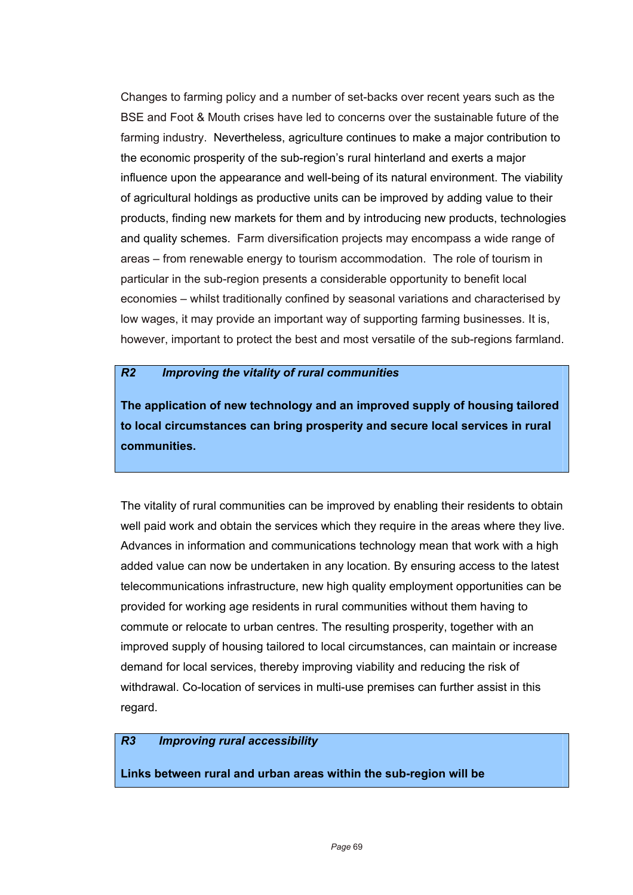Changes to farming policy and a number of set-backs over recent years such as the BSE and Foot & Mouth crises have led to concerns over the sustainable future of the farming industry. Nevertheless, agriculture continues to make a major contribution to the economic prosperity of the sub-region's rural hinterland and exerts a major influence upon the appearance and well-being of its natural environment. The viability of agricultural holdings as productive units can be improved by adding value to their products, finding new markets for them and by introducing new products, technologies and quality schemes. Farm diversification projects may encompass a wide range of areas – from renewable energy to tourism accommodation. The role of tourism in particular in the sub-region presents a considerable opportunity to benefit local economies – whilst traditionally confined by seasonal variations and characterised by low wages, it may provide an important way of supporting farming businesses. It is, however, important to protect the best and most versatile of the sub-regions farmland.

#### *R2 Improving the vitality of rural communities*

**The application of new technology and an improved supply of housing tailored to local circumstances can bring prosperity and secure local services in rural communities.**

The vitality of rural communities can be improved by enabling their residents to obtain well paid work and obtain the services which they require in the areas where they live. Advances in information and communications technology mean that work with a high added value can now be undertaken in any location. By ensuring access to the latest telecommunications infrastructure, new high quality employment opportunities can be provided for working age residents in rural communities without them having to commute or relocate to urban centres. The resulting prosperity, together with an improved supply of housing tailored to local circumstances, can maintain or increase demand for local services, thereby improving viability and reducing the risk of withdrawal. Co-location of services in multi-use premises can further assist in this regard.

### *R3 Improving rural accessibility*

**Links between rural and urban areas within the sub-region will be**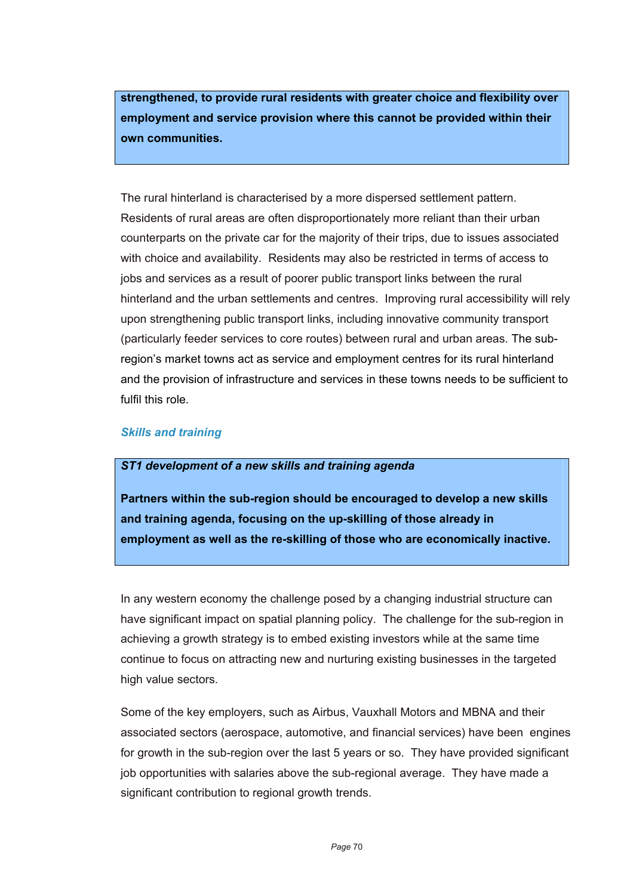**strengthened, to provide rural residents with greater choice and flexibility over employment and service provision where this cannot be provided within their own communities.** 

The rural hinterland is characterised by a more dispersed settlement pattern. Residents of rural areas are often disproportionately more reliant than their urban counterparts on the private car for the majority of their trips, due to issues associated with choice and availability. Residents may also be restricted in terms of access to jobs and services as a result of poorer public transport links between the rural hinterland and the urban settlements and centres. Improving rural accessibility will rely upon strengthening public transport links, including innovative community transport (particularly feeder services to core routes) between rural and urban areas. The subregion's market towns act as service and employment centres for its rural hinterland and the provision of infrastructure and services in these towns needs to be sufficient to fulfil this role.

### *Skills and training*

#### *ST1 development of a new skills and training agenda*

**Partners within the sub-region should be encouraged to develop a new skills and training agenda, focusing on the up-skilling of those already in employment as well as the re-skilling of those who are economically inactive.**

In any western economy the challenge posed by a changing industrial structure can have significant impact on spatial planning policy. The challenge for the sub-region in achieving a growth strategy is to embed existing investors while at the same time continue to focus on attracting new and nurturing existing businesses in the targeted high value sectors.

Some of the key employers, such as Airbus, Vauxhall Motors and MBNA and their associated sectors (aerospace, automotive, and financial services) have been engines for growth in the sub-region over the last 5 years or so. They have provided significant job opportunities with salaries above the sub-regional average. They have made a significant contribution to regional growth trends.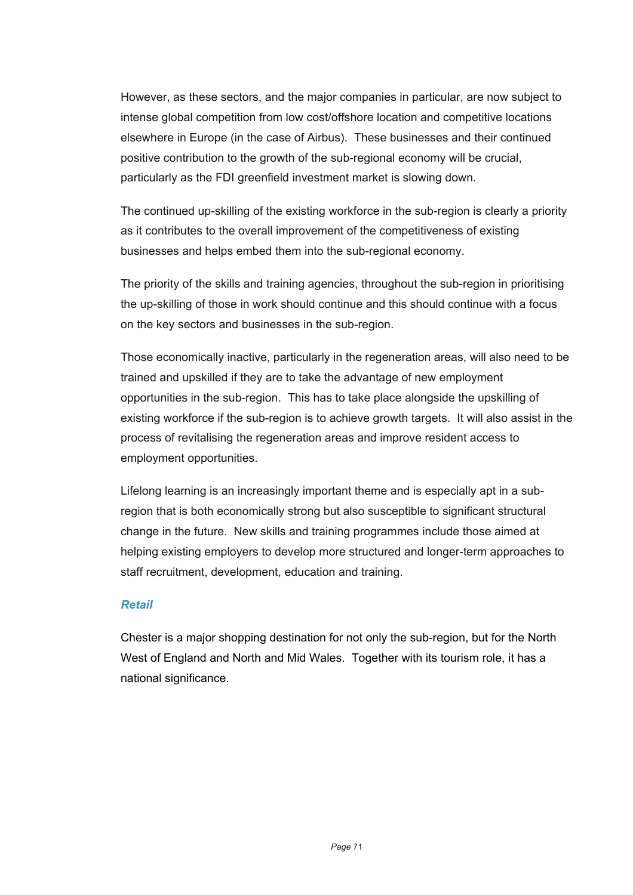However, as these sectors, and the major companies in particular, are now subject to intense global competition from low cost/offshore location and competitive locations elsewhere in Europe (in the case of Airbus). These businesses and their continued positive contribution to the growth of the sub-regional economy will be crucial, particularly as the FDI greenfield investment market is slowing down.

The continued up-skilling of the existing workforce in the sub-region is clearly a priority as it contributes to the overall improvement of the competitiveness of existing businesses and helps embed them into the sub-regional economy.

The priority of the skills and training agencies, throughout the sub-region in prioritising the up-skilling of those in work should continue and this should continue with a focus on the key sectors and businesses in the sub-region.

Those economically inactive, particularly in the regeneration areas, will also need to be trained and upskilled if they are to take the advantage of new employment opportunities in the sub-region. This has to take place alongside the upskilling of existing workforce if the sub-region is to achieve growth targets. It will also assist in the process of revitalising the regeneration areas and improve resident access to employment opportunities.

Lifelong learning is an increasingly important theme and is especially apt in a subregion that is both economically strong but also susceptible to significant structural change in the future. New skills and training programmes include those aimed at helping existing employers to develop more structured and longer-term approaches to staff recruitment, development, education and training.

### *Retail*

Chester is a major shopping destination for not only the sub-region, but for the North West of England and North and Mid Wales. Together with its tourism role, it has a national significance.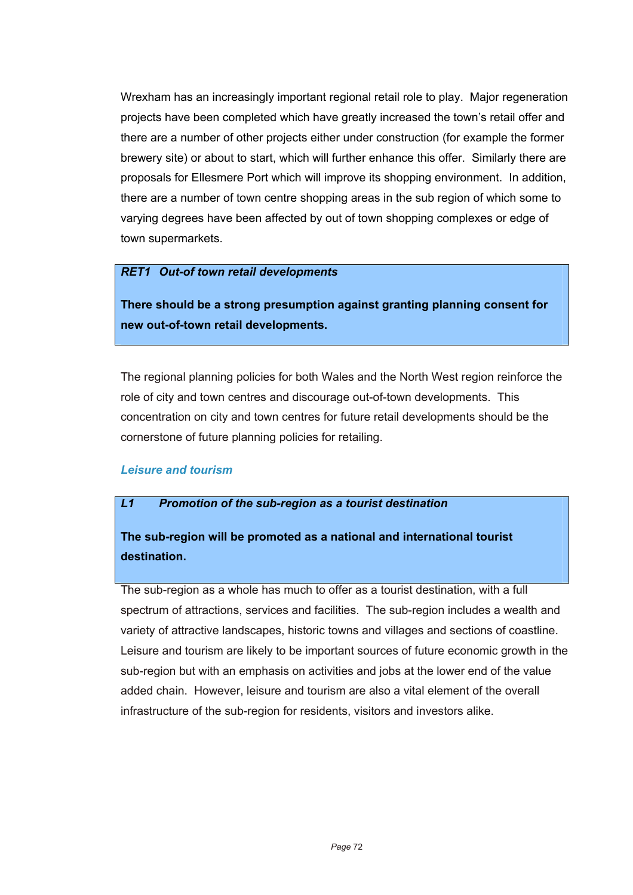Wrexham has an increasingly important regional retail role to play. Major regeneration projects have been completed which have greatly increased the town's retail offer and there are a number of other projects either under construction (for example the former brewery site) or about to start, which will further enhance this offer. Similarly there are proposals for Ellesmere Port which will improve its shopping environment. In addition, there are a number of town centre shopping areas in the sub region of which some to varying degrees have been affected by out of town shopping complexes or edge of town supermarkets.

#### *RET1 Out-of town retail developments*

**There should be a strong presumption against granting planning consent for new out-of-town retail developments.**

The regional planning policies for both Wales and the North West region reinforce the role of city and town centres and discourage out-of-town developments. This concentration on city and town centres for future retail developments should be the cornerstone of future planning policies for retailing.

### *Leisure and tourism*

### *L1 Promotion of the sub-region as a tourist destination*

# **The sub-region will be promoted as a national and international tourist destination.**

The sub-region as a whole has much to offer as a tourist destination, with a full spectrum of attractions, services and facilities. The sub-region includes a wealth and variety of attractive landscapes, historic towns and villages and sections of coastline. Leisure and tourism are likely to be important sources of future economic growth in the sub-region but with an emphasis on activities and jobs at the lower end of the value added chain. However, leisure and tourism are also a vital element of the overall infrastructure of the sub-region for residents, visitors and investors alike.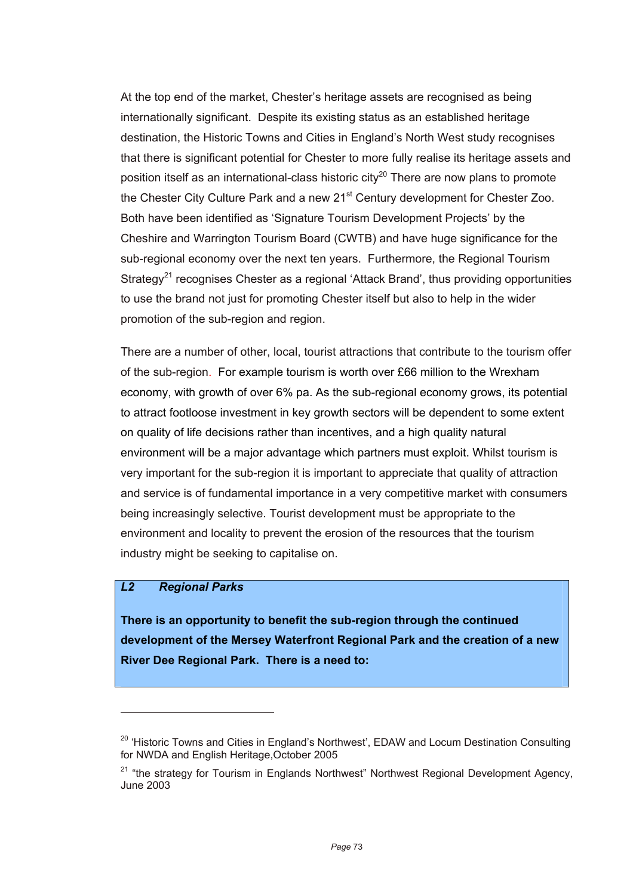At the top end of the market, Chester's heritage assets are recognised as being internationally significant. Despite its existing status as an established heritage destination, the Historic Towns and Cities in England's North West study recognises that there is significant potential for Chester to more fully realise its heritage assets and position itself as an international-class historic city<sup>20</sup> There are now plans to promote the Chester City Culture Park and a new 21<sup>st</sup> Century development for Chester Zoo. Both have been identified as 'Signature Tourism Development Projects' by the Cheshire and Warrington Tourism Board (CWTB) and have huge significance for the sub-regional economy over the next ten years. Furthermore, the Regional Tourism Strategy<sup>21</sup> recognises Chester as a regional 'Attack Brand', thus providing opportunities to use the brand not just for promoting Chester itself but also to help in the wider promotion of the sub-region and region.

There are a number of other, local, tourist attractions that contribute to the tourism offer of the sub-region. For example tourism is worth over £66 million to the Wrexham economy, with growth of over 6% pa. As the sub-regional economy grows, its potential to attract footloose investment in key growth sectors will be dependent to some extent on quality of life decisions rather than incentives, and a high quality natural environment will be a major advantage which partners must exploit. Whilst tourism is very important for the sub-region it is important to appreciate that quality of attraction and service is of fundamental importance in a very competitive market with consumers being increasingly selective. Tourist development must be appropriate to the environment and locality to prevent the erosion of the resources that the tourism industry might be seeking to capitalise on.

### *L2 Regional Parks*

l

**There is an opportunity to benefit the sub-region through the continued development of the Mersey Waterfront Regional Park and the creation of a new River Dee Regional Park. There is a need to:** 

<sup>&</sup>lt;sup>20</sup> 'Historic Towns and Cities in England's Northwest', EDAW and Locum Destination Consulting for NWDA and English Heritage,October 2005

 $21$  "the strategy for Tourism in Englands Northwest" Northwest Regional Development Agency, June 2003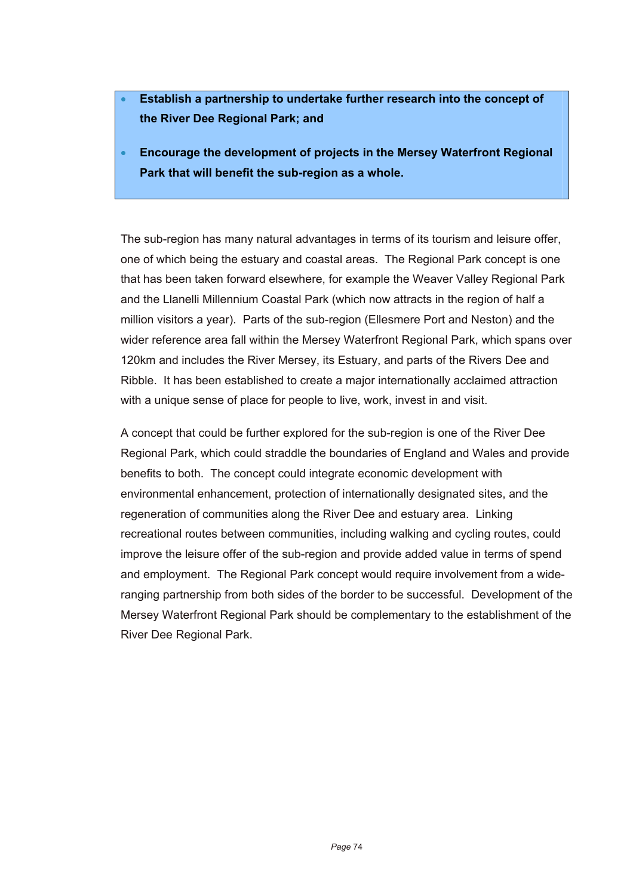- **Establish a partnership to undertake further research into the concept of the River Dee Regional Park; and**
- **Encourage the development of projects in the Mersey Waterfront Regional Park that will benefit the sub-region as a whole.**

The sub-region has many natural advantages in terms of its tourism and leisure offer, one of which being the estuary and coastal areas. The Regional Park concept is one that has been taken forward elsewhere, for example the Weaver Valley Regional Park and the Llanelli Millennium Coastal Park (which now attracts in the region of half a million visitors a year). Parts of the sub-region (Ellesmere Port and Neston) and the wider reference area fall within the Mersey Waterfront Regional Park, which spans over 120km and includes the River Mersey, its Estuary, and parts of the Rivers Dee and Ribble. It has been established to create a major internationally acclaimed attraction with a unique sense of place for people to live, work, invest in and visit.

A concept that could be further explored for the sub-region is one of the River Dee Regional Park, which could straddle the boundaries of England and Wales and provide benefits to both. The concept could integrate economic development with environmental enhancement, protection of internationally designated sites, and the regeneration of communities along the River Dee and estuary area. Linking recreational routes between communities, including walking and cycling routes, could improve the leisure offer of the sub-region and provide added value in terms of spend and employment. The Regional Park concept would require involvement from a wideranging partnership from both sides of the border to be successful. Development of the Mersey Waterfront Regional Park should be complementary to the establishment of the River Dee Regional Park.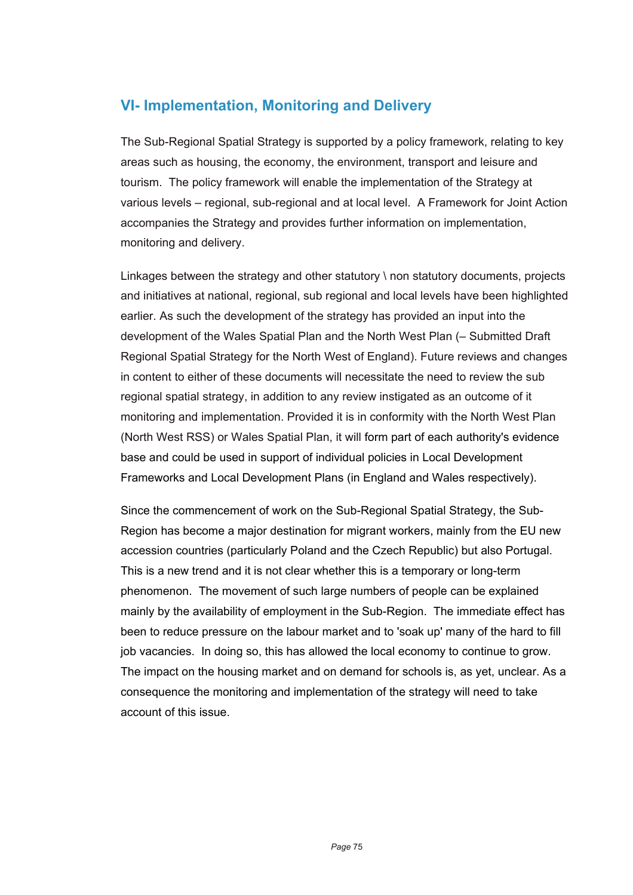### **VI- Implementation, Monitoring and Delivery**

The Sub-Regional Spatial Strategy is supported by a policy framework, relating to key areas such as housing, the economy, the environment, transport and leisure and tourism. The policy framework will enable the implementation of the Strategy at various levels – regional, sub-regional and at local level. A Framework for Joint Action accompanies the Strategy and provides further information on implementation, monitoring and delivery.

Linkages between the strategy and other statutory \ non statutory documents, projects and initiatives at national, regional, sub regional and local levels have been highlighted earlier. As such the development of the strategy has provided an input into the development of the Wales Spatial Plan and the North West Plan (– Submitted Draft Regional Spatial Strategy for the North West of England). Future reviews and changes in content to either of these documents will necessitate the need to review the sub regional spatial strategy, in addition to any review instigated as an outcome of it monitoring and implementation. Provided it is in conformity with the North West Plan (North West RSS) or Wales Spatial Plan, it will form part of each authority's evidence base and could be used in support of individual policies in Local Development Frameworks and Local Development Plans (in England and Wales respectively).

Since the commencement of work on the Sub-Regional Spatial Strategy, the Sub-Region has become a major destination for migrant workers, mainly from the EU new accession countries (particularly Poland and the Czech Republic) but also Portugal. This is a new trend and it is not clear whether this is a temporary or long-term phenomenon. The movement of such large numbers of people can be explained mainly by the availability of employment in the Sub-Region. The immediate effect has been to reduce pressure on the labour market and to 'soak up' many of the hard to fill job vacancies. In doing so, this has allowed the local economy to continue to grow. The impact on the housing market and on demand for schools is, as yet, unclear. As a consequence the monitoring and implementation of the strategy will need to take account of this issue.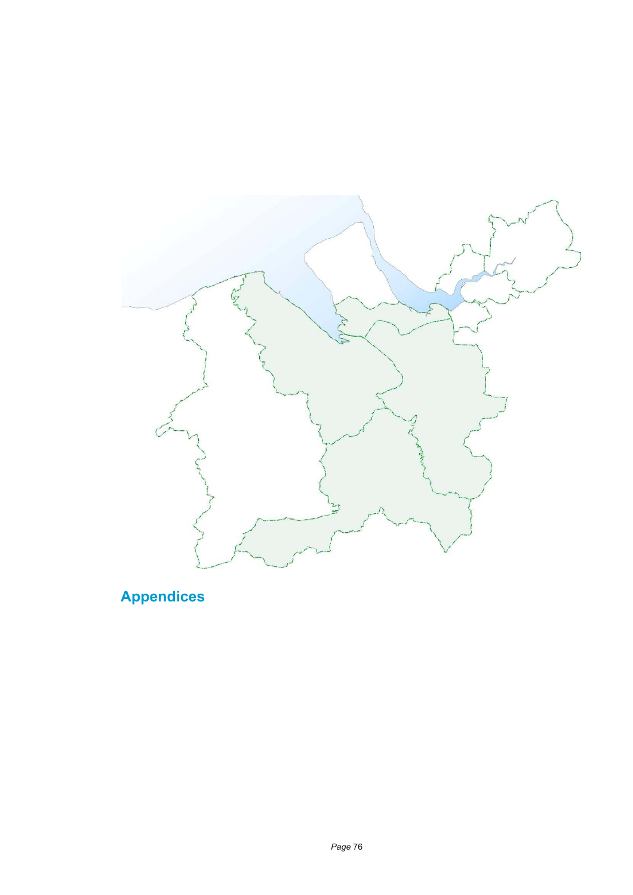

**Appendices**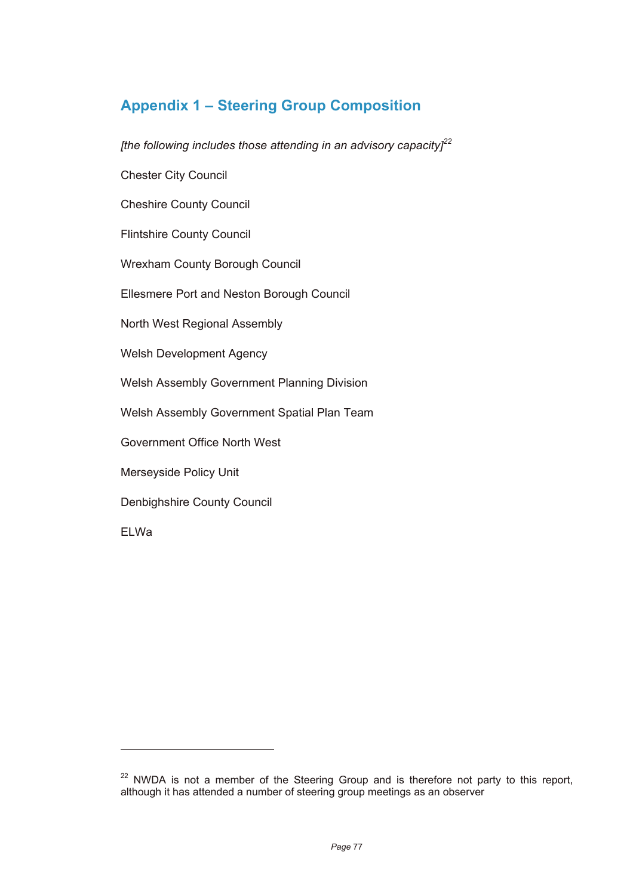# **Appendix 1 – Steering Group Composition**

*[the following includes those attending in an advisory capacity]<sup>22</sup>*

Chester City Council

Cheshire County Council

Flintshire County Council

Wrexham County Borough Council

Ellesmere Port and Neston Borough Council

North West Regional Assembly

Welsh Development Agency

Welsh Assembly Government Planning Division

Welsh Assembly Government Spatial Plan Team

Government Office North West

Merseyside Policy Unit

Denbighshire County Council

ELWa

 $\overline{a}$ 

<sup>&</sup>lt;sup>22</sup> NWDA is not a member of the Steering Group and is therefore not party to this report, although it has attended a number of steering group meetings as an observer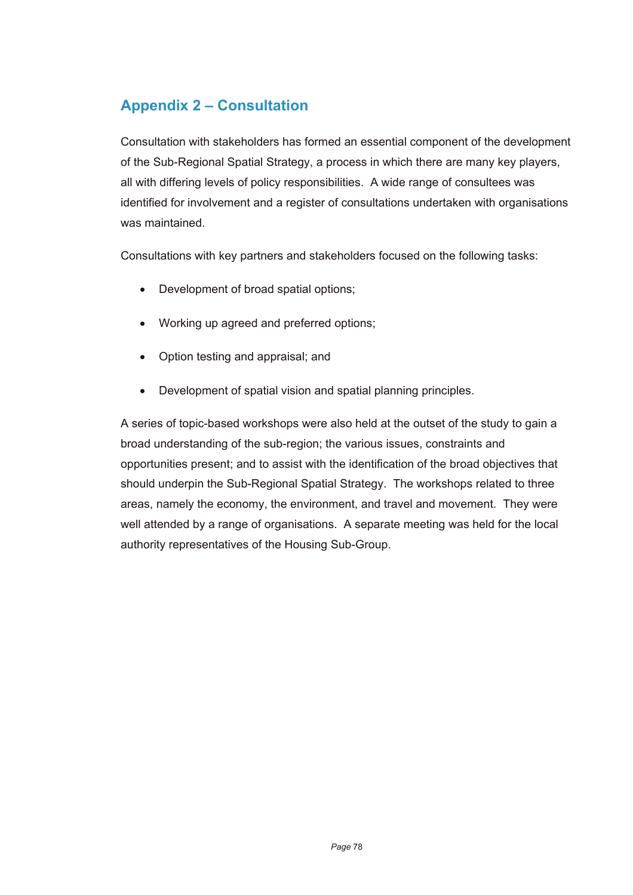## **Appendix 2 – Consultation**

Consultation with stakeholders has formed an essential component of the development of the Sub-Regional Spatial Strategy, a process in which there are many key players, all with differing levels of policy responsibilities. A wide range of consultees was identified for involvement and a register of consultations undertaken with organisations was maintained.

Consultations with key partners and stakeholders focused on the following tasks:

- Development of broad spatial options;
- Working up agreed and preferred options;
- Option testing and appraisal; and
- Development of spatial vision and spatial planning principles.

A series of topic-based workshops were also held at the outset of the study to gain a broad understanding of the sub-region; the various issues, constraints and opportunities present; and to assist with the identification of the broad objectives that should underpin the Sub-Regional Spatial Strategy. The workshops related to three areas, namely the economy, the environment, and travel and movement. They were well attended by a range of organisations. A separate meeting was held for the local authority representatives of the Housing Sub-Group.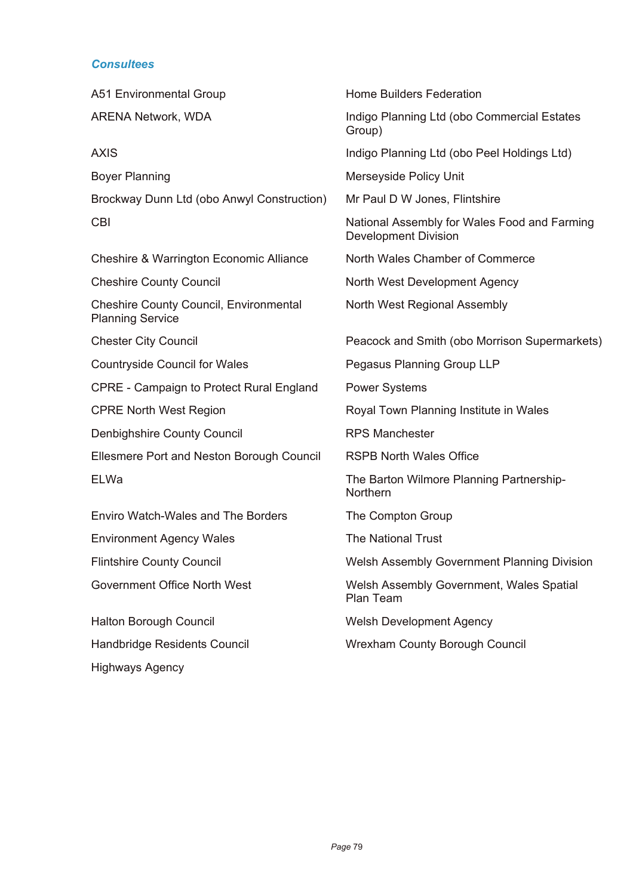### *Consultees*

| A51 Environmental Group                                                  | <b>Home Builders Federation</b>                                             |
|--------------------------------------------------------------------------|-----------------------------------------------------------------------------|
| <b>ARENA Network, WDA</b>                                                | Indigo Planning Ltd (obo Commercial Estates<br>Group)                       |
| <b>AXIS</b>                                                              | Indigo Planning Ltd (obo Peel Holdings Ltd)                                 |
| <b>Boyer Planning</b>                                                    | Merseyside Policy Unit                                                      |
| Brockway Dunn Ltd (obo Anwyl Construction)                               | Mr Paul D W Jones, Flintshire                                               |
| <b>CBI</b>                                                               | National Assembly for Wales Food and Farming<br><b>Development Division</b> |
| Cheshire & Warrington Economic Alliance                                  | North Wales Chamber of Commerce                                             |
| <b>Cheshire County Council</b>                                           | North West Development Agency                                               |
| <b>Cheshire County Council, Environmental</b><br><b>Planning Service</b> | North West Regional Assembly                                                |
| <b>Chester City Council</b>                                              | Peacock and Smith (obo Morrison Supermarkets)                               |
| <b>Countryside Council for Wales</b>                                     | Pegasus Planning Group LLP                                                  |
| <b>CPRE - Campaign to Protect Rural England</b>                          | <b>Power Systems</b>                                                        |
| <b>CPRE North West Region</b>                                            | Royal Town Planning Institute in Wales                                      |
| Denbighshire County Council                                              | <b>RPS Manchester</b>                                                       |
| Ellesmere Port and Neston Borough Council                                | <b>RSPB North Wales Office</b>                                              |
| ELWa                                                                     | The Barton Wilmore Planning Partnership-<br>Northern                        |
| Enviro Watch-Wales and The Borders                                       | The Compton Group                                                           |
| <b>Environment Agency Wales</b>                                          | <b>The National Trust</b>                                                   |
| <b>Flintshire County Council</b>                                         | Welsh Assembly Government Planning Division                                 |
| Government Office North West                                             | Welsh Assembly Government, Wales Spatial<br>Plan Team                       |
| <b>Halton Borough Council</b>                                            | <b>Welsh Development Agency</b>                                             |
| Handbridge Residents Council                                             | <b>Wrexham County Borough Council</b>                                       |
| <b>Highways Agency</b>                                                   |                                                                             |